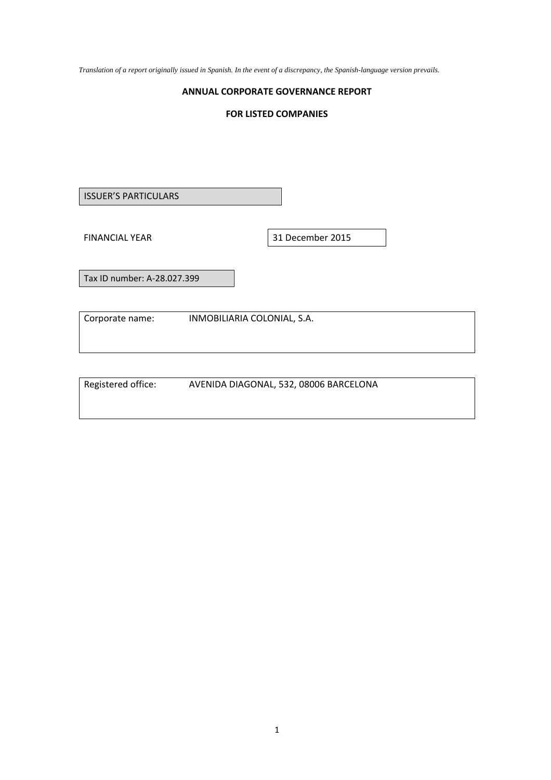*Translation of a report originally issued in Spanish. In the event of a discrepancy, the Spanish-language version prevails.* 

#### **ANNUAL CORPORATE GOVERNANCE REPORT**

#### **FOR LISTED COMPANIES**

ISSUER'S PARTICULARS

FINANCIAL YEAR 31 December 2015

Tax ID number: A‐28.027.399

Corporate name: INMOBILIARIA COLONIAL, S.A.

Registered office: AVENIDA DIAGONAL, 532, 08006 BARCELONA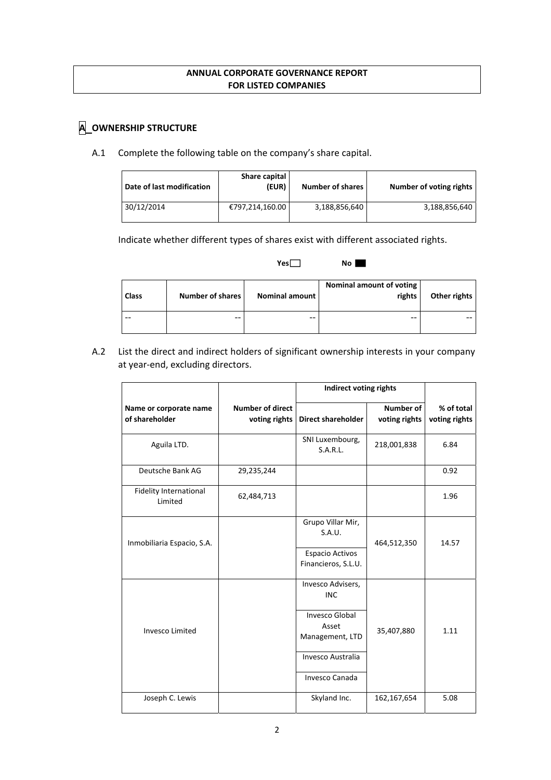# **ANNUAL CORPORATE GOVERNANCE REPORT FOR LISTED COMPANIES**

# **A OWNERSHIP STRUCTURE**

A.1 Complete the following table on the company's share capital.

| Date of last modification | Share capital<br>(EUR) | <b>Number of shares</b> | Number of voting rights |
|---------------------------|------------------------|-------------------------|-------------------------|
| 30/12/2014                | €797,214,160.00        | 3,188,856,640           | 3,188,856,640           |

Indicate whether different types of shares exist with different associated rights.

#### **Yes No**

| Class | Number of shares | Nominal amount | Nominal amount of voting<br>rights | Other rights |
|-------|------------------|----------------|------------------------------------|--------------|
|       | $- -$            | $-$            | --                                 |              |

A.2 List the direct and indirect holders of significant ownership interests in your company at year‐end, excluding directors.

|                                          |                                          | Indirect voting rights                                                                                                             |                            |                             |
|------------------------------------------|------------------------------------------|------------------------------------------------------------------------------------------------------------------------------------|----------------------------|-----------------------------|
| Name or corporate name<br>of shareholder | <b>Number of direct</b><br>voting rights | <b>Direct shareholder</b>                                                                                                          | Number of<br>voting rights | % of total<br>voting rights |
| Aguila LTD.                              |                                          | SNI Luxembourg,<br>S.A.R.L.                                                                                                        | 218,001,838                | 6.84                        |
| Deutsche Bank AG                         | 29,235,244                               |                                                                                                                                    |                            | 0.92                        |
| <b>Fidelity International</b><br>Limited | 62,484,713                               |                                                                                                                                    |                            | 1.96                        |
| Inmobiliaria Espacio, S.A.               |                                          | Grupo Villar Mir,<br>S.A.U.<br>Espacio Activos<br>Financieros, S.L.U.                                                              | 464,512,350                | 14.57                       |
| <b>Invesco Limited</b>                   |                                          | Invesco Advisers,<br><b>INC</b><br><b>Invesco Global</b><br>Asset<br>Management, LTD<br>Invesco Australia<br><b>Invesco Canada</b> | 35,407,880                 | 1.11                        |
| Joseph C. Lewis                          |                                          | Skyland Inc.                                                                                                                       | 162,167,654                | 5.08                        |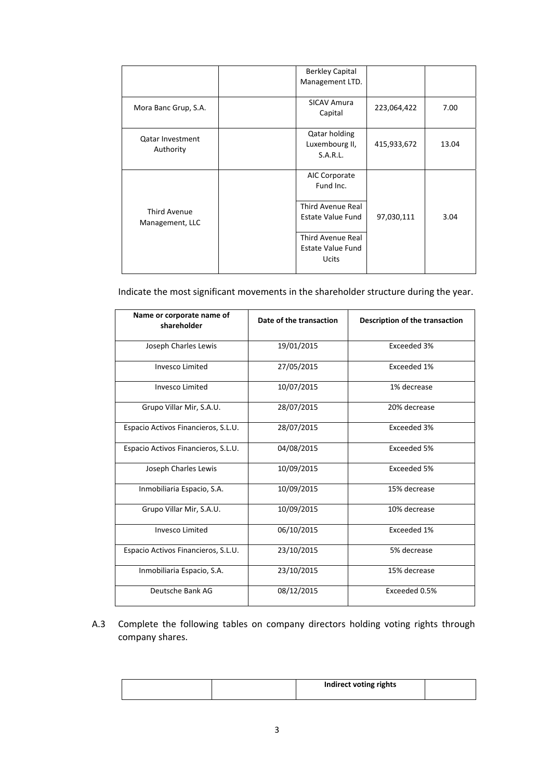|                                      | <b>Berkley Capital</b><br>Management LTD.                     |             |       |
|--------------------------------------|---------------------------------------------------------------|-------------|-------|
| Mora Banc Grup, S.A.                 | <b>SICAV Amura</b><br>Capital                                 | 223,064,422 | 7.00  |
| <b>Qatar Investment</b><br>Authority | Qatar holding<br>Luxembourg II,<br>S.A.R.L.                   | 415,933,672 | 13.04 |
|                                      | AIC Corporate<br>Fund Inc.                                    |             |       |
| Third Avenue<br>Management, LLC      | Third Avenue Real<br>Estate Value Fund                        | 97,030,111  | 3.04  |
|                                      | Third Avenue Real<br><b>Estate Value Fund</b><br><b>Ucits</b> |             |       |

Indicate the most significant movements in the shareholder structure during the year.

| Name or corporate name of<br>shareholder | Date of the transaction | Description of the transaction |
|------------------------------------------|-------------------------|--------------------------------|
| Joseph Charles Lewis                     | 19/01/2015              | Exceeded 3%                    |
| Invesco Limited                          | 27/05/2015              | Exceeded 1%                    |
| Invesco Limited                          | 10/07/2015              | 1% decrease                    |
| Grupo Villar Mir, S.A.U.                 | 28/07/2015              | 20% decrease                   |
| Espacio Activos Financieros, S.L.U.      | 28/07/2015              | Exceeded 3%                    |
| Espacio Activos Financieros, S.L.U.      | 04/08/2015              | Exceeded 5%                    |
| Joseph Charles Lewis                     | 10/09/2015              | Exceeded 5%                    |
| Inmobiliaria Espacio, S.A.               | 10/09/2015              | 15% decrease                   |
| Grupo Villar Mir, S.A.U.                 | 10/09/2015              | 10% decrease                   |
| <b>Invesco Limited</b>                   | 06/10/2015              | Exceeded 1%                    |
| Espacio Activos Financieros, S.L.U.      | 23/10/2015              | 5% decrease                    |
| Inmobiliaria Espacio, S.A.               | 23/10/2015              | 15% decrease                   |
| Deutsche Bank AG                         | 08/12/2015              | Exceeded 0.5%                  |

A.3 Complete the following tables on company directors holding voting rights through company shares.

|  | Indirect voting rights |  |
|--|------------------------|--|
|--|------------------------|--|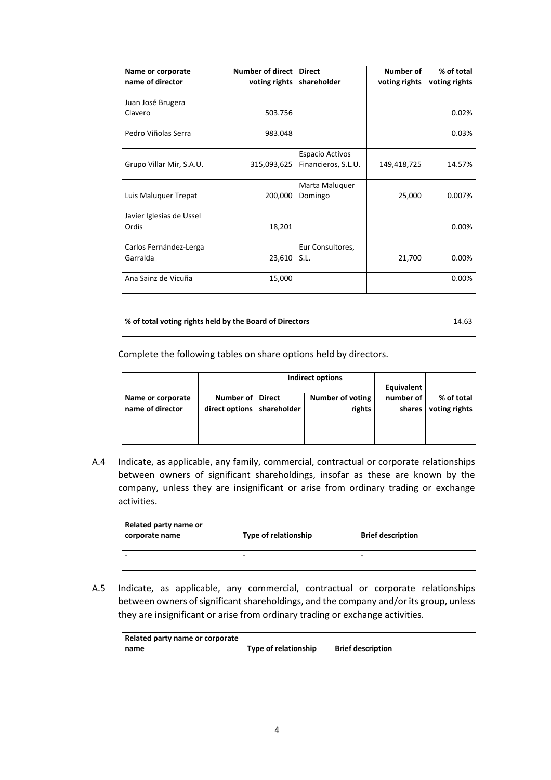| Name or corporate<br>name of director | Number of direct I<br>voting rights | <b>Direct</b><br>shareholder                  | Number of<br>voting rights | % of total<br>voting rights |
|---------------------------------------|-------------------------------------|-----------------------------------------------|----------------------------|-----------------------------|
| Juan José Brugera<br>Clavero          | 503.756                             |                                               |                            | 0.02%                       |
| Pedro Viñolas Serra                   | 983.048                             |                                               |                            | 0.03%                       |
| Grupo Villar Mir, S.A.U.              | 315,093,625                         | <b>Espacio Activos</b><br>Financieros, S.L.U. | 149,418,725                | 14.57%                      |
| Luis Maluguer Trepat                  | 200,000                             | Marta Maluquer<br>Domingo                     | 25,000                     | 0.007%                      |
| Javier Iglesias de Ussel<br>Ordís     | 18,201                              |                                               |                            | 0.00%                       |
| Carlos Fernández-Lerga<br>Garralda    | 23,610                              | Eur Consultores,<br>S.L.                      | 21,700                     | 0.00%                       |
| Ana Sainz de Vicuña                   | 15,000                              |                                               |                            | 0.00%                       |

| % of total voting rights held by the Board of Directors | 14.63 |
|---------------------------------------------------------|-------|
|                                                         |       |

Complete the following tables on share options held by directors.

|                                       |                                                    | Indirect options           | Equivalent          |                             |
|---------------------------------------|----------------------------------------------------|----------------------------|---------------------|-----------------------------|
| Name or corporate<br>name of director | Number of   Direct<br>direct options   shareholder | Number of voting<br>rights | number of<br>shares | % of total<br>voting rights |
|                                       |                                                    |                            |                     |                             |

A.4 Indicate, as applicable, any family, commercial, contractual or corporate relationships between owners of significant shareholdings, insofar as these are known by the company, unless they are insignificant or arise from ordinary trading or exchange activities.

| Related party name or<br>corporate name | Type of relationship | <b>Brief description</b> |
|-----------------------------------------|----------------------|--------------------------|
|                                         | -                    |                          |

A.5 Indicate, as applicable, any commercial, contractual or corporate relationships between owners of significant shareholdings, and the company and/or its group, unless they are insignificant or arise from ordinary trading or exchange activities.

| Related party name or corporate<br>name | Type of relationship | <b>Brief description</b> |
|-----------------------------------------|----------------------|--------------------------|
|                                         |                      |                          |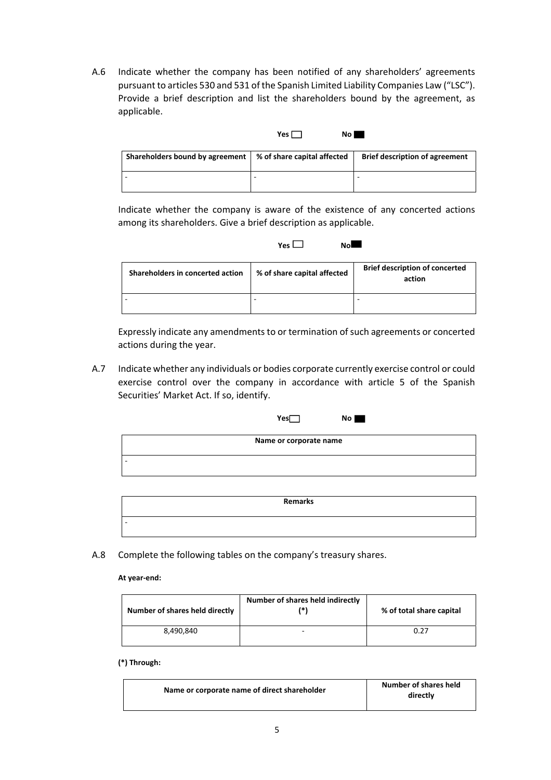A.6 Indicate whether the company has been notified of any shareholders' agreements pursuant to articles 530 and 531 of the Spanish Limited Liability Companies Law ("LSC"). Provide a brief description and list the shareholders bound by the agreement, as applicable.

| Yes. | N٥ |
|------|----|
|      |    |

| Shareholders bound by agreement   % of share capital affected | <b>Brief description of agreement</b> |
|---------------------------------------------------------------|---------------------------------------|
|                                                               |                                       |

Indicate whether the company is aware of the existence of any concerted actions among its shareholders. Give a brief description as applicable.



| Shareholders in concerted action | % of share capital affected | <b>Brief description of concerted</b><br>action |
|----------------------------------|-----------------------------|-------------------------------------------------|
|                                  |                             |                                                 |

Expressly indicate any amendments to or termination of such agreements or concerted actions during the year.

A.7 Indicate whether any individuals or bodies corporate currently exercise control or could exercise control over the company in accordance with article 5 of the Spanish Securities' Market Act. If so, identify.

|               | Yes[ |   | No |  |
|---------------|------|---|----|--|
|               |      |   |    |  |
| $\sim$ $\sim$ |      | - |    |  |

| Name or corporate name |
|------------------------|
|                        |
|                        |

|   | <b>Remarks</b> |  |
|---|----------------|--|
| - |                |  |

A.8 Complete the following tables on the company's treasury shares.

#### **At year‐end:**

| Number of shares held directly | Number of shares held indirectly<br>(*) | % of total share capital |
|--------------------------------|-----------------------------------------|--------------------------|
| 8.490.840                      | -                                       | 0.27                     |

**(\*) Through:**

| Name or corporate name of direct shareholder | Number of shares held<br>directly |  |
|----------------------------------------------|-----------------------------------|--|
|                                              |                                   |  |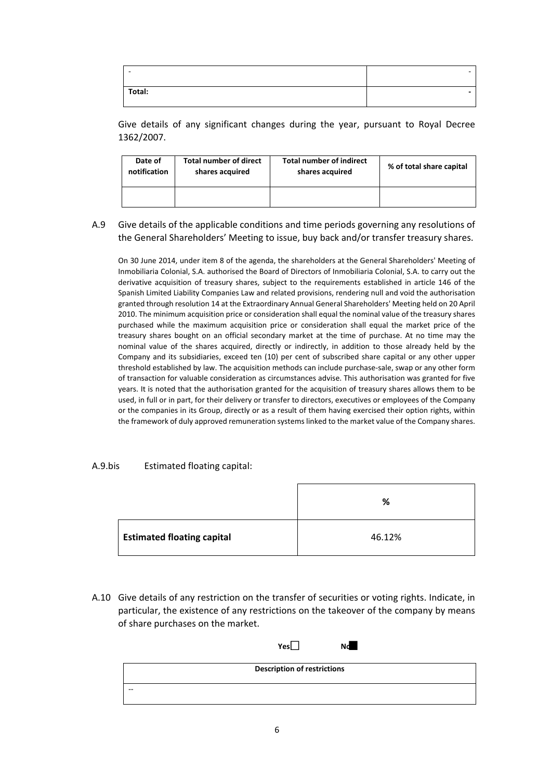| $\overline{\phantom{a}}$ |  |
|--------------------------|--|
| Total:                   |  |

Give details of any significant changes during the year, pursuant to Royal Decree 1362/2007.

| Date of      | <b>Total number of direct</b> | <b>Total number of indirect</b> | % of total share capital |
|--------------|-------------------------------|---------------------------------|--------------------------|
| notification | shares acquired               | shares acquired                 |                          |
|              |                               |                                 |                          |

# A.9 Give details of the applicable conditions and time periods governing any resolutions of the General Shareholders' Meeting to issue, buy back and/or transfer treasury shares.

On 30 June 2014, under item 8 of the agenda, the shareholders at the General Shareholders' Meeting of Inmobiliaria Colonial, S.A. authorised the Board of Directors of Inmobiliaria Colonial, S.A. to carry out the derivative acquisition of treasury shares, subject to the requirements established in article 146 of the Spanish Limited Liability Companies Law and related provisions, rendering null and void the authorisation granted through resolution 14 at the Extraordinary Annual General Shareholders' Meeting held on 20 April 2010. The minimum acquisition price or consideration shall equal the nominal value of the treasury shares purchased while the maximum acquisition price or consideration shall equal the market price of the treasury shares bought on an official secondary market at the time of purchase. At no time may the nominal value of the shares acquired, directly or indirectly, in addition to those already held by the Company and its subsidiaries, exceed ten (10) per cent of subscribed share capital or any other upper threshold established by law. The acquisition methods can include purchase‐sale, swap or any other form of transaction for valuable consideration as circumstances advise. This authorisation was granted for five years. It is noted that the authorisation granted for the acquisition of treasury shares allows them to be used, in full or in part, for their delivery or transfer to directors, executives or employees of the Company or the companies in its Group, directly or as a result of them having exercised their option rights, within the framework of duly approved remuneration systems linked to the market value of the Company shares.

## A.9.bis Estimated floating capital:

|                                   | %      |
|-----------------------------------|--------|
| <b>Estimated floating capital</b> | 46.12% |

A.10 Give details of any restriction on the transfer of securities or voting rights. Indicate, in particular, the existence of any restrictions on the takeover of the company by means of share purchases on the market.

| . <u>. .</u>                       | . |
|------------------------------------|---|
| <b>Description of restrictions</b> |   |
|                                    |   |
|                                    |   |
|                                    |   |

 $Y_{\text{es}}$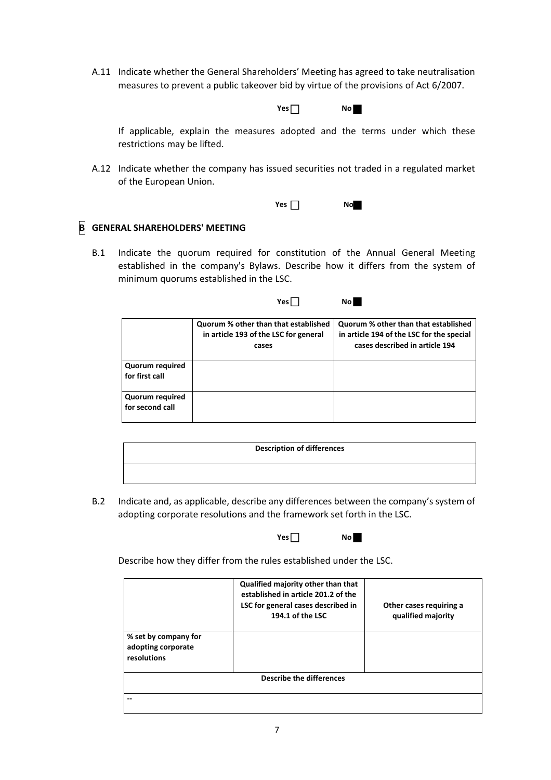A.11 Indicate whether the General Shareholders' Meeting has agreed to take neutralisation measures to prevent a public takeover bid by virtue of the provisions of Act 6/2007.



If applicable, explain the measures adopted and the terms under which these restrictions may be lifted.

A.12 Indicate whether the company has issued securities not traded in a regulated market of the European Union.

| Yes | ı | N |  |
|-----|---|---|--|
|-----|---|---|--|

# **B GENERAL SHAREHOLDERS' MEETING**

B.1 Indicate the quorum required for constitution of the Annual General Meeting established in the company's Bylaws. Describe how it differs from the system of minimum quorums established in the LSC.

| Yes [ | Νo |  |
|-------|----|--|
|-------|----|--|

|                                           | Quorum % other than that established<br>in article 193 of the LSC for general<br>cases | Quorum % other than that established<br>in article 194 of the LSC for the special<br>cases described in article 194 |
|-------------------------------------------|----------------------------------------------------------------------------------------|---------------------------------------------------------------------------------------------------------------------|
| <b>Quorum required</b><br>for first call  |                                                                                        |                                                                                                                     |
| <b>Quorum required</b><br>for second call |                                                                                        |                                                                                                                     |

| <b>Description of differences</b> |
|-----------------------------------|
|                                   |

B.2 Indicate and, as applicable, describe any differences between the company's system of adopting corporate resolutions and the framework set forth in the LSC.



Describe how they differ from the rules established under the LSC.

|                                                           | Qualified majority other than that<br>established in article 201.2 of the<br>LSC for general cases described in<br>194.1 of the LSC | Other cases requiring a<br>qualified majority |
|-----------------------------------------------------------|-------------------------------------------------------------------------------------------------------------------------------------|-----------------------------------------------|
| % set by company for<br>adopting corporate<br>resolutions |                                                                                                                                     |                                               |
|                                                           | <b>Describe the differences</b>                                                                                                     |                                               |
|                                                           |                                                                                                                                     |                                               |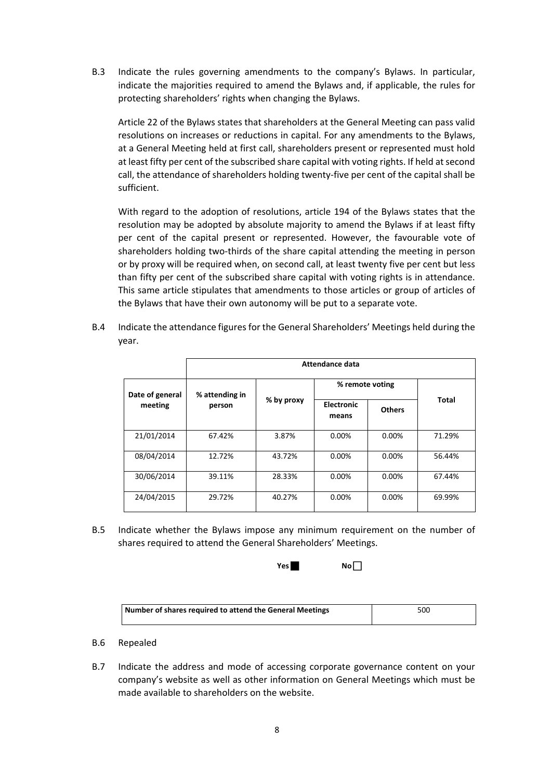B.3 Indicate the rules governing amendments to the company's Bylaws. In particular, indicate the majorities required to amend the Bylaws and, if applicable, the rules for protecting shareholders' rights when changing the Bylaws.

Article 22 of the Bylaws states that shareholders at the General Meeting can pass valid resolutions on increases or reductions in capital. For any amendments to the Bylaws, at a General Meeting held at first call, shareholders present or represented must hold at least fifty per cent of the subscribed share capital with voting rights. If held atsecond call, the attendance of shareholders holding twenty‐five per cent of the capital shall be sufficient.

With regard to the adoption of resolutions, article 194 of the Bylaws states that the resolution may be adopted by absolute majority to amend the Bylaws if at least fifty per cent of the capital present or represented. However, the favourable vote of shareholders holding two-thirds of the share capital attending the meeting in person or by proxy will be required when, on second call, at least twenty five per cent but less than fifty per cent of the subscribed share capital with voting rights is in attendance. This same article stipulates that amendments to those articles or group of articles of the Bylaws that have their own autonomy will be put to a separate vote.

B.4 Indicate the attendance figuresfor the General Shareholders' Meetings held during the year.

|                 | Attendance data          |            |                     |               |              |
|-----------------|--------------------------|------------|---------------------|---------------|--------------|
| Date of general | % attending in<br>person | % by proxy | % remote voting     |               |              |
| meeting         |                          |            | Electronic<br>means | <b>Others</b> | <b>Total</b> |
| 21/01/2014      | 67.42%                   | 3.87%      | $0.00\%$            | 0.00%         | 71.29%       |
| 08/04/2014      | 12.72%                   | 43.72%     | $0.00\%$            | 0.00%         | 56.44%       |
| 30/06/2014      | 39.11%                   | 28.33%     | $0.00\%$            | 0.00%         | 67.44%       |
| 24/04/2015      | 29.72%                   | 40.27%     | 0.00%               | 0.00%         | 69.99%       |

B.5 Indicate whether the Bylaws impose any minimum requirement on the number of shares required to attend the General Shareholders' Meetings.

## **Yes No**

| Number of shares required to attend the General Meetings | 500 |
|----------------------------------------------------------|-----|
|                                                          |     |

## B.6 Repealed

B.7 Indicate the address and mode of accessing corporate governance content on your company's website as well as other information on General Meetings which must be made available to shareholders on the website.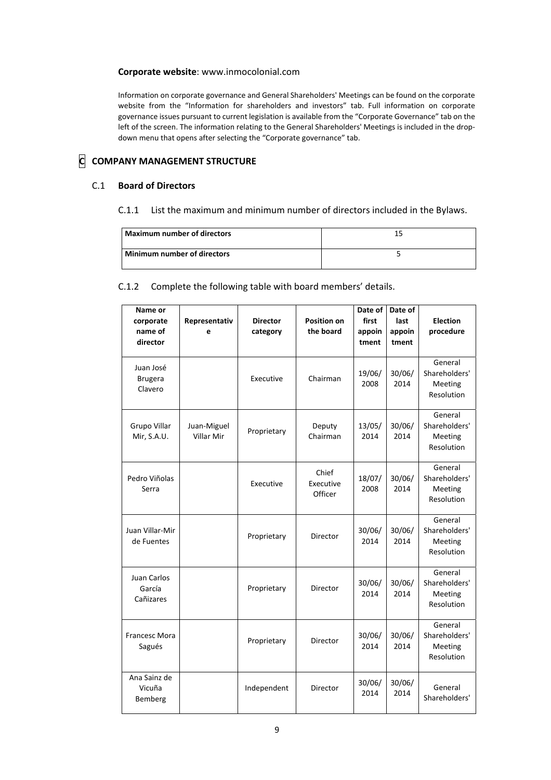#### **Corporate website**: www.inmocolonial.com

Information on corporate governance and General Shareholders' Meetings can be found on the corporate website from the "Information for shareholders and investors" tab. Full information on corporate governance issues pursuant to current legislation is available from the "Corporate Governance" tab on the left of the screen. The information relating to the General Shareholders' Meetings is included in the dropdown menu that opens after selecting the "Corporate governance" tab.

# **C COMPANY MANAGEMENT STRUCTURE**

#### C.1 **Board of Directors**

#### C.1.1 List the maximum and minimum number of directors included in the Bylaws.

| Maximum number of directors        |  |
|------------------------------------|--|
| <b>Minimum number of directors</b> |  |

### C.1.2 Complete the following table with board members' details.

| Name or                                   |                                  |                             |                                 | Date of                  | Date of                 |                                                   |
|-------------------------------------------|----------------------------------|-----------------------------|---------------------------------|--------------------------|-------------------------|---------------------------------------------------|
| corporate<br>name of<br>director          | Representativ<br>e               | <b>Director</b><br>category | <b>Position on</b><br>the board | first<br>appoin<br>tment | last<br>appoin<br>tment | <b>Election</b><br>procedure                      |
| Juan José<br><b>Brugera</b><br>Clavero    |                                  | Executive                   | Chairman                        | 19/06/<br>2008           | 30/06/<br>2014          | General<br>Shareholders'<br>Meeting<br>Resolution |
| Grupo Villar<br>Mir, S.A.U.               | Juan-Miguel<br><b>Villar Mir</b> | Proprietary                 | Deputy<br>Chairman              | 13/05/<br>2014           | 30/06/<br>2014          | General<br>Shareholders'<br>Meeting<br>Resolution |
| Pedro Viñolas<br>Serra                    |                                  | Executive                   | Chief<br>Executive<br>Officer   | 18/07/<br>2008           | 30/06/<br>2014          | General<br>Shareholders'<br>Meeting<br>Resolution |
| Juan Villar-Mir<br>de Fuentes             |                                  | Proprietary                 | Director                        | 30/06/<br>2014           | 30/06/<br>2014          | General<br>Shareholders'<br>Meeting<br>Resolution |
| <b>Juan Carlos</b><br>García<br>Cañizares |                                  | Proprietary                 | Director                        | 30/06/<br>2014           | 30/06/<br>2014          | General<br>Shareholders'<br>Meeting<br>Resolution |
| Francesc Mora<br>Sagués                   |                                  | Proprietary                 | Director                        | 30/06/<br>2014           | 30/06/<br>2014          | General<br>Shareholders'<br>Meeting<br>Resolution |
| Ana Sainz de<br>Vicuña<br>Bemberg         |                                  | Independent                 | Director                        | 30/06/<br>2014           | 30/06/<br>2014          | General<br>Shareholders'                          |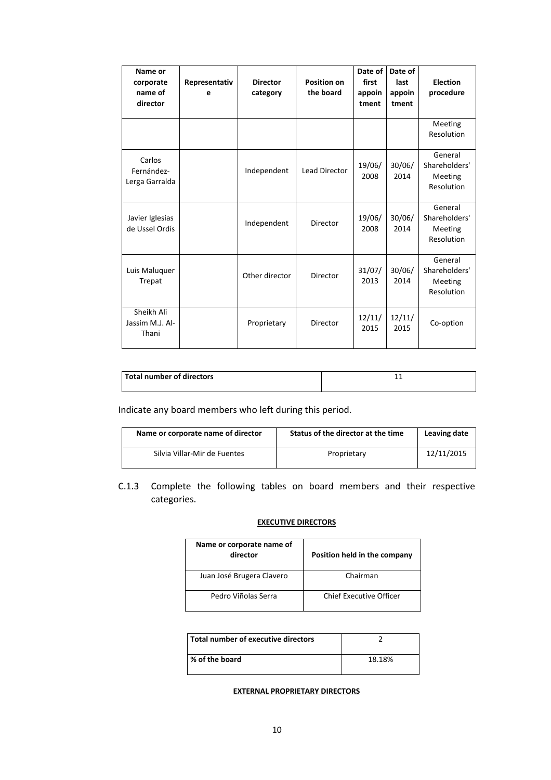| Name or<br>corporate<br>name of<br>director | Representativ<br>е | <b>Director</b><br>category | <b>Position on</b><br>the board | Date of<br>first<br>appoin<br>tment | Date of<br>last<br>appoin<br>tment | <b>Election</b><br>procedure                      |
|---------------------------------------------|--------------------|-----------------------------|---------------------------------|-------------------------------------|------------------------------------|---------------------------------------------------|
|                                             |                    |                             |                                 |                                     |                                    | Meeting<br>Resolution                             |
| Carlos<br>Fernández-<br>Lerga Garralda      |                    | Independent                 | <b>Lead Director</b>            | 19/06/<br>2008                      | 30/06/<br>2014                     | General<br>Shareholders'<br>Meeting<br>Resolution |
| Javier Iglesias<br>de Ussel Ordís           |                    | Independent                 | Director                        | 19/06/<br>2008                      | 30/06/<br>2014                     | General<br>Shareholders'<br>Meeting<br>Resolution |
| Luis Maluquer<br>Trepat                     |                    | Other director              | Director                        | 31/07/<br>2013                      | 30/06/<br>2014                     | General<br>Shareholders'<br>Meeting<br>Resolution |
| Sheikh Ali<br>Jassim M.J. Al-<br>Thani      |                    | Proprietary                 | Director                        | 12/11/<br>2015                      | 12/11/<br>2015                     | Co-option                                         |

| Total number of directors |  |
|---------------------------|--|
|                           |  |

Indicate any board members who left during this period.

| Name or corporate name of director | Status of the director at the time | Leaving date |
|------------------------------------|------------------------------------|--------------|
| Silvia Villar-Mir de Fuentes       | Proprietary                        | 12/11/2015   |

# C.1.3 Complete the following tables on board members and their respective categories.

#### **EXECUTIVE DIRECTORS**

| Name or corporate name of<br>director | Position held in the company   |
|---------------------------------------|--------------------------------|
| Juan José Brugera Clavero             | Chairman                       |
| Pedro Viñolas Serra                   | <b>Chief Executive Officer</b> |

| l Total number of executive directors |        |
|---------------------------------------|--------|
| l % of the board                      | 18.18% |

#### **EXTERNAL PROPRIETARY DIRECTORS**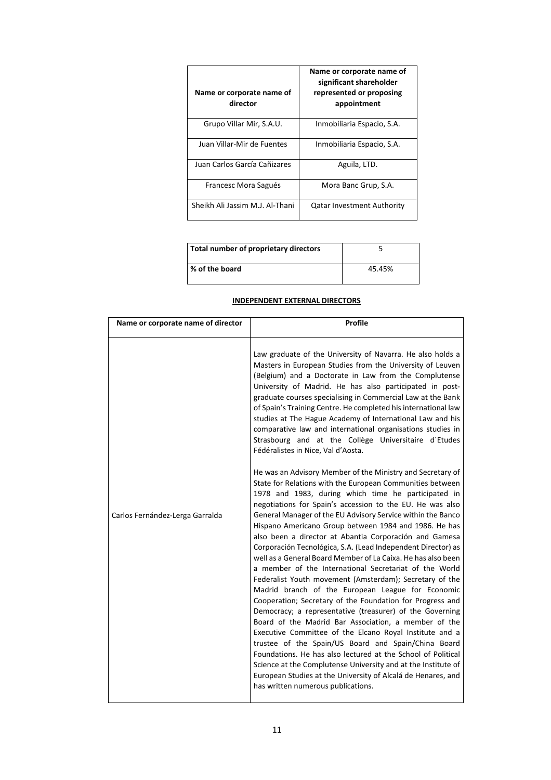| Name or corporate name of<br>director | Name or corporate name of<br>significant shareholder<br>represented or proposing<br>appointment |
|---------------------------------------|-------------------------------------------------------------------------------------------------|
| Grupo Villar Mir, S.A.U.              | Inmobiliaria Espacio, S.A.                                                                      |
| Juan Villar-Mir de Fuentes            | Inmobiliaria Espacio, S.A.                                                                      |
| Juan Carlos García Cañizares          | Aguila, LTD.                                                                                    |
| Francesc Mora Sagués                  | Mora Banc Grup, S.A.                                                                            |
| Sheikh Ali Jassim M.J. Al-Thani       | <b>Qatar Investment Authority</b>                                                               |

| Total number of proprietary directors |        |
|---------------------------------------|--------|
| Sof the board                         | 45.45% |

## **INDEPENDENT EXTERNAL DIRECTORS**

| Name or corporate name of director | Profile                                                                                                                                                                                                                                                                                                                                                                                                                                                                                                                                                                                                                                                                                                                                                                                                                                                                                                                                                             |
|------------------------------------|---------------------------------------------------------------------------------------------------------------------------------------------------------------------------------------------------------------------------------------------------------------------------------------------------------------------------------------------------------------------------------------------------------------------------------------------------------------------------------------------------------------------------------------------------------------------------------------------------------------------------------------------------------------------------------------------------------------------------------------------------------------------------------------------------------------------------------------------------------------------------------------------------------------------------------------------------------------------|
| Carlos Fernández-Lerga Garralda    | Law graduate of the University of Navarra. He also holds a<br>Masters in European Studies from the University of Leuven<br>(Belgium) and a Doctorate in Law from the Complutense<br>University of Madrid. He has also participated in post-<br>graduate courses specialising in Commercial Law at the Bank<br>of Spain's Training Centre. He completed his international law<br>studies at The Hague Academy of International Law and his<br>comparative law and international organisations studies in<br>Strasbourg and at the Collège Universitaire d'Etudes<br>Fédéralistes in Nice, Val d'Aosta.<br>He was an Advisory Member of the Ministry and Secretary of<br>State for Relations with the European Communities between<br>1978 and 1983, during which time he participated in<br>negotiations for Spain's accession to the EU. He was also<br>General Manager of the EU Advisory Service within the Banco                                                 |
|                                    | Hispano Americano Group between 1984 and 1986. He has<br>also been a director at Abantia Corporación and Gamesa<br>Corporación Tecnológica, S.A. (Lead Independent Director) as<br>well as a General Board Member of La Caixa. He has also been<br>a member of the International Secretariat of the World<br>Federalist Youth movement (Amsterdam); Secretary of the<br>Madrid branch of the European League for Economic<br>Cooperation; Secretary of the Foundation for Progress and<br>Democracy; a representative (treasurer) of the Governing<br>Board of the Madrid Bar Association, a member of the<br>Executive Committee of the Elcano Royal Institute and a<br>trustee of the Spain/US Board and Spain/China Board<br>Foundations. He has also lectured at the School of Political<br>Science at the Complutense University and at the Institute of<br>European Studies at the University of Alcalá de Henares, and<br>has written numerous publications. |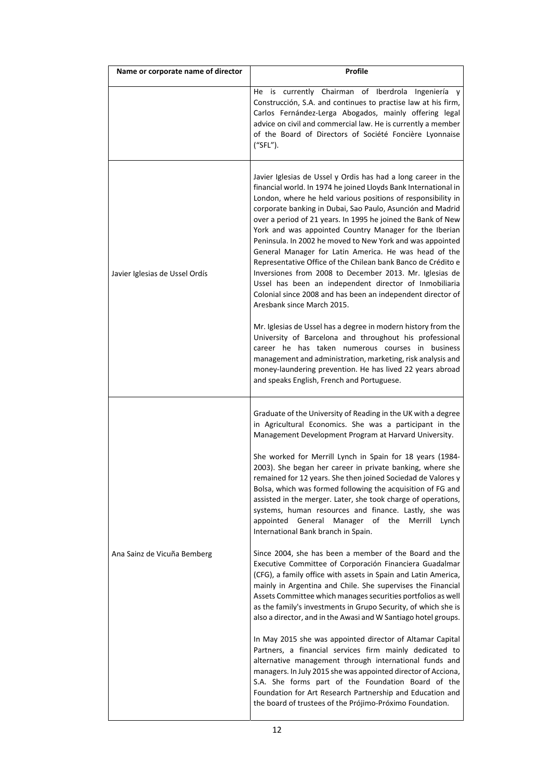| Name or corporate name of director | Profile                                                                                                                                                                                                                                                                                                                                                                                                                                                                                                                                                                                                                                                                                                                                                                                          |
|------------------------------------|--------------------------------------------------------------------------------------------------------------------------------------------------------------------------------------------------------------------------------------------------------------------------------------------------------------------------------------------------------------------------------------------------------------------------------------------------------------------------------------------------------------------------------------------------------------------------------------------------------------------------------------------------------------------------------------------------------------------------------------------------------------------------------------------------|
|                                    | currently Chairman of Iberdrola Ingeniería y<br>He is<br>Construcción, S.A. and continues to practise law at his firm,<br>Carlos Fernández-Lerga Abogados, mainly offering legal<br>advice on civil and commercial law. He is currently a member<br>of the Board of Directors of Société Foncière Lyonnaise<br>("SFL").                                                                                                                                                                                                                                                                                                                                                                                                                                                                          |
| Javier Iglesias de Ussel Ordís     | Javier Iglesias de Ussel y Ordis has had a long career in the<br>financial world. In 1974 he joined Lloyds Bank International in<br>London, where he held various positions of responsibility in<br>corporate banking in Dubai, Sao Paulo, Asunción and Madrid<br>over a period of 21 years. In 1995 he joined the Bank of New<br>York and was appointed Country Manager for the Iberian<br>Peninsula. In 2002 he moved to New York and was appointed<br>General Manager for Latin America. He was head of the<br>Representative Office of the Chilean bank Banco de Crédito e<br>Inversiones from 2008 to December 2013. Mr. Iglesias de<br>Ussel has been an independent director of Inmobiliaria<br>Colonial since 2008 and has been an independent director of<br>Aresbank since March 2015. |
|                                    | Mr. Iglesias de Ussel has a degree in modern history from the<br>University of Barcelona and throughout his professional<br>career he has taken numerous courses in business<br>management and administration, marketing, risk analysis and<br>money-laundering prevention. He has lived 22 years abroad<br>and speaks English, French and Portuguese.                                                                                                                                                                                                                                                                                                                                                                                                                                           |
|                                    | Graduate of the University of Reading in the UK with a degree<br>in Agricultural Economics. She was a participant in the<br>Management Development Program at Harvard University.                                                                                                                                                                                                                                                                                                                                                                                                                                                                                                                                                                                                                |
|                                    | She worked for Merrill Lynch in Spain for 18 years (1984-<br>2003). She began her career in private banking, where she<br>remained for 12 years. She then joined Sociedad de Valores y<br>Bolsa, which was formed following the acquisition of FG and<br>assisted in the merger. Later, she took charge of operations,<br>systems, human resources and finance. Lastly, she was<br>appointed General Manager of the<br>Merrill<br>Lynch<br>International Bank branch in Spain.                                                                                                                                                                                                                                                                                                                   |
| Ana Sainz de Vicuña Bemberg        | Since 2004, she has been a member of the Board and the<br>Executive Committee of Corporación Financiera Guadalmar<br>(CFG), a family office with assets in Spain and Latin America,<br>mainly in Argentina and Chile. She supervises the Financial<br>Assets Committee which manages securities portfolios as well<br>as the family's investments in Grupo Security, of which she is<br>also a director, and in the Awasi and W Santiago hotel groups.                                                                                                                                                                                                                                                                                                                                           |
|                                    | In May 2015 she was appointed director of Altamar Capital<br>Partners, a financial services firm mainly dedicated to<br>alternative management through international funds and<br>managers. In July 2015 she was appointed director of Acciona,<br>S.A. She forms part of the Foundation Board of the<br>Foundation for Art Research Partnership and Education and<br>the board of trustees of the Prójimo-Próximo Foundation.                                                                                                                                                                                                                                                                                                                                                                   |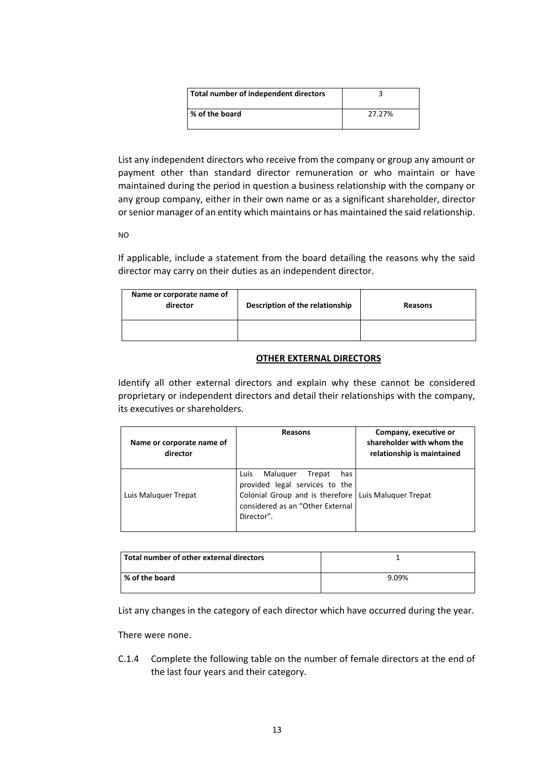| Total number of independent directors |        |
|---------------------------------------|--------|
| Sof the board                         | 27.27% |

List any independent directors who receive from the company or group any amount or payment other than standard director remuneration or who maintain or have maintained during the period in question a business relationship with the company or any group company, either in their own name or as a significant shareholder, director orsenior manager of an entity which maintains or has maintained the said relationship.

NO

If applicable, include a statement from the board detailing the reasons why the said director may carry on their duties as an independent director.

| Name or corporate name of<br>director | Description of the relationship | Reasons |
|---------------------------------------|---------------------------------|---------|
|                                       |                                 |         |

# **OTHER EXTERNAL DIRECTORS**

Identify all other external directors and explain why these cannot be considered proprietary or independent directors and detail their relationships with the company, its executives or shareholders.

| Name or corporate name of<br>director | Reasons                                                                                                                                                                       | Company, executive or<br>shareholder with whom the<br>relationship is maintained |
|---------------------------------------|-------------------------------------------------------------------------------------------------------------------------------------------------------------------------------|----------------------------------------------------------------------------------|
| Luis Maluguer Trepat                  | Maluguer<br>Luis<br>Trepat<br>has<br>provided legal services to the<br>Colonial Group and is therefore Luis Maluquer Trepat<br>considered as an "Other External<br>Director". |                                                                                  |

| Total number of other external directors |       |
|------------------------------------------|-------|
| % of the board                           | 9.09% |

List any changes in the category of each director which have occurred during the year.

There were none.

C.1.4 Complete the following table on the number of female directors at the end of the last four years and their category.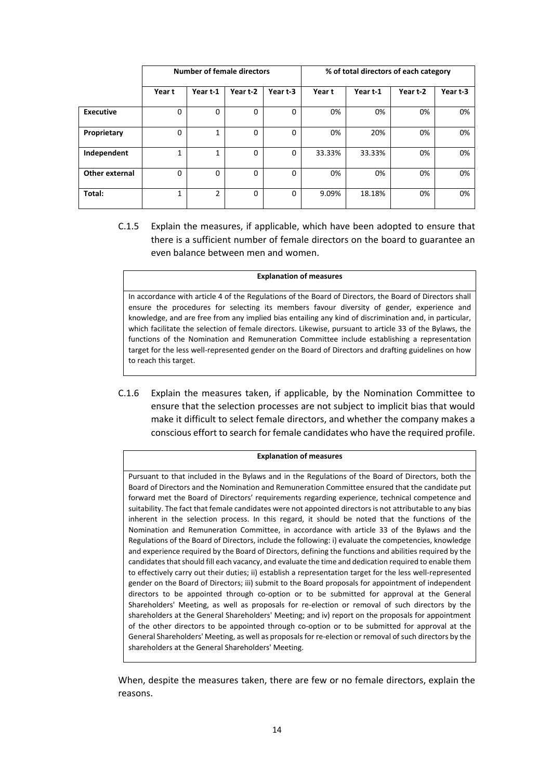|                  | <b>Number of female directors</b> |                |          |          |        | % of total directors of each category |          |          |
|------------------|-----------------------------------|----------------|----------|----------|--------|---------------------------------------|----------|----------|
|                  | Year t                            | Year t-1       | Year t-2 | Year t-3 | Year t | Year t-1                              | Year t-2 | Year t-3 |
| <b>Executive</b> | $\Omega$                          | 0              | 0        | 0        | 0%     | 0%                                    | 0%       | 0%       |
| Proprietary      | $\Omega$                          | 1              | $\Omega$ | $\Omega$ | 0%     | 20%                                   | 0%       | 0%       |
| Independent      | 1                                 | $\mathbf{1}$   | 0        | 0        | 33.33% | 33.33%                                | 0%       | 0%       |
| Other external   | $\Omega$                          | $\mathbf 0$    | 0        | $\Omega$ | 0%     | 0%                                    | 0%       | 0%       |
| Total:           | 1                                 | $\overline{2}$ | $\Omega$ | $\Omega$ | 9.09%  | 18.18%                                | 0%       | 0%       |

C.1.5 Explain the measures, if applicable, which have been adopted to ensure that there is a sufficient number of female directors on the board to guarantee an even balance between men and women.

#### **Explanation of measures**

In accordance with article 4 of the Regulations of the Board of Directors, the Board of Directors shall ensure the procedures for selecting its members favour diversity of gender, experience and knowledge, and are free from any implied bias entailing any kind of discrimination and, in particular, which facilitate the selection of female directors. Likewise, pursuant to article 33 of the Bylaws, the functions of the Nomination and Remuneration Committee include establishing a representation target for the less well-represented gender on the Board of Directors and drafting guidelines on how to reach this target.

C.1.6 Explain the measures taken, if applicable, by the Nomination Committee to ensure that the selection processes are not subject to implicit bias that would make it difficult to select female directors, and whether the company makes a conscious effort to search for female candidates who have the required profile.

#### **Explanation of measures**

Pursuant to that included in the Bylaws and in the Regulations of the Board of Directors, both the Board of Directors and the Nomination and Remuneration Committee ensured that the candidate put forward met the Board of Directors' requirements regarding experience, technical competence and suitability. The fact that female candidates were not appointed directors is not attributable to any bias inherent in the selection process. In this regard, it should be noted that the functions of the Nomination and Remuneration Committee, in accordance with article 33 of the Bylaws and the Regulations of the Board of Directors, include the following: i) evaluate the competencies, knowledge and experience required by the Board of Directors, defining the functions and abilities required by the candidates that should fill each vacancy, and evaluate the time and dedication required to enable them to effectively carry out their duties; ii) establish a representation target for the less well-represented gender on the Board of Directors; iii) submit to the Board proposals for appointment of independent directors to be appointed through co‐option or to be submitted for approval at the General Shareholders' Meeting, as well as proposals for re-election or removal of such directors by the shareholders at the General Shareholders' Meeting; and iv) report on the proposals for appointment of the other directors to be appointed through co‐option or to be submitted for approval at the General Shareholders' Meeting, as well as proposals for re-election or removal of such directors by the shareholders at the General Shareholders' Meeting.

When, despite the measures taken, there are few or no female directors, explain the reasons.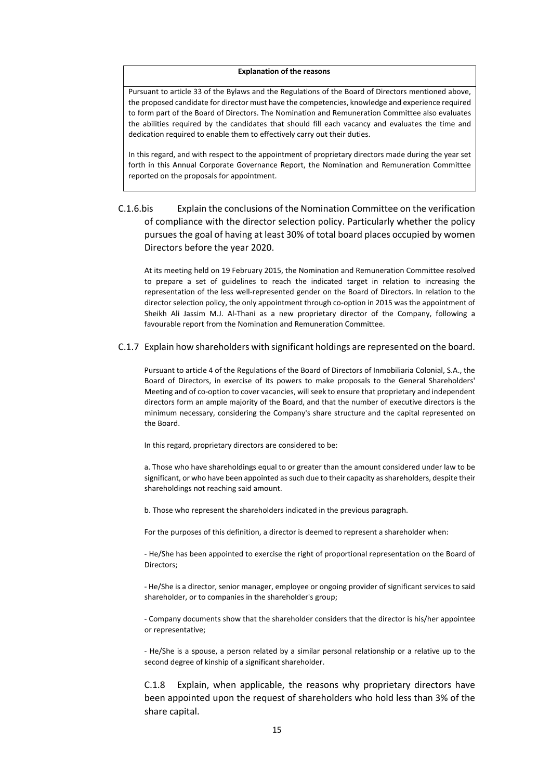#### **Explanation of the reasons**

Pursuant to article 33 of the Bylaws and the Regulations of the Board of Directors mentioned above, the proposed candidate for director must have the competencies, knowledge and experience required to form part of the Board of Directors. The Nomination and Remuneration Committee also evaluates the abilities required by the candidates that should fill each vacancy and evaluates the time and dedication required to enable them to effectively carry out their duties.

In this regard, and with respect to the appointment of proprietary directors made during the year set forth in this Annual Corporate Governance Report, the Nomination and Remuneration Committee reported on the proposals for appointment.

C.1.6.bis Explain the conclusions of the Nomination Committee on the verification of compliance with the director selection policy. Particularly whether the policy pursues the goal of having at least 30% of total board places occupied by women Directors before the year 2020.

At its meeting held on 19 February 2015, the Nomination and Remuneration Committee resolved to prepare a set of guidelines to reach the indicated target in relation to increasing the representation of the less well-represented gender on the Board of Directors. In relation to the director selection policy, the only appointment through co‐option in 2015 was the appointment of Sheikh Ali Jassim M.J. Al‐Thani as a new proprietary director of the Company, following a favourable report from the Nomination and Remuneration Committee.

C.1.7 Explain how shareholders with significant holdings are represented on the board.

Pursuant to article 4 of the Regulations of the Board of Directors of Inmobiliaria Colonial, S.A., the Board of Directors, in exercise of its powers to make proposals to the General Shareholders' Meeting and of co‐option to cover vacancies, will seek to ensure that proprietary and independent directors form an ample majority of the Board, and that the number of executive directors is the minimum necessary, considering the Company's share structure and the capital represented on the Board.

In this regard, proprietary directors are considered to be:

a. Those who have shareholdings equal to or greater than the amount considered under law to be significant, or who have been appointed as such due to their capacity as shareholders, despite their shareholdings not reaching said amount.

b. Those who represent the shareholders indicated in the previous paragraph.

For the purposes of this definition, a director is deemed to represent a shareholder when:

‐ He/She has been appointed to exercise the right of proportional representation on the Board of Directors;

‐ He/She is a director, senior manager, employee or ongoing provider of significant services to said shareholder, or to companies in the shareholder's group;

‐ Company documents show that the shareholder considers that the director is his/her appointee or representative;

‐ He/She is a spouse, a person related by a similar personal relationship or a relative up to the second degree of kinship of a significant shareholder.

C.1.8 Explain, when applicable, the reasons why proprietary directors have been appointed upon the request of shareholders who hold less than 3% of the share capital.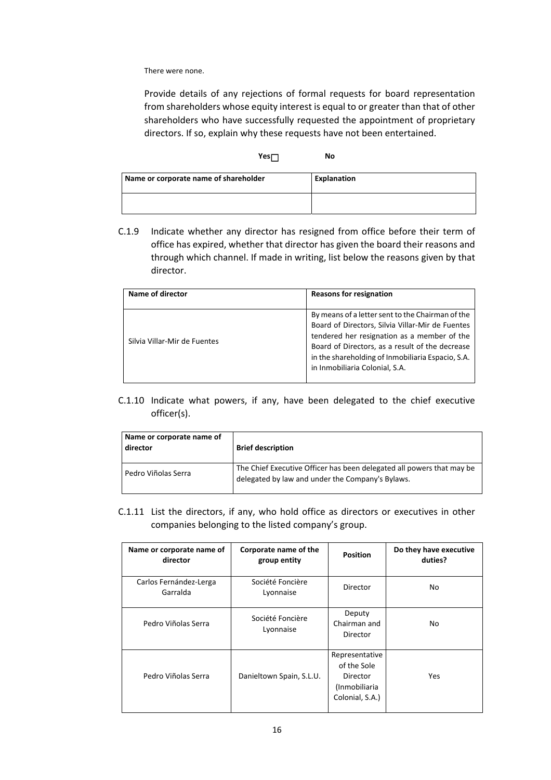There were none.

Provide details of any rejections of formal requests for board representation from shareholders whose equity interest is equal to or greater than that of other shareholders who have successfully requested the appointment of proprietary directors. If so, explain why these requests have not been entertained.

### **Yes No**

| Name or corporate name of shareholder | <b>Explanation</b> |  |
|---------------------------------------|--------------------|--|
|                                       |                    |  |

C.1.9 Indicate whether any director has resigned from office before their term of office has expired, whether that director has given the board their reasons and through which channel. If made in writing, list below the reasons given by that director.

| Name of director             | <b>Reasons for resignation</b>                                                                                                                                                                                                                                                                |
|------------------------------|-----------------------------------------------------------------------------------------------------------------------------------------------------------------------------------------------------------------------------------------------------------------------------------------------|
| Silvia Villar-Mir de Fuentes | By means of a letter sent to the Chairman of the<br>Board of Directors, Silvia Villar-Mir de Fuentes<br>tendered her resignation as a member of the<br>Board of Directors, as a result of the decrease<br>in the shareholding of Inmobiliaria Espacio, S.A.<br>in Inmobiliaria Colonial, S.A. |

C.1.10 Indicate what powers, if any, have been delegated to the chief executive officer(s).

| Name or corporate name of<br>director | <b>Brief description</b>                                                                                                  |
|---------------------------------------|---------------------------------------------------------------------------------------------------------------------------|
| Pedro Viñolas Serra                   | The Chief Executive Officer has been delegated all powers that may be<br>delegated by law and under the Company's Bylaws. |

C.1.11 List the directors, if any, who hold office as directors or executives in other companies belonging to the listed company's group.

| Name or corporate name of<br>director | Corporate name of the<br>group entity | <b>Position</b>                                                               | Do they have executive<br>duties? |
|---------------------------------------|---------------------------------------|-------------------------------------------------------------------------------|-----------------------------------|
| Carlos Fernández-Lerga<br>Garralda    | Société Foncière<br>Lyonnaise         | Director                                                                      | No                                |
| Pedro Viñolas Serra                   | Société Foncière<br>Lyonnaise         | Deputy<br>Chairman and<br>Director                                            | No                                |
| Pedro Viñolas Serra                   | Danieltown Spain, S.L.U.              | Representative<br>of the Sole<br>Director<br>(Inmobiliaria<br>Colonial, S.A.) | Yes                               |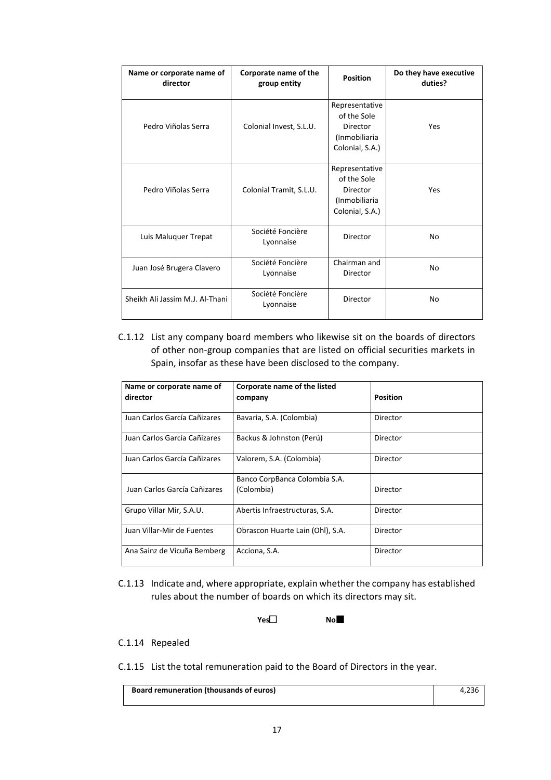| Name or corporate name of<br>director | Corporate name of the<br>group entity | <b>Position</b>                                                               | Do they have executive<br>duties? |
|---------------------------------------|---------------------------------------|-------------------------------------------------------------------------------|-----------------------------------|
| Pedro Viñolas Serra                   | Colonial Invest, S.L.U.               | Representative<br>of the Sole<br>Director<br>(Inmobiliaria<br>Colonial, S.A.) | Yes                               |
| Pedro Viñolas Serra                   | Colonial Tramit, S.L.U.               | Representative<br>of the Sole<br>Director<br>(Inmobiliaria<br>Colonial, S.A.) | Yes                               |
| Luis Maluquer Trepat                  | Société Foncière<br>Lyonnaise         | Director                                                                      | No                                |
| Juan José Brugera Clavero             | Société Foncière<br>Lyonnaise         | Chairman and<br>Director                                                      | N <sub>0</sub>                    |
| Sheikh Ali Jassim M.J. Al-Thani       | Société Foncière<br>Lyonnaise         | Director                                                                      | No                                |

C.1.12 List any company board members who likewise sit on the boards of directors of other non‐group companies that are listed on official securities markets in Spain, insofar as these have been disclosed to the company.

| Name or corporate name of<br>director | Corporate name of the listed<br>company | <b>Position</b> |
|---------------------------------------|-----------------------------------------|-----------------|
| Juan Carlos García Cañizares          | Bavaria, S.A. (Colombia)                | Director        |
|                                       |                                         |                 |
| Juan Carlos García Cañizares          | Backus & Johnston (Perú)                | Director        |
| Juan Carlos García Cañizares          | Valorem, S.A. (Colombia)                | Director        |
|                                       | Banco CorpBanca Colombia S.A.           |                 |
| Juan Carlos García Cañizares          | (Colombia)                              | Director        |
| Grupo Villar Mir, S.A.U.              | Abertis Infraestructuras, S.A.          | Director        |
| Juan Villar-Mir de Fuentes            | Obrascon Huarte Lain (Ohl), S.A.        | Director        |
| Ana Sainz de Vicuña Bemberg           | Acciona, S.A.                           | Director        |

C.1.13 Indicate and, where appropriate, explain whether the company has established rules about the number of boards on which its directors may sit.

**Yes No** 

## C.1.14 Repealed

C.1.15 List the total remuneration paid to the Board of Directors in the year.

| <b>Board remuneration (thousands of euros)</b> |  |
|------------------------------------------------|--|
|                                                |  |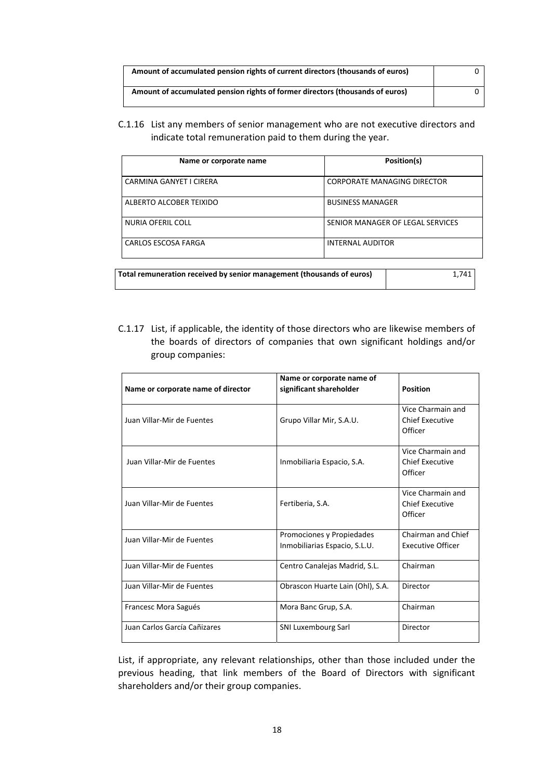| Amount of accumulated pension rights of current directors (thousands of euros) |  |
|--------------------------------------------------------------------------------|--|
| Amount of accumulated pension rights of former directors (thousands of euros)  |  |

C.1.16 List any members of senior management who are not executive directors and indicate total remuneration paid to them during the year.

| Name or corporate name  | Position(s)                      |
|-------------------------|----------------------------------|
| CARMINA GANYET I CIRERA | CORPORATE MANAGING DIRECTOR      |
| ALBERTO ALCOBER TEIXIDO | <b>BUSINESS MANAGER</b>          |
| NURIA OFERIL COLL       | SENIOR MANAGER OF LEGAL SERVICES |
| CARLOS ESCOSA FARGA     | <b>INTERNAL AUDITOR</b>          |

| Total remuneration received by senior management (thousands of euros) | 1.741 |
|-----------------------------------------------------------------------|-------|
|                                                                       |       |

C.1.17 List, if applicable, the identity of those directors who are likewise members of the boards of directors of companies that own significant holdings and/or group companies:

| Name or corporate name of director | Name or corporate name of<br>significant shareholder       | <b>Position</b>                                        |
|------------------------------------|------------------------------------------------------------|--------------------------------------------------------|
| Juan Villar-Mir de Fuentes         | Grupo Villar Mir, S.A.U.                                   | Vice Charmain and<br><b>Chief Executive</b><br>Officer |
| Juan Villar-Mir de Fuentes         | Inmobiliaria Espacio, S.A.                                 | Vice Charmain and<br><b>Chief Executive</b><br>Officer |
| Juan Villar-Mir de Fuentes         | Fertiberia, S.A.                                           | Vice Charmain and<br><b>Chief Executive</b><br>Officer |
| Juan Villar-Mir de Fuentes         | Promociones y Propiedades<br>Inmobiliarias Espacio, S.L.U. | Chairman and Chief<br><b>Executive Officer</b>         |
| Juan Villar-Mir de Fuentes         | Centro Canalejas Madrid, S.L.                              | Chairman                                               |
| Juan Villar-Mir de Fuentes         | Obrascon Huarte Lain (Ohl), S.A.                           | Director                                               |
| Francesc Mora Sagués               | Mora Banc Grup, S.A.                                       | Chairman                                               |
| Juan Carlos García Cañizares       | SNI Luxembourg Sarl                                        | Director                                               |

List, if appropriate, any relevant relationships, other than those included under the previous heading, that link members of the Board of Directors with significant shareholders and/or their group companies.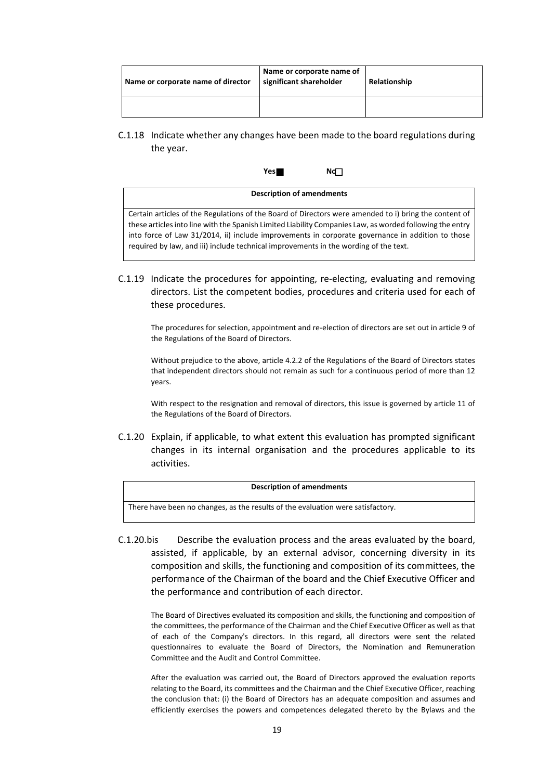| Name or corporate name of director | Name or corporate name of<br>significant shareholder | Relationship |
|------------------------------------|------------------------------------------------------|--------------|
|                                    |                                                      |              |

C.1.18 Indicate whether any changes have been made to the board regulations during the year.

|  | . .<br>r<br>п<br>J |
|--|--------------------|
|--|--------------------|

**Description of amendments** Certain articles of the Regulations of the Board of Directors were amended to i) bring the content of these articlesinto line with the Spanish Limited Liability Companies Law, as worded following the entry into force of Law 31/2014, ii) include improvements in corporate governance in addition to those required by law, and iii) include technical improvements in the wording of the text.

C.1.19 Indicate the procedures for appointing, re‐electing, evaluating and removing directors. List the competent bodies, procedures and criteria used for each of these procedures.

The procedures for selection, appointment and re‐election of directors are set out in article 9 of the Regulations of the Board of Directors.

Without prejudice to the above, article 4.2.2 of the Regulations of the Board of Directors states that independent directors should not remain as such for a continuous period of more than 12 years.

With respect to the resignation and removal of directors, this issue is governed by article 11 of the Regulations of the Board of Directors.

C.1.20 Explain, if applicable, to what extent this evaluation has prompted significant changes in its internal organisation and the procedures applicable to its activities.

#### **Description of amendments**

There have been no changes, as the results of the evaluation were satisfactory.

C.1.20.bis Describe the evaluation process and the areas evaluated by the board, assisted, if applicable, by an external advisor, concerning diversity in its composition and skills, the functioning and composition of its committees, the performance of the Chairman of the board and the Chief Executive Officer and the performance and contribution of each director.

The Board of Directives evaluated its composition and skills, the functioning and composition of the committees, the performance of the Chairman and the Chief Executive Officer as well as that of each of the Company's directors. In this regard, all directors were sent the related questionnaires to evaluate the Board of Directors, the Nomination and Remuneration Committee and the Audit and Control Committee.

After the evaluation was carried out, the Board of Directors approved the evaluation reports relating to the Board, its committees and the Chairman and the Chief Executive Officer, reaching the conclusion that: (i) the Board of Directors has an adequate composition and assumes and efficiently exercises the powers and competences delegated thereto by the Bylaws and the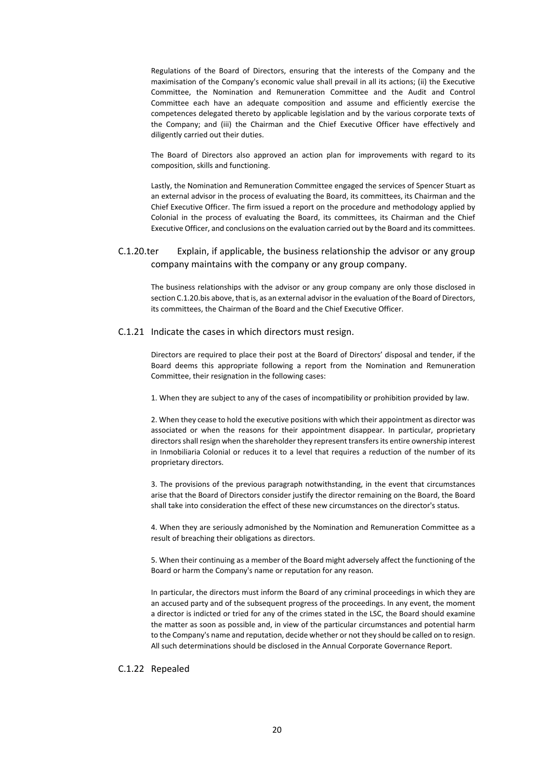Regulations of the Board of Directors, ensuring that the interests of the Company and the maximisation of the Company's economic value shall prevail in all its actions; (ii) the Executive Committee, the Nomination and Remuneration Committee and the Audit and Control Committee each have an adequate composition and assume and efficiently exercise the competences delegated thereto by applicable legislation and by the various corporate texts of the Company; and (iii) the Chairman and the Chief Executive Officer have effectively and diligently carried out their duties.

The Board of Directors also approved an action plan for improvements with regard to its composition, skills and functioning.

Lastly, the Nomination and Remuneration Committee engaged the services of Spencer Stuart as an external advisor in the process of evaluating the Board, its committees, its Chairman and the Chief Executive Officer. The firm issued a report on the procedure and methodology applied by Colonial in the process of evaluating the Board, its committees, its Chairman and the Chief Executive Officer, and conclusions on the evaluation carried out by the Board and its committees.

### C.1.20.ter Explain, if applicable, the business relationship the advisor or any group company maintains with the company or any group company.

The business relationships with the advisor or any group company are only those disclosed in section C.1.20.bis above, that is, as an external advisor in the evaluation of the Board of Directors, its committees, the Chairman of the Board and the Chief Executive Officer.

#### C.1.21 Indicate the cases in which directors must resign.

Directors are required to place their post at the Board of Directors' disposal and tender, if the Board deems this appropriate following a report from the Nomination and Remuneration Committee, their resignation in the following cases:

1. When they are subject to any of the cases of incompatibility or prohibition provided by law.

2. When they cease to hold the executive positions with which their appointment as director was associated or when the reasons for their appointment disappear. In particular, proprietary directorsshall resign when the shareholder they represent transfersits entire ownership interest in Inmobiliaria Colonial or reduces it to a level that requires a reduction of the number of its proprietary directors.

3. The provisions of the previous paragraph notwithstanding, in the event that circumstances arise that the Board of Directors consider justify the director remaining on the Board, the Board shall take into consideration the effect of these new circumstances on the director's status.

4. When they are seriously admonished by the Nomination and Remuneration Committee as a result of breaching their obligations as directors.

5. When their continuing as a member of the Board might adversely affect the functioning of the Board or harm the Company's name or reputation for any reason.

In particular, the directors must inform the Board of any criminal proceedings in which they are an accused party and of the subsequent progress of the proceedings. In any event, the moment a director is indicted or tried for any of the crimes stated in the LSC, the Board should examine the matter as soon as possible and, in view of the particular circumstances and potential harm to the Company's name and reputation, decide whether or not they should be called on to resign. All such determinations should be disclosed in the Annual Corporate Governance Report.

#### C.1.22 Repealed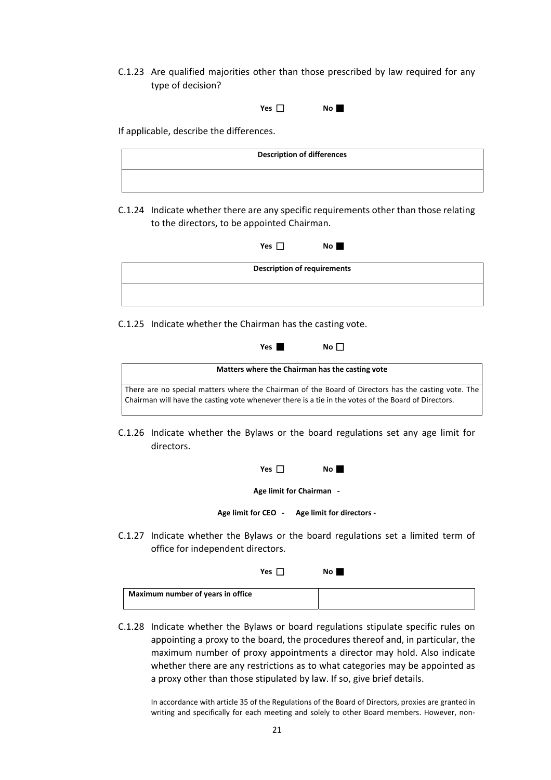- C.1.23 Are qualified majorities other than those prescribed by law required for any type of decision?
	- $Yes \Box$  No

If applicable, describe the differences.

| <b>Description of differences</b> |  |
|-----------------------------------|--|
|                                   |  |

C.1.24 Indicate whether there are any specific requirements other than those relating to the directors, to be appointed Chairman.

| Yes $\Box$ | Νo |
|------------|----|
|            |    |

| <b>Description of requirements</b> |  |
|------------------------------------|--|
|                                    |  |

C.1.25 Indicate whether the Chairman has the casting vote.

| Yes | No |  |
|-----|----|--|
|-----|----|--|



C.1.26 Indicate whether the Bylaws or the board regulations set any age limit for directors.

| Yes $\Box$               | $No \blacksquare$ |
|--------------------------|-------------------|
| Age limit for Chairman - |                   |

| Age limit for CEO | Age limit for directors - |
|-------------------|---------------------------|
|-------------------|---------------------------|

C.1.27 Indicate whether the Bylaws or the board regulations set a limited term of office for independent directors.

|                                   | Yes [ | No l |
|-----------------------------------|-------|------|
| Maximum number of years in office |       |      |

C.1.28 Indicate whether the Bylaws or board regulations stipulate specific rules on appointing a proxy to the board, the procedures thereof and, in particular, the maximum number of proxy appointments a director may hold. Also indicate whether there are any restrictions as to what categories may be appointed as a proxy other than those stipulated by law. If so, give brief details.

In accordance with article 35 of the Regulations of the Board of Directors, proxies are granted in writing and specifically for each meeting and solely to other Board members. However, non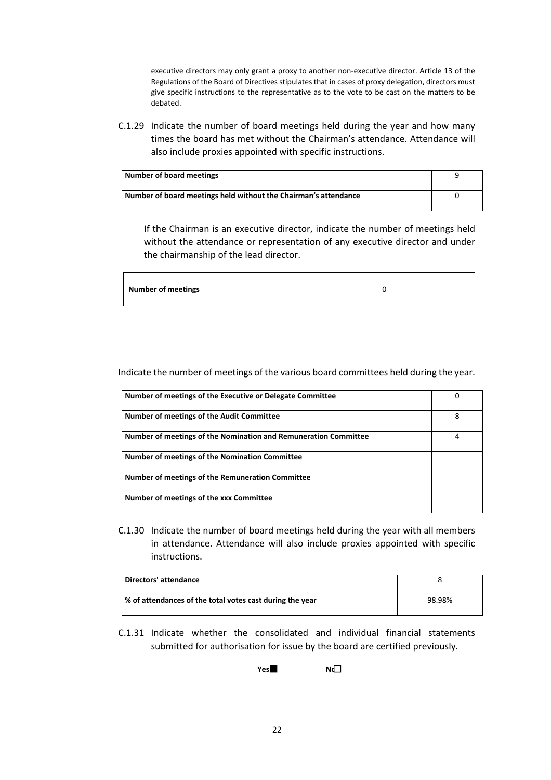executive directors may only grant a proxy to another non-executive director. Article 13 of the Regulations of the Board of Directives stipulates that in cases of proxy delegation, directors must give specific instructions to the representative as to the vote to be cast on the matters to be debated.

C.1.29 Indicate the number of board meetings held during the year and how many times the board has met without the Chairman's attendance. Attendance will also include proxies appointed with specific instructions.

| Number of board meetings                                        |  |
|-----------------------------------------------------------------|--|
| Number of board meetings held without the Chairman's attendance |  |

If the Chairman is an executive director, indicate the number of meetings held without the attendance or representation of any executive director and under the chairmanship of the lead director.

| <b>Number of meetings</b> |
|---------------------------|
|---------------------------|

Indicate the number of meetings of the various board committees held during the year.

| Number of meetings of the Executive or Delegate Committee       | 0 |
|-----------------------------------------------------------------|---|
| Number of meetings of the Audit Committee                       | 8 |
| Number of meetings of the Nomination and Remuneration Committee | 4 |
| <b>Number of meetings of the Nomination Committee</b>           |   |
| Number of meetings of the Remuneration Committee                |   |
| Number of meetings of the xxx Committee                         |   |

C.1.30 Indicate the number of board meetings held during the year with all members in attendance. Attendance will also include proxies appointed with specific instructions.

| Directors' attendance                                    |        |
|----------------------------------------------------------|--------|
| % of attendances of the total votes cast during the year | 98.98% |

C.1.31 Indicate whether the consolidated and individual financial statements submitted for authorisation for issue by the board are certified previously.

**Yes No**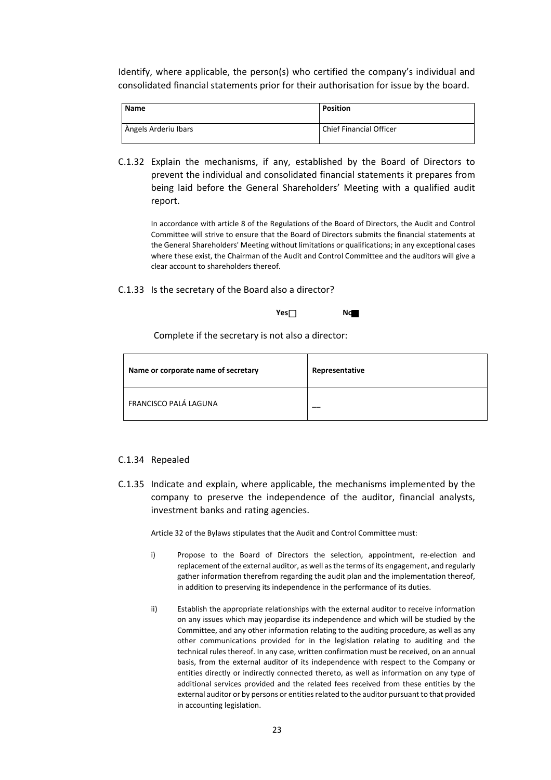Identify, where applicable, the person(s) who certified the company's individual and consolidated financial statements prior for their authorisation for issue by the board.

| Name                 | <b>Position</b>         |
|----------------------|-------------------------|
| Àngels Arderiu Ibars | Chief Financial Officer |

C.1.32 Explain the mechanisms, if any, established by the Board of Directors to prevent the individual and consolidated financial statements it prepares from being laid before the General Shareholders' Meeting with a qualified audit report.

In accordance with article 8 of the Regulations of the Board of Directors, the Audit and Control Committee will strive to ensure that the Board of Directors submits the financial statements at the General Shareholders' Meeting without limitations or qualifications; in any exceptional cases where these exist, the Chairman of the Audit and Control Committee and the auditors will give a clear account to shareholders thereof.

C.1.33 Is the secretary of the Board also a director?

**Yes No** 

Complete if the secretary is not also a director:

| Name or corporate name of secretary | Representative |
|-------------------------------------|----------------|
| FRANCISCO PALÁ LAGUNA               |                |

#### C.1.34 Repealed

C.1.35 Indicate and explain, where applicable, the mechanisms implemented by the company to preserve the independence of the auditor, financial analysts, investment banks and rating agencies.

Article 32 of the Bylaws stipulates that the Audit and Control Committee must:

- i) Propose to the Board of Directors the selection, appointment, re-election and replacement of the external auditor, as well asthe terms of its engagement, and regularly gather information therefrom regarding the audit plan and the implementation thereof, in addition to preserving its independence in the performance of its duties.
- ii) Establish the appropriate relationships with the external auditor to receive information on any issues which may jeopardise its independence and which will be studied by the Committee, and any other information relating to the auditing procedure, as well as any other communications provided for in the legislation relating to auditing and the technical rules thereof. In any case, written confirmation must be received, on an annual basis, from the external auditor of its independence with respect to the Company or entities directly or indirectly connected thereto, as well as information on any type of additional services provided and the related fees received from these entities by the external auditor or by persons or entities related to the auditor pursuant to that provided in accounting legislation.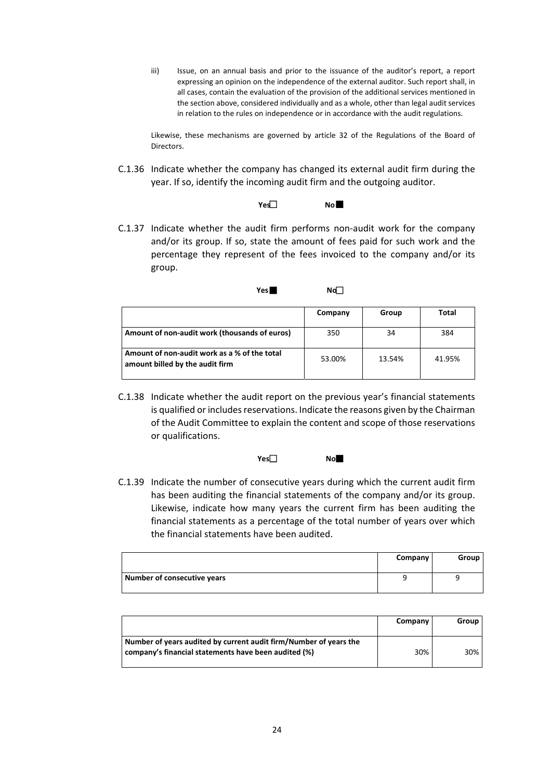iii) Issue, on an annual basis and prior to the issuance of the auditor's report, a report expressing an opinion on the independence of the external auditor. Such report shall, in all cases, contain the evaluation of the provision of the additional services mentioned in the section above, considered individually and as a whole, other than legal audit services in relation to the rules on independence or in accordance with the audit regulations.

Likewise, these mechanisms are governed by article 32 of the Regulations of the Board of Directors.

C.1.36 Indicate whether the company has changed its external audit firm during the year. If so, identify the incoming audit firm and the outgoing auditor.



C.1.37 Indicate whether the audit firm performs non‐audit work for the company and/or its group. If so, state the amount of fees paid for such work and the percentage they represent of the fees invoiced to the company and/or its group.

| Nd<br>Yesl |  |
|------------|--|
|------------|--|

|                                                                                 | Company | Group  | Total  |
|---------------------------------------------------------------------------------|---------|--------|--------|
| Amount of non-audit work (thousands of euros)                                   | 350     | 34     | 384    |
| Amount of non-audit work as a % of the total<br>amount billed by the audit firm | 53.00%  | 13.54% | 41.95% |

C.1.38 Indicate whether the audit report on the previous year's financial statements is qualified or includes reservations. Indicate the reasons given by the Chairman of the Audit Committee to explain the content and scope of those reservations or qualifications.

 $Yes \Box$ 

C.1.39 Indicate the number of consecutive years during which the current audit firm has been auditing the financial statements of the company and/or its group. Likewise, indicate how many years the current firm has been auditing the financial statements as a percentage of the total number of years over which the financial statements have been audited.

|                             | Company | Group |
|-----------------------------|---------|-------|
| Number of consecutive years |         |       |

|                                                                                                                           | Company | Group |
|---------------------------------------------------------------------------------------------------------------------------|---------|-------|
| Number of years audited by current audit firm/Number of years the<br>company's financial statements have been audited (%) | 30%     | 30%   |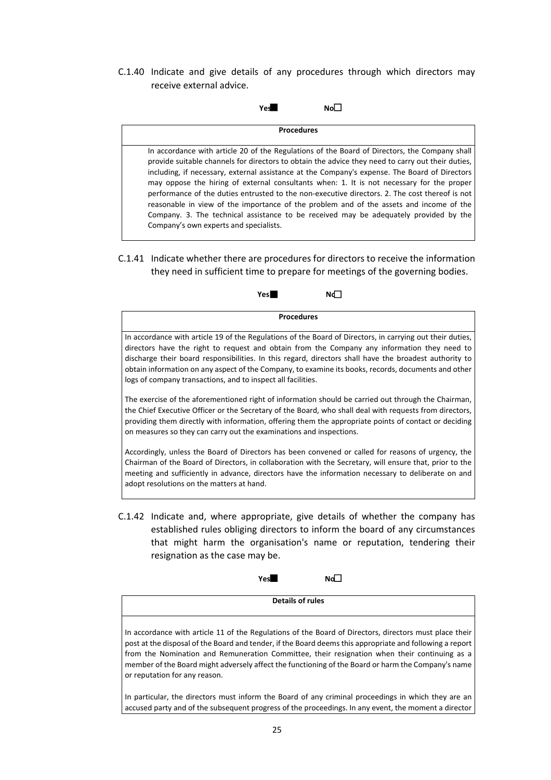C.1.40 Indicate and give details of any procedures through which directors may receive external advice.

# **Yes No Procedures** In accordance with article 20 of the Regulations of the Board of Directors, the Company shall provide suitable channels for directors to obtain the advice they need to carry out their duties, including, if necessary, external assistance at the Company's expense. The Board of Directors may oppose the hiring of external consultants when: 1. It is not necessary for the proper performance of the duties entrusted to the non‐executive directors. 2. The cost thereof is not reasonable in view of the importance of the problem and of the assets and income of the Company. 3. The technical assistance to be received may be adequately provided by the Company's own experts and specialists.

C.1.41 Indicate whether there are procedures for directors to receive the information they need in sufficient time to prepare for meetings of the governing bodies.

| Yes<br>Nd                                                                                                                                                                                                                                                                                                                                                                                                                                                                                  |
|--------------------------------------------------------------------------------------------------------------------------------------------------------------------------------------------------------------------------------------------------------------------------------------------------------------------------------------------------------------------------------------------------------------------------------------------------------------------------------------------|
| <b>Procedures</b>                                                                                                                                                                                                                                                                                                                                                                                                                                                                          |
| In accordance with article 19 of the Regulations of the Board of Directors, in carrying out their duties,<br>directors have the right to request and obtain from the Company any information they need to<br>discharge their board responsibilities. In this regard, directors shall have the broadest authority to<br>obtain information on any aspect of the Company, to examine its books, records, documents and other<br>logs of company transactions, and to inspect all facilities. |
| The exercise of the aforementioned right of information should be carried out through the Chairman,<br>the Chief Executive Officer or the Secretary of the Board, who shall deal with requests from directors,<br>providing them directly with information, offering them the appropriate points of contact or deciding<br>on measures so they can carry out the examinations and inspections.                                                                                             |
| Accordingly, unless the Board of Directors has been convened or called for reasons of urgency, the<br>Chairman of the Board of Directors, in collaboration with the Secretary, will ensure that, prior to the<br>meeting and sufficiently in advance, directors have the information necessary to deliberate on and<br>adopt resolutions on the matters at hand.                                                                                                                           |

C.1.42 Indicate and, where appropriate, give details of whether the company has established rules obliging directors to inform the board of any circumstances that might harm the organisation's name or reputation, tendering their resignation as the case may be.

**Yes No** 

**Details of rules**

In accordance with article 11 of the Regulations of the Board of Directors, directors must place their post at the disposal of the Board and tender, if the Board deems this appropriate and following a report from the Nomination and Remuneration Committee, their resignation when their continuing as a member of the Board might adversely affect the functioning of the Board or harm the Company's name or reputation for any reason.

In particular, the directors must inform the Board of any criminal proceedings in which they are an accused party and of the subsequent progress of the proceedings. In any event, the moment a director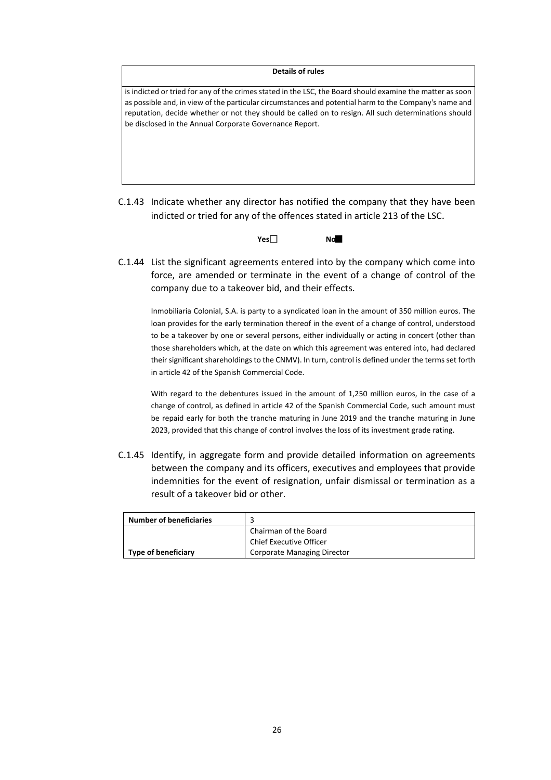#### **Details of rules**

is indicted or tried for any of the crimes stated in the LSC, the Board should examine the matter as soon as possible and, in view of the particular circumstances and potential harm to the Company's name and reputation, decide whether or not they should be called on to resign. All such determinations should be disclosed in the Annual Corporate Governance Report.

C.1.43 Indicate whether any director has notified the company that they have been indicted or tried for any of the offences stated in article 213 of the LSC.



C.1.44 List the significant agreements entered into by the company which come into force, are amended or terminate in the event of a change of control of the company due to a takeover bid, and their effects.

Inmobiliaria Colonial, S.A. is party to a syndicated loan in the amount of 350 million euros. The loan provides for the early termination thereof in the event of a change of control, understood to be a takeover by one or several persons, either individually or acting in concert (other than those shareholders which, at the date on which this agreement was entered into, had declared their significant shareholdings to the CNMV). In turn, control is defined under the terms set forth in article 42 of the Spanish Commercial Code.

With regard to the debentures issued in the amount of 1,250 million euros, in the case of a change of control, as defined in article 42 of the Spanish Commercial Code, such amount must be repaid early for both the tranche maturing in June 2019 and the tranche maturing in June 2023, provided that this change of control involves the loss of its investment grade rating.

C.1.45 Identify, in aggregate form and provide detailed information on agreements between the company and its officers, executives and employees that provide indemnities for the event of resignation, unfair dismissal or termination as a result of a takeover bid or other.

| <b>Number of beneficiaries</b> |                                    |
|--------------------------------|------------------------------------|
|                                | Chairman of the Board              |
|                                | Chief Executive Officer            |
| <b>Type of beneficiary</b>     | <b>Corporate Managing Director</b> |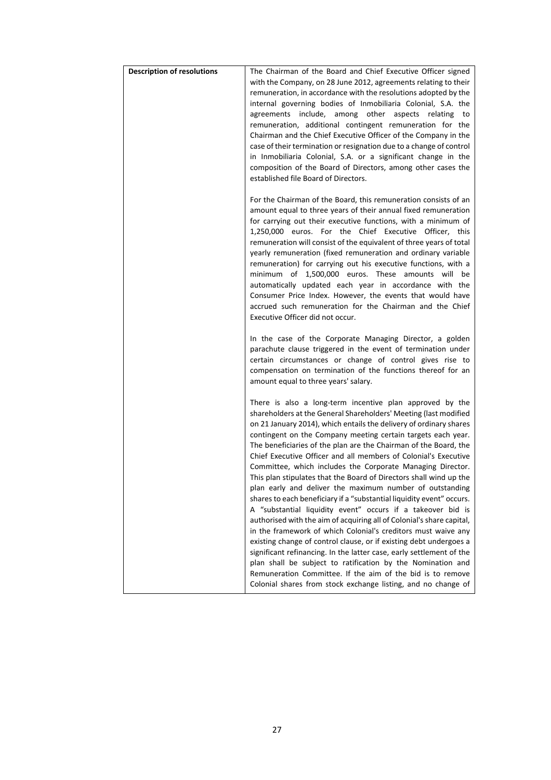| <b>Description of resolutions</b> | The Chairman of the Board and Chief Executive Officer signed                                                                        |
|-----------------------------------|-------------------------------------------------------------------------------------------------------------------------------------|
|                                   | with the Company, on 28 June 2012, agreements relating to their                                                                     |
|                                   | remuneration, in accordance with the resolutions adopted by the                                                                     |
|                                   | internal governing bodies of Inmobiliaria Colonial, S.A. the                                                                        |
|                                   | agreements include, among other aspects relating<br>to                                                                              |
|                                   | remuneration, additional contingent remuneration for the                                                                            |
|                                   | Chairman and the Chief Executive Officer of the Company in the                                                                      |
|                                   | case of their termination or resignation due to a change of control                                                                 |
|                                   | in Inmobiliaria Colonial, S.A. or a significant change in the                                                                       |
|                                   | composition of the Board of Directors, among other cases the<br>established file Board of Directors.                                |
|                                   |                                                                                                                                     |
|                                   | For the Chairman of the Board, this remuneration consists of an                                                                     |
|                                   | amount equal to three years of their annual fixed remuneration                                                                      |
|                                   | for carrying out their executive functions, with a minimum of                                                                       |
|                                   | 1,250,000 euros. For the Chief Executive Officer, this                                                                              |
|                                   | remuneration will consist of the equivalent of three years of total                                                                 |
|                                   | yearly remuneration (fixed remuneration and ordinary variable<br>remuneration) for carrying out his executive functions, with a     |
|                                   | minimum of 1,500,000 euros. These amounts will<br>be                                                                                |
|                                   | automatically updated each year in accordance with the                                                                              |
|                                   | Consumer Price Index. However, the events that would have                                                                           |
|                                   | accrued such remuneration for the Chairman and the Chief                                                                            |
|                                   | Executive Officer did not occur.                                                                                                    |
|                                   | In the case of the Corporate Managing Director, a golden<br>parachute clause triggered in the event of termination under            |
|                                   | certain circumstances or change of control gives rise to                                                                            |
|                                   | compensation on termination of the functions thereof for an<br>amount equal to three years' salary.                                 |
|                                   |                                                                                                                                     |
|                                   | There is also a long-term incentive plan approved by the                                                                            |
|                                   | shareholders at the General Shareholders' Meeting (last modified                                                                    |
|                                   | on 21 January 2014), which entails the delivery of ordinary shares                                                                  |
|                                   | contingent on the Company meeting certain targets each year.<br>The beneficiaries of the plan are the Chairman of the Board, the    |
|                                   | Chief Executive Officer and all members of Colonial's Executive                                                                     |
|                                   | Committee, which includes the Corporate Managing Director.                                                                          |
|                                   | This plan stipulates that the Board of Directors shall wind up the                                                                  |
|                                   | plan early and deliver the maximum number of outstanding                                                                            |
|                                   | shares to each beneficiary if a "substantial liquidity event" occurs.                                                               |
|                                   | A "substantial liquidity event" occurs if a takeover bid is                                                                         |
|                                   | authorised with the aim of acquiring all of Colonial's share capital,                                                               |
|                                   | in the framework of which Colonial's creditors must waive any<br>existing change of control clause, or if existing debt undergoes a |
|                                   | significant refinancing. In the latter case, early settlement of the                                                                |
|                                   | plan shall be subject to ratification by the Nomination and                                                                         |
|                                   | Remuneration Committee. If the aim of the bid is to remove                                                                          |
|                                   | Colonial shares from stock exchange listing, and no change of                                                                       |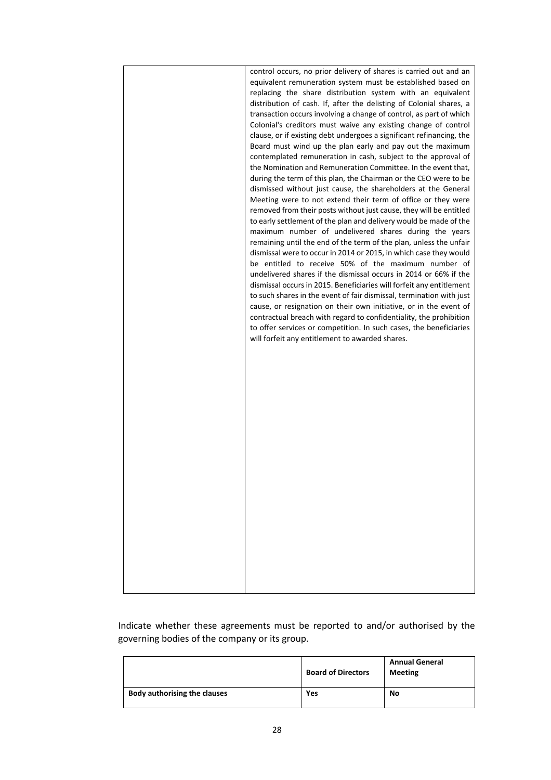|  | equivalent remuneration system must be established based on<br>replacing the share distribution system with an equivalent<br>distribution of cash. If, after the delisting of Colonial shares, a<br>transaction occurs involving a change of control, as part of which<br>Colonial's creditors must waive any existing change of control<br>clause, or if existing debt undergoes a significant refinancing, the<br>Board must wind up the plan early and pay out the maximum<br>contemplated remuneration in cash, subject to the approval of<br>the Nomination and Remuneration Committee. In the event that,<br>during the term of this plan, the Chairman or the CEO were to be<br>dismissed without just cause, the shareholders at the General<br>Meeting were to not extend their term of office or they were<br>removed from their posts without just cause, they will be entitled<br>to early settlement of the plan and delivery would be made of the<br>maximum number of undelivered shares during the years<br>remaining until the end of the term of the plan, unless the unfair<br>dismissal were to occur in 2014 or 2015, in which case they would<br>be entitled to receive 50% of the maximum number of<br>undelivered shares if the dismissal occurs in 2014 or 66% if the<br>dismissal occurs in 2015. Beneficiaries will forfeit any entitlement<br>to such shares in the event of fair dismissal, termination with just<br>cause, or resignation on their own initiative, or in the event of<br>contractual breach with regard to confidentiality, the prohibition<br>to offer services or competition. In such cases, the beneficiaries<br>will forfeit any entitlement to awarded shares. |
|--|--------------------------------------------------------------------------------------------------------------------------------------------------------------------------------------------------------------------------------------------------------------------------------------------------------------------------------------------------------------------------------------------------------------------------------------------------------------------------------------------------------------------------------------------------------------------------------------------------------------------------------------------------------------------------------------------------------------------------------------------------------------------------------------------------------------------------------------------------------------------------------------------------------------------------------------------------------------------------------------------------------------------------------------------------------------------------------------------------------------------------------------------------------------------------------------------------------------------------------------------------------------------------------------------------------------------------------------------------------------------------------------------------------------------------------------------------------------------------------------------------------------------------------------------------------------------------------------------------------------------------------------------------------------------------------------------------------------------|
|--|--------------------------------------------------------------------------------------------------------------------------------------------------------------------------------------------------------------------------------------------------------------------------------------------------------------------------------------------------------------------------------------------------------------------------------------------------------------------------------------------------------------------------------------------------------------------------------------------------------------------------------------------------------------------------------------------------------------------------------------------------------------------------------------------------------------------------------------------------------------------------------------------------------------------------------------------------------------------------------------------------------------------------------------------------------------------------------------------------------------------------------------------------------------------------------------------------------------------------------------------------------------------------------------------------------------------------------------------------------------------------------------------------------------------------------------------------------------------------------------------------------------------------------------------------------------------------------------------------------------------------------------------------------------------------------------------------------------------|

Indicate whether these agreements must be reported to and/or authorised by the governing bodies of the company or its group.

|                                     | <b>Board of Directors</b> | <b>Annual General</b><br><b>Meeting</b> |
|-------------------------------------|---------------------------|-----------------------------------------|
| <b>Body authorising the clauses</b> | Yes                       | No                                      |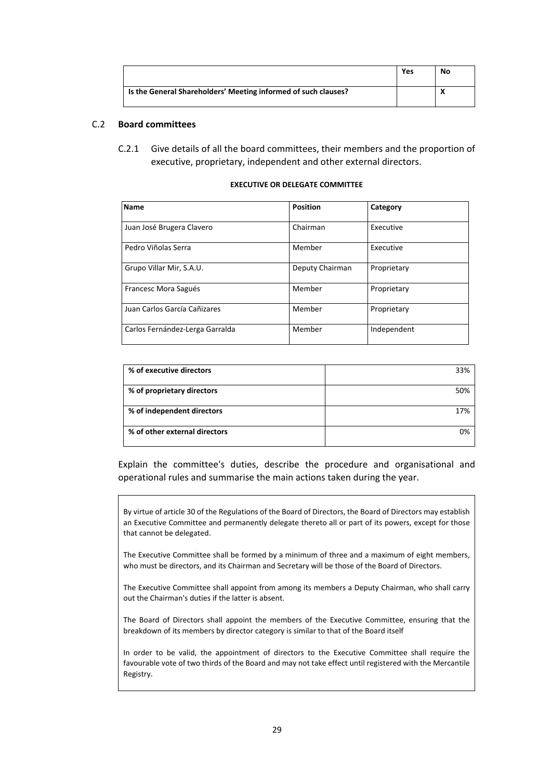|                                                                | Yes | No |
|----------------------------------------------------------------|-----|----|
| Is the General Shareholders' Meeting informed of such clauses? |     |    |

#### C.2 **Board committees**

C.2.1 Give details of all the board committees, their members and the proportion of executive, proprietary, independent and other external directors.

| <b>Name</b>                     | <b>Position</b> | Category    |
|---------------------------------|-----------------|-------------|
| Juan José Brugera Clavero       | Chairman        | Executive   |
| Pedro Viñolas Serra             | Member          | Executive   |
| Grupo Villar Mir, S.A.U.        | Deputy Chairman | Proprietary |
| Francesc Mora Sagués            | Member          | Proprietary |
| Juan Carlos García Cañizares    | Member          | Proprietary |
| Carlos Fernández-Lerga Garralda | Member          | Independent |

#### **EXECUTIVE OR DELEGATE COMMITTEE**

| % of executive directors      | 33% |
|-------------------------------|-----|
|                               |     |
| % of proprietary directors    | 50% |
|                               |     |
| % of independent directors    | 17% |
| % of other external directors | 0%  |
|                               |     |

Explain the committee's duties, describe the procedure and organisational and operational rules and summarise the main actions taken during the year.

By virtue of article 30 of the Regulations of the Board of Directors, the Board of Directors may establish an Executive Committee and permanently delegate thereto all or part of its powers, except for those that cannot be delegated.

The Executive Committee shall be formed by a minimum of three and a maximum of eight members, who must be directors, and its Chairman and Secretary will be those of the Board of Directors.

The Executive Committee shall appoint from among its members a Deputy Chairman, who shall carry out the Chairman's duties if the latter is absent.

The Board of Directors shall appoint the members of the Executive Committee, ensuring that the breakdown of its members by director category is similar to that of the Board itself

In order to be valid, the appointment of directors to the Executive Committee shall require the favourable vote of two thirds of the Board and may not take effect until registered with the Mercantile Registry.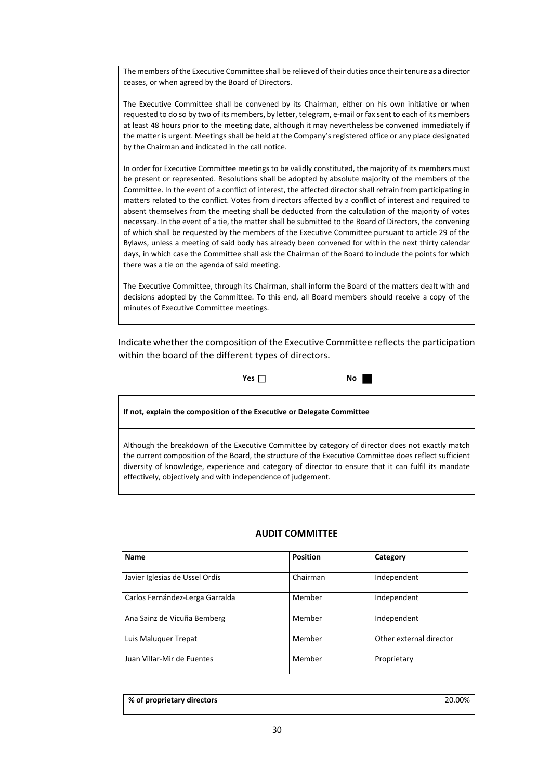The members of the Executive Committee shall be relieved of their duties once their tenure as a director ceases, or when agreed by the Board of Directors.

The Executive Committee shall be convened by its Chairman, either on his own initiative or when requested to do so by two of its members, by letter, telegram, e-mail or fax sent to each of its members at least 48 hours prior to the meeting date, although it may nevertheless be convened immediately if the matter is urgent. Meetings shall be held at the Company's registered office or any place designated by the Chairman and indicated in the call notice.

In order for Executive Committee meetings to be validly constituted, the majority of its members must be present or represented. Resolutions shall be adopted by absolute majority of the members of the Committee. In the event of a conflict of interest, the affected director shall refrain from participating in matters related to the conflict. Votes from directors affected by a conflict of interest and required to absent themselves from the meeting shall be deducted from the calculation of the majority of votes necessary. In the event of a tie, the matter shall be submitted to the Board of Directors, the convening of which shall be requested by the members of the Executive Committee pursuant to article 29 of the Bylaws, unless a meeting of said body has already been convened for within the next thirty calendar days, in which case the Committee shall ask the Chairman of the Board to include the points for which there was a tie on the agenda of said meeting.

The Executive Committee, through its Chairman, shall inform the Board of the matters dealt with and decisions adopted by the Committee. To this end, all Board members should receive a copy of the minutes of Executive Committee meetings.

Indicate whether the composition of the Executive Committee reflects the participation within the board of the different types of directors.



**If not, explain the composition of the Executive or Delegate Committee**

Although the breakdown of the Executive Committee by category of director does not exactly match the current composition of the Board, the structure of the Executive Committee does reflect sufficient diversity of knowledge, experience and category of director to ensure that it can fulfil its mandate effectively, objectively and with independence of judgement.

## **AUDIT COMMITTEE**

| <b>Name</b>                     | <b>Position</b> | Category                |
|---------------------------------|-----------------|-------------------------|
| Javier Iglesias de Ussel Ordís  | Chairman        | Independent             |
| Carlos Fernández-Lerga Garralda | Member          | Independent             |
| Ana Sainz de Vicuña Bemberg     | Member          | Independent             |
| Luis Maluquer Trepat            | Member          | Other external director |
| Juan Villar-Mir de Fuentes      | Member          | Proprietary             |

| % of proprietary directors | 20.00% |
|----------------------------|--------|
|                            |        |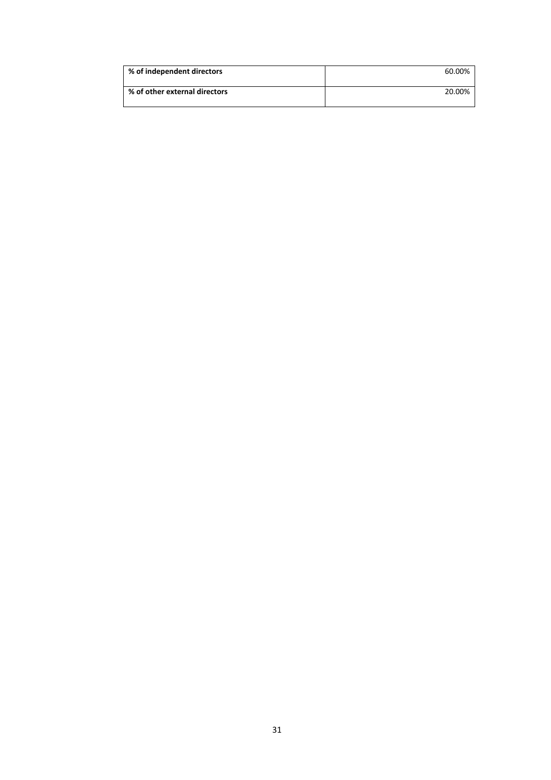| % of independent directors    | 60.00% |
|-------------------------------|--------|
| % of other external directors | 20.00% |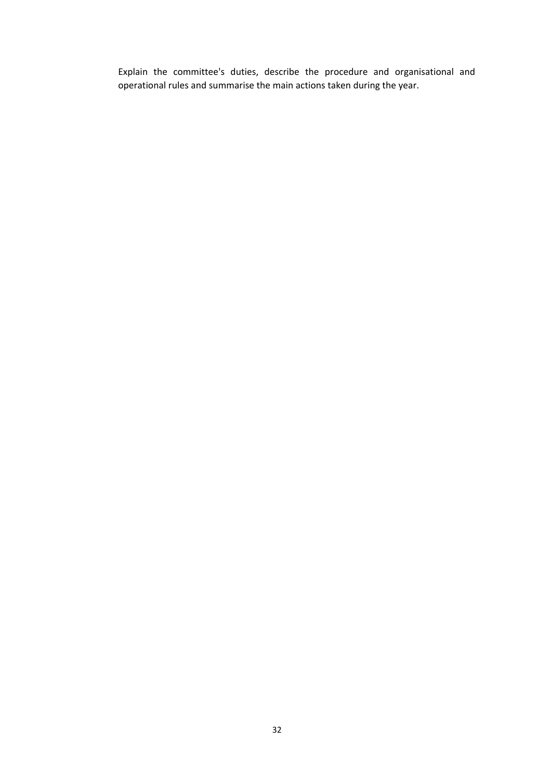Explain the committee's duties, describe the procedure and organisational and operational rules and summarise the main actions taken during the year.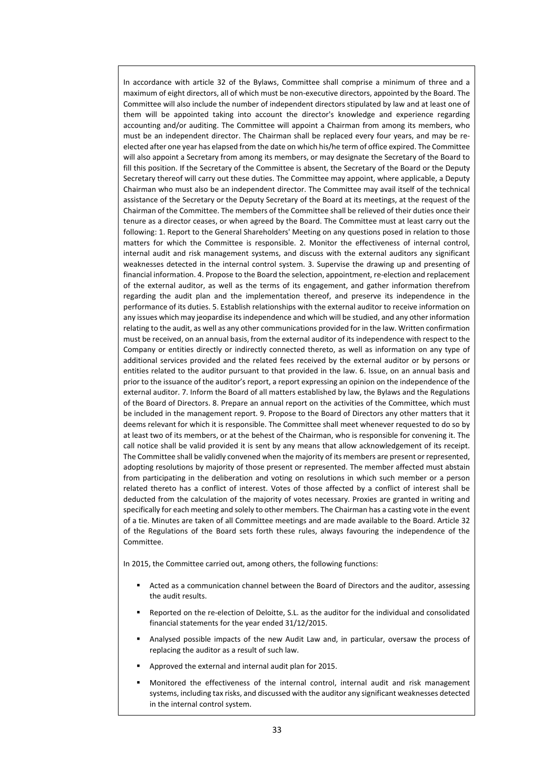In accordance with article 32 of the Bylaws, Committee shall comprise a minimum of three and a maximum of eight directors, all of which must be non‐executive directors, appointed by the Board. The Committee will also include the number of independent directors stipulated by law and at least one of them will be appointed taking into account the director's knowledge and experience regarding accounting and/or auditing. The Committee will appoint a Chairman from among its members, who must be an independent director. The Chairman shall be replaced every four years, and may be reelected after one year has elapsed from the date on which his/he term of office expired. The Committee will also appoint a Secretary from among its members, or may designate the Secretary of the Board to fill this position. If the Secretary of the Committee is absent, the Secretary of the Board or the Deputy Secretary thereof will carry out these duties. The Committee may appoint, where applicable, a Deputy Chairman who must also be an independent director. The Committee may avail itself of the technical assistance of the Secretary or the Deputy Secretary of the Board at its meetings, at the request of the Chairman of the Committee. The members of the Committee shall be relieved of their duties once their tenure as a director ceases, or when agreed by the Board. The Committee must at least carry out the following: 1. Report to the General Shareholders' Meeting on any questions posed in relation to those matters for which the Committee is responsible. 2. Monitor the effectiveness of internal control, internal audit and risk management systems, and discuss with the external auditors any significant weaknesses detected in the internal control system. 3. Supervise the drawing up and presenting of financial information. 4. Propose to the Board the selection, appointment, re-election and replacement of the external auditor, as well as the terms of its engagement, and gather information therefrom regarding the audit plan and the implementation thereof, and preserve its independence in the performance of its duties. 5. Establish relationships with the external auditor to receive information on any issues which may jeopardise itsindependence and which will be studied, and any other information relating to the audit, as well as any other communications provided for in the law. Written confirmation must be received, on an annual basis, from the external auditor of its independence with respect to the Company or entities directly or indirectly connected thereto, as well as information on any type of additional services provided and the related fees received by the external auditor or by persons or entities related to the auditor pursuant to that provided in the law. 6. Issue, on an annual basis and prior to the issuance of the auditor's report, a report expressing an opinion on the independence of the external auditor. 7. Inform the Board of all matters established by law, the Bylaws and the Regulations of the Board of Directors. 8. Prepare an annual report on the activities of the Committee, which must be included in the management report. 9. Propose to the Board of Directors any other matters that it deems relevant for which it is responsible. The Committee shall meet whenever requested to do so by at least two of its members, or at the behest of the Chairman, who is responsible for convening it. The call notice shall be valid provided it is sent by any means that allow acknowledgement of its receipt. The Committee shall be validly convened when the majority of its members are present or represented, adopting resolutions by majority of those present or represented. The member affected must abstain from participating in the deliberation and voting on resolutions in which such member or a person related thereto has a conflict of interest. Votes of those affected by a conflict of interest shall be deducted from the calculation of the majority of votes necessary. Proxies are granted in writing and specifically for each meeting and solely to other members. The Chairman has a casting vote in the event of a tie. Minutes are taken of all Committee meetings and are made available to the Board. Article 32 of the Regulations of the Board sets forth these rules, always favouring the independence of the Committee.

In 2015, the Committee carried out, among others, the following functions:

- Acted as a communication channel between the Board of Directors and the auditor, assessing the audit results.
- Reported on the re-election of Deloitte, S.L. as the auditor for the individual and consolidated financial statements for the year ended 31/12/2015.
- Analysed possible impacts of the new Audit Law and, in particular, oversaw the process of replacing the auditor as a result of such law.
- Approved the external and internal audit plan for 2015.
- Monitored the effectiveness of the internal control, internal audit and risk management systems, including tax risks, and discussed with the auditor any significant weaknesses detected in the internal control system.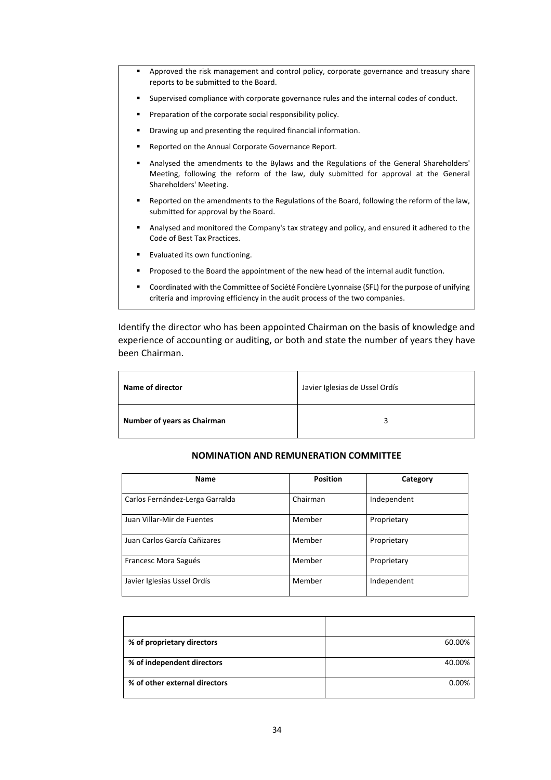- Approved the risk management and control policy, corporate governance and treasury share reports to be submitted to the Board.
- Supervised compliance with corporate governance rules and the internal codes of conduct.
- Preparation of the corporate social responsibility policy.
- Drawing up and presenting the required financial information.
- Reported on the Annual Corporate Governance Report.
- Analysed the amendments to the Bylaws and the Regulations of the General Shareholders' Meeting, following the reform of the law, duly submitted for approval at the General Shareholders' Meeting.
- Reported on the amendments to the Regulations of the Board, following the reform of the law, submitted for approval by the Board.
- Analysed and monitored the Company's tax strategy and policy, and ensured it adhered to the Code of Best Tax Practices.
- Evaluated its own functioning.
- Proposed to the Board the appointment of the new head of the internal audit function.
- Coordinated with the Committee of Société Foncière Lyonnaise (SFL) for the purpose of unifying criteria and improving efficiency in the audit process of the two companies.

Identify the director who has been appointed Chairman on the basis of knowledge and experience of accounting or auditing, or both and state the number of years they have been Chairman.

| Name of director            | Javier Iglesias de Ussel Ordís |
|-----------------------------|--------------------------------|
| Number of years as Chairman | ર                              |

#### **NOMINATION AND REMUNERATION COMMITTEE**

| Name                            | <b>Position</b> | Category    |
|---------------------------------|-----------------|-------------|
| Carlos Fernández-Lerga Garralda | Chairman        | Independent |
| Juan Villar-Mir de Fuentes      | Member          | Proprietary |
| Juan Carlos García Cañizares    | Member          | Proprietary |
| Francesc Mora Sagués            | Member          | Proprietary |
| Javier Iglesias Ussel Ordís     | Member          | Independent |

| % of proprietary directors    | 60.00% |
|-------------------------------|--------|
| % of independent directors    | 40.00% |
| % of other external directors | 0.00%  |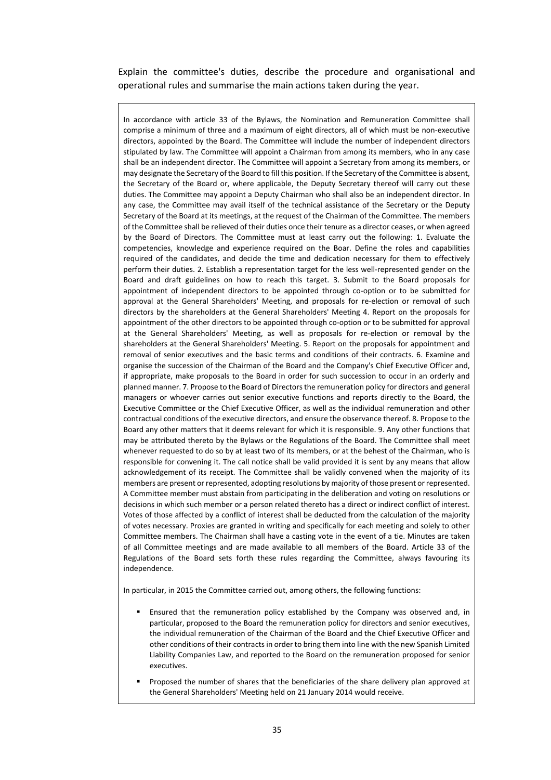Explain the committee's duties, describe the procedure and organisational and operational rules and summarise the main actions taken during the year.

In accordance with article 33 of the Bylaws, the Nomination and Remuneration Committee shall comprise a minimum of three and a maximum of eight directors, all of which must be non-executive directors, appointed by the Board. The Committee will include the number of independent directors stipulated by law. The Committee will appoint a Chairman from among its members, who in any case shall be an independent director. The Committee will appoint a Secretary from among its members, or may designate the Secretary of the Board to fill this position. If the Secretary of the Committee is absent, the Secretary of the Board or, where applicable, the Deputy Secretary thereof will carry out these duties. The Committee may appoint a Deputy Chairman who shall also be an independent director. In any case, the Committee may avail itself of the technical assistance of the Secretary or the Deputy Secretary of the Board at its meetings, at the request of the Chairman of the Committee. The members of the Committee shall be relieved of their duties once their tenure as a director ceases, or when agreed by the Board of Directors. The Committee must at least carry out the following: 1. Evaluate the competencies, knowledge and experience required on the Boar. Define the roles and capabilities required of the candidates, and decide the time and dedication necessary for them to effectively perform their duties. 2. Establish a representation target for the less well‐represented gender on the Board and draft guidelines on how to reach this target. 3. Submit to the Board proposals for appointment of independent directors to be appointed through co‐option or to be submitted for approval at the General Shareholders' Meeting, and proposals for re-election or removal of such directors by the shareholders at the General Shareholders' Meeting 4. Report on the proposals for appointment of the other directors to be appointed through co-option or to be submitted for approval at the General Shareholders' Meeting, as well as proposals for re‐election or removal by the shareholders at the General Shareholders' Meeting. 5. Report on the proposals for appointment and removal of senior executives and the basic terms and conditions of their contracts. 6. Examine and organise the succession of the Chairman of the Board and the Company's Chief Executive Officer and, if appropriate, make proposals to the Board in order for such succession to occur in an orderly and planned manner. 7. Propose to the Board of Directors the remuneration policy for directors and general managers or whoever carries out senior executive functions and reports directly to the Board, the Executive Committee or the Chief Executive Officer, as well as the individual remuneration and other contractual conditions of the executive directors, and ensure the observance thereof. 8. Propose to the Board any other matters that it deems relevant for which it is responsible. 9. Any other functions that may be attributed thereto by the Bylaws or the Regulations of the Board. The Committee shall meet whenever requested to do so by at least two of its members, or at the behest of the Chairman, who is responsible for convening it. The call notice shall be valid provided it is sent by any means that allow acknowledgement of its receipt. The Committee shall be validly convened when the majority of its members are present or represented, adopting resolutions by majority of those present or represented. A Committee member must abstain from participating in the deliberation and voting on resolutions or decisions in which such member or a person related thereto has a direct or indirect conflict of interest. Votes of those affected by a conflict of interest shall be deducted from the calculation of the majority of votes necessary. Proxies are granted in writing and specifically for each meeting and solely to other Committee members. The Chairman shall have a casting vote in the event of a tie. Minutes are taken of all Committee meetings and are made available to all members of the Board. Article 33 of the Regulations of the Board sets forth these rules regarding the Committee, always favouring its independence.

In particular, in 2015 the Committee carried out, among others, the following functions:

- Ensured that the remuneration policy established by the Company was observed and, in particular, proposed to the Board the remuneration policy for directors and senior executives, the individual remuneration of the Chairman of the Board and the Chief Executive Officer and other conditions of their contracts in order to bring them into line with the new Spanish Limited Liability Companies Law, and reported to the Board on the remuneration proposed for senior executives.
- Proposed the number of shares that the beneficiaries of the share delivery plan approved at the General Shareholders' Meeting held on 21 January 2014 would receive.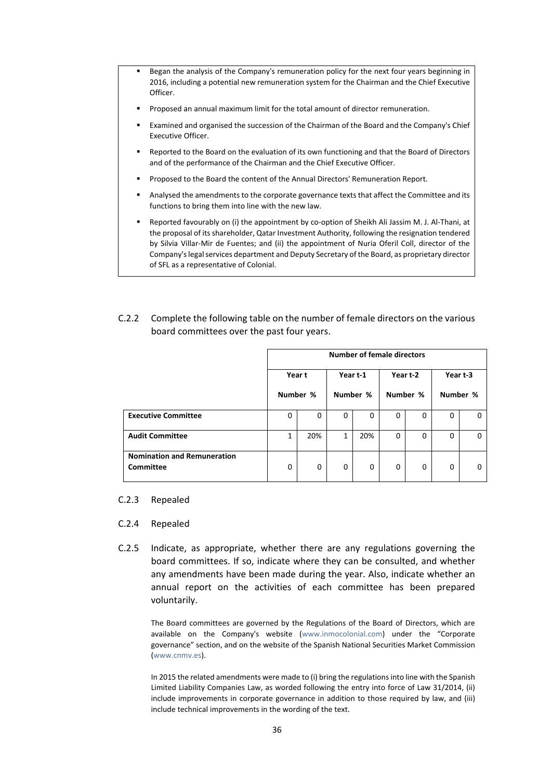- Began the analysis of the Company's remuneration policy for the next four years beginning in 2016, including a potential new remuneration system for the Chairman and the Chief Executive Officer.
- Proposed an annual maximum limit for the total amount of director remuneration.
- Examined and organised the succession of the Chairman of the Board and the Company's Chief Executive Officer.
- Reported to the Board on the evaluation of its own functioning and that the Board of Directors and of the performance of the Chairman and the Chief Executive Officer.
- Proposed to the Board the content of the Annual Directors' Remuneration Report.
- Analysed the amendments to the corporate governance texts that affect the Committee and its functions to bring them into line with the new law.
- Reported favourably on (i) the appointment by co-option of Sheikh Ali Jassim M. J. Al-Thani, at the proposal of its shareholder, Qatar Investment Authority, following the resignation tendered by Silvia Villar‐Mir de Fuentes; and (ii) the appointment of Nuria Oferil Coll, director of the Company'slegalservices department and Deputy Secretary of the Board, as proprietary director of SFL as a representative of Colonial.
- C.2.2 Complete the following table on the number of female directors on the various board committees over the past four years.

|                                                 | <b>Number of female directors</b> |             |              |          |          |          |          |   |
|-------------------------------------------------|-----------------------------------|-------------|--------------|----------|----------|----------|----------|---|
|                                                 | Year t                            |             | Year t-1     |          | Year t-2 |          | Year t-3 |   |
|                                                 | Number %                          |             |              | Number % | Number % |          | Number % |   |
| <b>Executive Committee</b>                      | $\Omega$                          | $\Omega$    | $\Omega$     | 0        | 0        | $\Omega$ | $\Omega$ | n |
| <b>Audit Committee</b>                          | 1                                 | 20%         | $\mathbf{1}$ | 20%      | 0        | 0        | $\Omega$ | 0 |
| <b>Nomination and Remuneration</b><br>Committee | 0                                 | $\mathbf 0$ | $\mathbf 0$  | 0        | 0        | 0        | 0        | U |

#### C.2.3 Repealed

- C.2.4 Repealed
- C.2.5 Indicate, as appropriate, whether there are any regulations governing the board committees. If so, indicate where they can be consulted, and whether any amendments have been made during the year. Also, indicate whether an annual report on the activities of each committee has been prepared voluntarily.

The Board committees are governed by the Regulations of the Board of Directors, which are available on the Company's website (www.inmocolonial.com) under the "Corporate governance" section, and on the website of the Spanish National Securities Market Commission (www.cnmv.es).

In 2015 the related amendments were made to (i) bring the regulationsinto line with the Spanish Limited Liability Companies Law, as worded following the entry into force of Law 31/2014, (ii) include improvements in corporate governance in addition to those required by law, and (iii) include technical improvements in the wording of the text.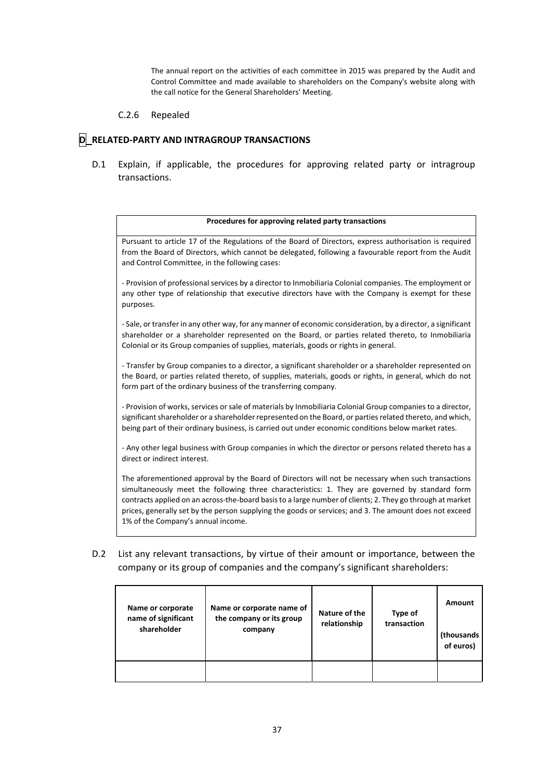The annual report on the activities of each committee in 2015 was prepared by the Audit and Control Committee and made available to shareholders on the Company's website along with the call notice for the General Shareholders' Meeting.

## C.2.6 Repealed

## **D RELATED‐PARTY AND INTRAGROUP TRANSACTIONS**

D.1 Explain, if applicable, the procedures for approving related party or intragroup transactions.

#### **Procedures for approving related party transactions**

Pursuant to article 17 of the Regulations of the Board of Directors, express authorisation is required from the Board of Directors, which cannot be delegated, following a favourable report from the Audit and Control Committee, in the following cases:

‐ Provision of professional services by a director to Inmobiliaria Colonial companies. The employment or any other type of relationship that executive directors have with the Company is exempt for these purposes.

‐ Sale, or transfer in any other way, for any manner of economic consideration, by a director, a significant shareholder or a shareholder represented on the Board, or parties related thereto, to Inmobiliaria Colonial or its Group companies of supplies, materials, goods or rights in general.

‐ Transfer by Group companies to a director, a significant shareholder or a shareholder represented on the Board, or parties related thereto, of supplies, materials, goods or rights, in general, which do not form part of the ordinary business of the transferring company.

- Provision of works, services or sale of materials by Inmobiliaria Colonial Group companies to a director, significant shareholder or a shareholder represented on the Board, or parties related thereto, and which, being part of their ordinary business, is carried out under economic conditions below market rates.

‐ Any other legal business with Group companies in which the director or persons related thereto has a direct or indirect interest.

The aforementioned approval by the Board of Directors will not be necessary when such transactions simultaneously meet the following three characteristics: 1. They are governed by standard form contracts applied on an across‐the‐board basisto a large number of clients; 2. They go through at market prices, generally set by the person supplying the goods or services; and 3. The amount does not exceed 1% of the Company's annual income.

D.2 List any relevant transactions, by virtue of their amount or importance, between the company or its group of companies and the company's significant shareholders:

| Name or corporate<br>name of significant<br>shareholder | Name or corporate name of<br>the company or its group<br>company | Nature of the<br>relationship | Type of<br>transaction | <b>Amount</b><br>(thousands<br>of euros) |
|---------------------------------------------------------|------------------------------------------------------------------|-------------------------------|------------------------|------------------------------------------|
|                                                         |                                                                  |                               |                        |                                          |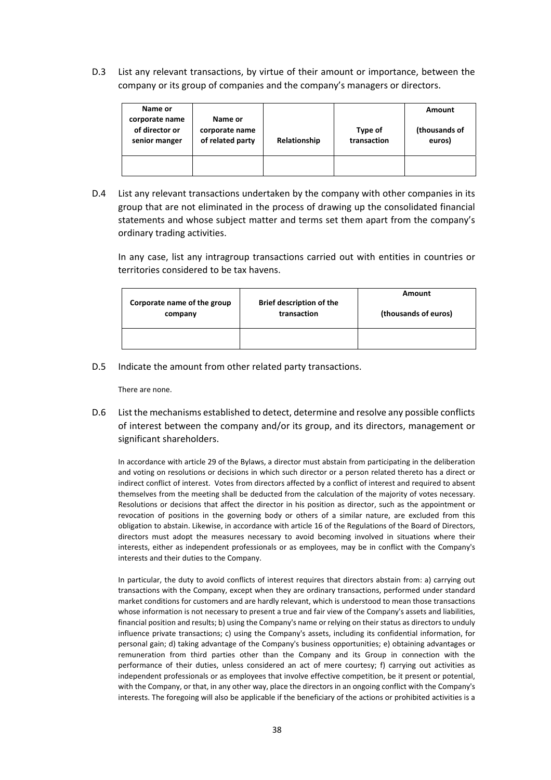D.3 List any relevant transactions, by virtue of their amount or importance, between the company or its group of companies and the company's managers or directors.

| Name or<br>corporate name<br>of director or<br>senior manger | Name or<br>corporate name<br>of related party | Relationship | Type of<br>transaction | Amount<br>(thousands of<br>euros) |
|--------------------------------------------------------------|-----------------------------------------------|--------------|------------------------|-----------------------------------|
|                                                              |                                               |              |                        |                                   |

D.4 List any relevant transactions undertaken by the company with other companies in its group that are not eliminated in the process of drawing up the consolidated financial statements and whose subject matter and terms set them apart from the company's ordinary trading activities.

In any case, list any intragroup transactions carried out with entities in countries or territories considered to be tax havens.

| Corporate name of the group | <b>Brief description of the</b> | Amount               |
|-----------------------------|---------------------------------|----------------------|
| company                     | transaction                     | (thousands of euros) |
|                             |                                 |                      |

D.5 Indicate the amount from other related party transactions.

There are none.

D.6 List the mechanisms established to detect, determine and resolve any possible conflicts of interest between the company and/or its group, and its directors, management or significant shareholders.

In accordance with article 29 of the Bylaws, a director must abstain from participating in the deliberation and voting on resolutions or decisions in which such director or a person related thereto has a direct or indirect conflict of interest. Votes from directors affected by a conflict of interest and required to absent themselves from the meeting shall be deducted from the calculation of the majority of votes necessary. Resolutions or decisions that affect the director in his position as director, such as the appointment or revocation of positions in the governing body or others of a similar nature, are excluded from this obligation to abstain. Likewise, in accordance with article 16 of the Regulations of the Board of Directors, directors must adopt the measures necessary to avoid becoming involved in situations where their interests, either as independent professionals or as employees, may be in conflict with the Company's interests and their duties to the Company.

In particular, the duty to avoid conflicts of interest requires that directors abstain from: a) carrying out transactions with the Company, except when they are ordinary transactions, performed under standard market conditions for customers and are hardly relevant, which is understood to mean those transactions whose information is not necessary to present a true and fair view of the Company's assets and liabilities, financial position and results; b) using the Company's name or relying on their status as directors to unduly influence private transactions; c) using the Company's assets, including its confidential information, for personal gain; d) taking advantage of the Company's business opportunities; e) obtaining advantages or remuneration from third parties other than the Company and its Group in connection with the performance of their duties, unless considered an act of mere courtesy; f) carrying out activities as independent professionals or as employees that involve effective competition, be it present or potential, with the Company, or that, in any other way, place the directors in an ongoing conflict with the Company's interests. The foregoing will also be applicable if the beneficiary of the actions or prohibited activities is a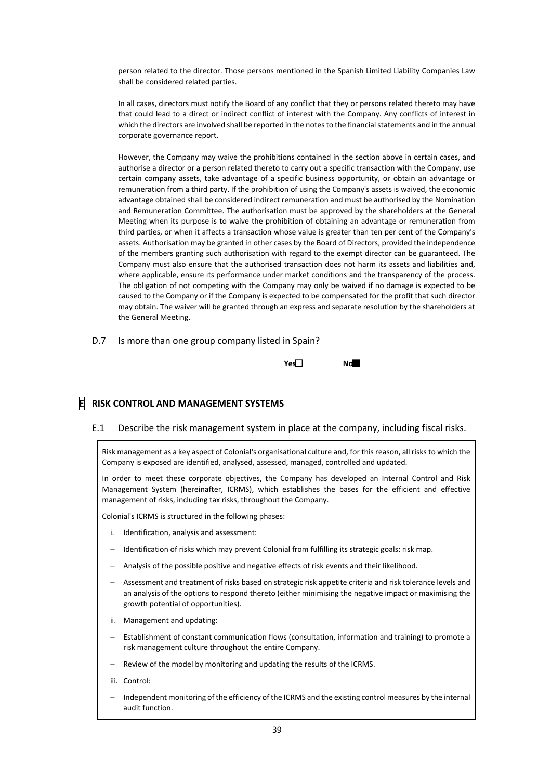person related to the director. Those persons mentioned in the Spanish Limited Liability Companies Law shall be considered related parties.

In all cases, directors must notify the Board of any conflict that they or persons related thereto may have that could lead to a direct or indirect conflict of interest with the Company. Any conflicts of interest in which the directors are involved shall be reported in the notes to the financial statements and in the annual corporate governance report.

However, the Company may waive the prohibitions contained in the section above in certain cases, and authorise a director or a person related thereto to carry out a specific transaction with the Company, use certain company assets, take advantage of a specific business opportunity, or obtain an advantage or remuneration from a third party. If the prohibition of using the Company's assets is waived, the economic advantage obtained shall be considered indirect remuneration and must be authorised by the Nomination and Remuneration Committee. The authorisation must be approved by the shareholders at the General Meeting when its purpose is to waive the prohibition of obtaining an advantage or remuneration from third parties, or when it affects a transaction whose value is greater than ten per cent of the Company's assets. Authorisation may be granted in other cases by the Board of Directors, provided the independence of the members granting such authorisation with regard to the exempt director can be guaranteed. The Company must also ensure that the authorised transaction does not harm its assets and liabilities and, where applicable, ensure its performance under market conditions and the transparency of the process. The obligation of not competing with the Company may only be waived if no damage is expected to be caused to the Company or if the Company is expected to be compensated for the profit that such director may obtain. The waiver will be granted through an express and separate resolution by the shareholders at the General Meeting.

D.7 Is more than one group company listed in Spain?



# **E RISK CONTROL AND MANAGEMENT SYSTEMS**

E.1 Describe the risk management system in place at the company, including fiscal risks.

Risk management as a key aspect of Colonial's organisational culture and, for this reason, all risksto which the Company is exposed are identified, analysed, assessed, managed, controlled and updated.

In order to meet these corporate objectives, the Company has developed an Internal Control and Risk Management System (hereinafter, ICRMS), which establishes the bases for the efficient and effective management of risks, including tax risks, throughout the Company.

Colonial's ICRMS is structured in the following phases:

- i. Identification, analysis and assessment:
- Identification of risks which may prevent Colonial from fulfilling its strategic goals: risk map.
- Analysis of the possible positive and negative effects of risk events and their likelihood.
- Assessment and treatment of risks based on strategic risk appetite criteria and risk tolerance levels and an analysis of the options to respond thereto (either minimising the negative impact or maximising the growth potential of opportunities).
- ii. Management and updating:
- Establishment of constant communication flows (consultation, information and training) to promote a risk management culture throughout the entire Company.
- Review of the model by monitoring and updating the results of the ICRMS.
- iii. Control:
- Independent monitoring of the efficiency of the ICRMS and the existing control measures by the internal audit function.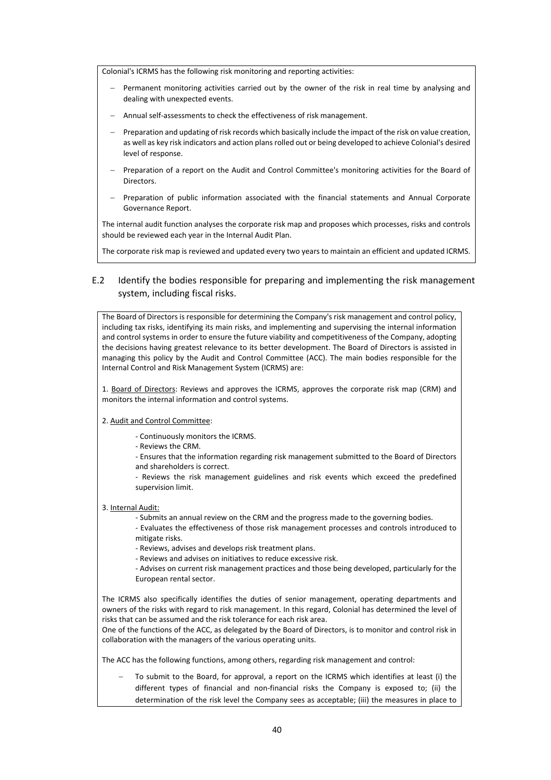Colonial's ICRMS has the following risk monitoring and reporting activities:

- Permanent monitoring activities carried out by the owner of the risk in real time by analysing and dealing with unexpected events.
- Annual self‐assessments to check the effectiveness of risk management.
- Preparation and updating of risk records which basically include the impact of the risk on value creation, as well as key risk indicators and action plans rolled out or being developed to achieve Colonial's desired level of response.
- Preparation of a report on the Audit and Control Committee's monitoring activities for the Board of **Directors**
- Preparation of public information associated with the financial statements and Annual Corporate Governance Report.

The internal audit function analyses the corporate risk map and proposes which processes, risks and controls should be reviewed each year in the Internal Audit Plan.

The corporate risk map is reviewed and updated every two years to maintain an efficient and updated ICRMS.

## E.2 Identify the bodies responsible for preparing and implementing the risk management system, including fiscal risks.

The Board of Directors is responsible for determining the Company's risk management and control policy, including tax risks, identifying its main risks, and implementing and supervising the internal information and control systems in order to ensure the future viability and competitiveness of the Company, adopting the decisions having greatest relevance to its better development. The Board of Directors is assisted in managing this policy by the Audit and Control Committee (ACC). The main bodies responsible for the Internal Control and Risk Management System (ICRMS) are:

1. Board of Directors: Reviews and approves the ICRMS, approves the corporate risk map (CRM) and monitors the internal information and control systems.

#### 2. Audit and Control Committee:

‐ Continuously monitors the ICRMS.

‐ Reviews the CRM.

‐ Ensures that the information regarding risk management submitted to the Board of Directors and shareholders is correct.

‐ Reviews the risk management guidelines and risk events which exceed the predefined supervision limit.

#### 3. Internal Audit:

- ‐ Submits an annual review on the CRM and the progress made to the governing bodies.
- ‐ Evaluates the effectiveness of those risk management processes and controls introduced to mitigate risks.

‐ Reviews, advises and develops risk treatment plans.

‐ Reviews and advises on initiatives to reduce excessive risk.

‐ Advises on current risk management practices and those being developed, particularly for the European rental sector.

The ICRMS also specifically identifies the duties of senior management, operating departments and owners of the risks with regard to risk management. In this regard, Colonial has determined the level of risks that can be assumed and the risk tolerance for each risk area.

One of the functions of the ACC, as delegated by the Board of Directors, is to monitor and control risk in collaboration with the managers of the various operating units.

The ACC has the following functions, among others, regarding risk management and control:

 To submit to the Board, for approval, a report on the ICRMS which identifies at least (i) the different types of financial and non‐financial risks the Company is exposed to; (ii) the determination of the risk level the Company sees as acceptable; (iii) the measures in place to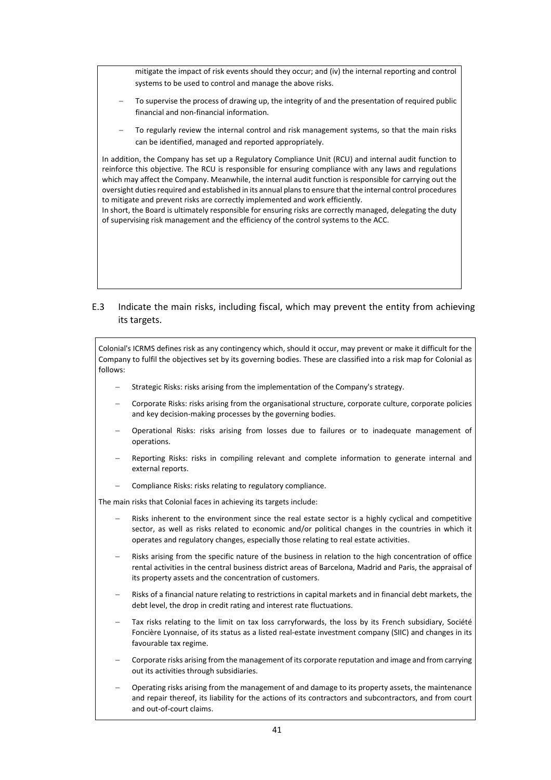mitigate the impact of risk events should they occur; and (iv) the internal reporting and control systems to be used to control and manage the above risks.

- To supervise the process of drawing up, the integrity of and the presentation of required public financial and non‐financial information.
- To regularly review the internal control and risk management systems, so that the main risks can be identified, managed and reported appropriately.

In addition, the Company has set up a Regulatory Compliance Unit (RCU) and internal audit function to reinforce this objective. The RCU is responsible for ensuring compliance with any laws and regulations which may affect the Company. Meanwhile, the internal audit function is responsible for carrying out the oversight dutiesrequired and established in its annual plansto ensure that the internal control procedures to mitigate and prevent risks are correctly implemented and work efficiently.

In short, the Board is ultimately responsible for ensuring risks are correctly managed, delegating the duty of supervising risk management and the efficiency of the control systems to the ACC.

## E.3 Indicate the main risks, including fiscal, which may prevent the entity from achieving its targets.

Colonial's ICRMS defines risk as any contingency which, should it occur, may prevent or make it difficult for the Company to fulfil the objectives set by its governing bodies. These are classified into a risk map for Colonial as follows:

- Strategic Risks: risks arising from the implementation of the Company's strategy.
- Corporate Risks: risks arising from the organisational structure, corporate culture, corporate policies and key decision‐making processes by the governing bodies.
- Operational Risks: risks arising from losses due to failures or to inadequate management of operations.
- Reporting Risks: risks in compiling relevant and complete information to generate internal and external reports.
- Compliance Risks: risks relating to regulatory compliance.

The main risks that Colonial faces in achieving its targets include:

- Risks inherent to the environment since the real estate sector is a highly cyclical and competitive sector, as well as risks related to economic and/or political changes in the countries in which it operates and regulatory changes, especially those relating to real estate activities.
- Risks arising from the specific nature of the business in relation to the high concentration of office rental activities in the central business district areas of Barcelona, Madrid and Paris, the appraisal of its property assets and the concentration of customers.
- Risks of a financial nature relating to restrictions in capital markets and in financial debt markets, the debt level, the drop in credit rating and interest rate fluctuations.
- Tax risks relating to the limit on tax loss carryforwards, the loss by its French subsidiary, Société Foncière Lyonnaise, of its status as a listed real‐estate investment company (SIIC) and changes in its favourable tax regime.
- Corporate risks arising from the management of its corporate reputation and image and from carrying out its activities through subsidiaries.
- Operating risks arising from the management of and damage to its property assets, the maintenance and repair thereof, its liability for the actions of its contractors and subcontractors, and from court and out‐of‐court claims.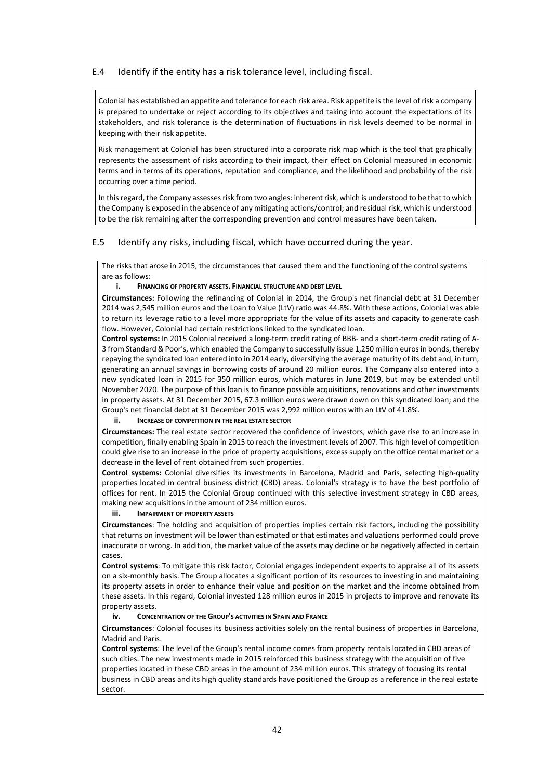#### E.4 Identify if the entity has a risk tolerance level, including fiscal.

Colonial has established an appetite and tolerance for each risk area. Risk appetite is the level of risk a company is prepared to undertake or reject according to its objectives and taking into account the expectations of its stakeholders, and risk tolerance is the determination of fluctuations in risk levels deemed to be normal in keeping with their risk appetite.

Risk management at Colonial has been structured into a corporate risk map which is the tool that graphically represents the assessment of risks according to their impact, their effect on Colonial measured in economic terms and in terms of its operations, reputation and compliance, and the likelihood and probability of the risk occurring over a time period.

In this regard, the Company assesses risk from two angles: inherent risk, which is understood to be that to which the Company is exposed in the absence of any mitigating actions/control; and residual risk, which is understood to be the risk remaining after the corresponding prevention and control measures have been taken.

#### E.5 Identify any risks, including fiscal, which have occurred during the year.

The risks that arose in 2015, the circumstances that caused them and the functioning of the control systems are as follows:

#### **i. FINANCING OF PROPERTY ASSETS. FINANCIAL STRUCTURE AND DEBT LEVEL**

**Circumstances:** Following the refinancing of Colonial in 2014, the Group's net financial debt at 31 December 2014 was 2,545 million euros and the Loan to Value (LtV) ratio was 44.8%. With these actions, Colonial was able to return its leverage ratio to a level more appropriate for the value of its assets and capacity to generate cash flow. However, Colonial had certain restrictions linked to the syndicated loan.

**Control systems:** In 2015 Colonial received a long‐term credit rating of BBB‐ and a short‐term credit rating of A‐ 3 from Standard & Poor's, which enabled the Company to successfully issue 1,250 million eurosin bonds, thereby repaying the syndicated loan entered into in 2014 early, diversifying the average maturity of its debt and, in turn, generating an annual savings in borrowing costs of around 20 million euros. The Company also entered into a new syndicated loan in 2015 for 350 million euros, which matures in June 2019, but may be extended until November 2020. The purpose of this loan is to finance possible acquisitions, renovations and other investments in property assets. At 31 December 2015, 67.3 million euros were drawn down on this syndicated loan; and the Group's net financial debt at 31 December 2015 was 2,992 million euros with an LtV of 41.8%.

#### **ii. INCREASE OF COMPETITION IN THE REAL ESTATE SECTOR**

**Circumstances:** The real estate sector recovered the confidence of investors, which gave rise to an increase in competition, finally enabling Spain in 2015 to reach the investment levels of 2007. This high level of competition could give rise to an increase in the price of property acquisitions, excess supply on the office rental market or a decrease in the level of rent obtained from such properties.

**Control systems:** Colonial diversifies its investments in Barcelona, Madrid and Paris, selecting high‐quality properties located in central business district (CBD) areas. Colonial's strategy is to have the best portfolio of offices for rent. In 2015 the Colonial Group continued with this selective investment strategy in CBD areas, making new acquisitions in the amount of 234 million euros.

#### **iii. IMPAIRMENT OF PROPERTY ASSETS**

**Circumstances**: The holding and acquisition of properties implies certain risk factors, including the possibility that returns on investment will be lower than estimated or that estimates and valuations performed could prove inaccurate or wrong. In addition, the market value of the assets may decline or be negatively affected in certain cases.

**Control systems**: To mitigate this risk factor, Colonial engages independent experts to appraise all of its assets on a six‐monthly basis. The Group allocates a significant portion of its resources to investing in and maintaining its property assets in order to enhance their value and position on the market and the income obtained from these assets. In this regard, Colonial invested 128 million euros in 2015 in projects to improve and renovate its property assets.

#### **iv. CONCENTRATION OF THE GROUP'S ACTIVITIES IN SPAIN AND FRANCE**

**Circumstances**: Colonial focuses its business activities solely on the rental business of properties in Barcelona, Madrid and Paris.

**Control systems**: The level of the Group's rental income comes from property rentals located in CBD areas of such cities. The new investments made in 2015 reinforced this business strategy with the acquisition of five properties located in these CBD areas in the amount of 234 million euros. This strategy of focusing its rental business in CBD areas and its high quality standards have positioned the Group as a reference in the real estate sector.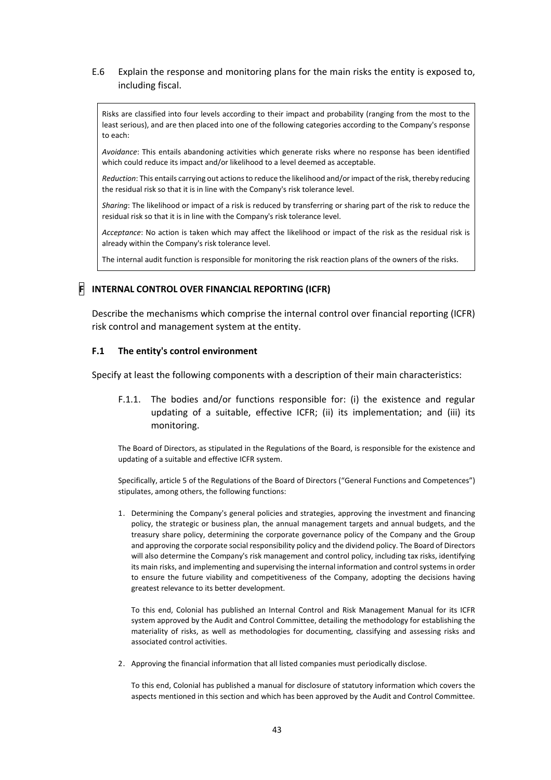## E.6 Explain the response and monitoring plans for the main risks the entity is exposed to, including fiscal.

Risks are classified into four levels according to their impact and probability (ranging from the most to the least serious), and are then placed into one of the following categories according to the Company's response to each:

*Avoidance*: This entails abandoning activities which generate risks where no response has been identified which could reduce its impact and/or likelihood to a level deemed as acceptable.

*Reduction*: This entails carrying out actionsto reduce the likelihood and/orimpact of the risk, thereby reducing the residual risk so that it is in line with the Company's risk tolerance level.

*Sharing*: The likelihood or impact of a risk is reduced by transferring or sharing part of the risk to reduce the residual risk so that it is in line with the Company's risk tolerance level.

*Acceptance*: No action is taken which may affect the likelihood or impact of the risk as the residual risk is already within the Company's risk tolerance level.

The internal audit function is responsible for monitoring the risk reaction plans of the owners of the risks.

## **F INTERNAL CONTROL OVER FINANCIAL REPORTING (ICFR)**

Describe the mechanisms which comprise the internal control over financial reporting (ICFR) risk control and management system at the entity.

#### **F.1 The entity's control environment**

Specify at least the following components with a description of their main characteristics:

F.1.1. The bodies and/or functions responsible for: (i) the existence and regular updating of a suitable, effective ICFR; (ii) its implementation; and (iii) its monitoring.

The Board of Directors, as stipulated in the Regulations of the Board, is responsible for the existence and updating of a suitable and effective ICFR system.

Specifically, article 5 of the Regulations of the Board of Directors ("General Functions and Competences") stipulates, among others, the following functions:

1. Determining the Company's general policies and strategies, approving the investment and financing policy, the strategic or business plan, the annual management targets and annual budgets, and the treasury share policy, determining the corporate governance policy of the Company and the Group and approving the corporate social responsibility policy and the dividend policy. The Board of Directors will also determine the Company's risk management and control policy, including tax risks, identifying its main risks, and implementing and supervising the internal information and control systems in order to ensure the future viability and competitiveness of the Company, adopting the decisions having greatest relevance to its better development.

To this end, Colonial has published an Internal Control and Risk Management Manual for its ICFR system approved by the Audit and Control Committee, detailing the methodology for establishing the materiality of risks, as well as methodologies for documenting, classifying and assessing risks and associated control activities.

2. Approving the financial information that all listed companies must periodically disclose.

To this end, Colonial has published a manual for disclosure of statutory information which covers the aspects mentioned in this section and which has been approved by the Audit and Control Committee.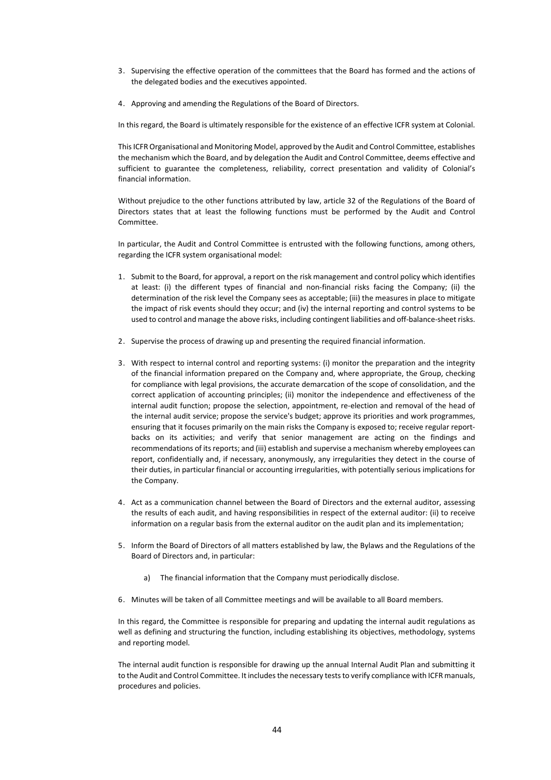- 3. Supervising the effective operation of the committees that the Board has formed and the actions of the delegated bodies and the executives appointed.
- 4. Approving and amending the Regulations of the Board of Directors.

In this regard, the Board is ultimately responsible for the existence of an effective ICFR system at Colonial.

ThisICFR Organisational and Monitoring Model, approved by the Audit and Control Committee, establishes the mechanism which the Board, and by delegation the Audit and Control Committee, deems effective and sufficient to guarantee the completeness, reliability, correct presentation and validity of Colonial's financial information.

Without prejudice to the other functions attributed by law, article 32 of the Regulations of the Board of Directors states that at least the following functions must be performed by the Audit and Control Committee.

In particular, the Audit and Control Committee is entrusted with the following functions, among others, regarding the ICFR system organisational model:

- 1. Submit to the Board, for approval, a report on the risk management and control policy which identifies at least: (i) the different types of financial and non‐financial risks facing the Company; (ii) the determination of the risk level the Company sees as acceptable; (iii) the measures in place to mitigate the impact of risk events should they occur; and (iv) the internal reporting and control systems to be used to control and manage the above risks, including contingent liabilities and off-balance-sheet risks.
- 2. Supervise the process of drawing up and presenting the required financial information.
- 3. With respect to internal control and reporting systems: (i) monitor the preparation and the integrity of the financial information prepared on the Company and, where appropriate, the Group, checking for compliance with legal provisions, the accurate demarcation of the scope of consolidation, and the correct application of accounting principles; (ii) monitor the independence and effectiveness of the internal audit function; propose the selection, appointment, re-election and removal of the head of the internal audit service; propose the service's budget; approve its priorities and work programmes, ensuring that it focuses primarily on the main risks the Company is exposed to; receive regular reportbacks on its activities; and verify that senior management are acting on the findings and recommendations of itsreports; and (iii) establish and supervise a mechanism whereby employees can report, confidentially and, if necessary, anonymously, any irregularities they detect in the course of their duties, in particular financial or accounting irregularities, with potentially serious implications for the Company.
- 4. Act as a communication channel between the Board of Directors and the external auditor, assessing the results of each audit, and having responsibilities in respect of the external auditor: (ii) to receive information on a regular basis from the external auditor on the audit plan and its implementation;
- 5. Inform the Board of Directors of all matters established by law, the Bylaws and the Regulations of the Board of Directors and, in particular:
	- a) The financial information that the Company must periodically disclose.
- 6. Minutes will be taken of all Committee meetings and will be available to all Board members.

In this regard, the Committee is responsible for preparing and updating the internal audit regulations as well as defining and structuring the function, including establishing its objectives, methodology, systems and reporting model.

The internal audit function is responsible for drawing up the annual Internal Audit Plan and submitting it to the Audit and Control Committee. It includes the necessary tests to verify compliance with ICFR manuals, procedures and policies.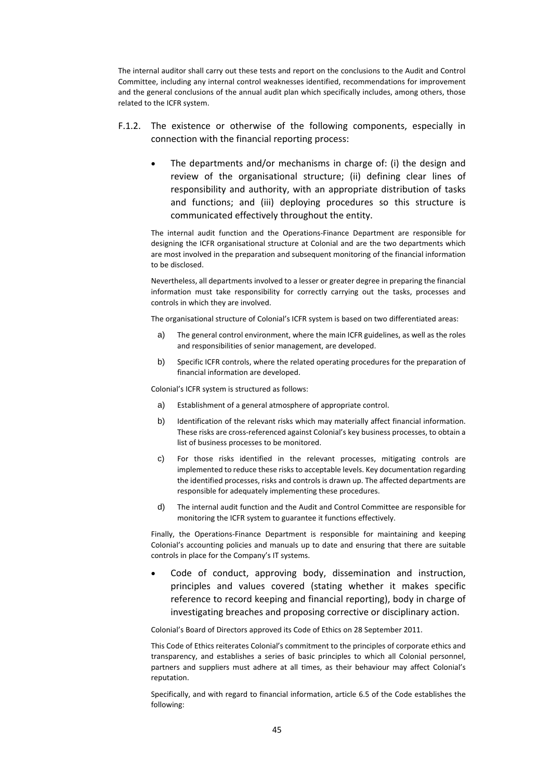The internal auditor shall carry out these tests and report on the conclusions to the Audit and Control Committee, including any internal control weaknesses identified, recommendations for improvement and the general conclusions of the annual audit plan which specifically includes, among others, those related to the ICFR system.

- F.1.2. The existence or otherwise of the following components, especially in connection with the financial reporting process:
	- The departments and/or mechanisms in charge of: (i) the design and review of the organisational structure; (ii) defining clear lines of responsibility and authority, with an appropriate distribution of tasks and functions; and (iii) deploying procedures so this structure is communicated effectively throughout the entity.

The internal audit function and the Operations‐Finance Department are responsible for designing the ICFR organisational structure at Colonial and are the two departments which are most involved in the preparation and subsequent monitoring of the financial information to be disclosed.

Nevertheless, all departments involved to a lesser or greater degree in preparing the financial information must take responsibility for correctly carrying out the tasks, processes and controls in which they are involved.

The organisational structure of Colonial's ICFR system is based on two differentiated areas:

- a) The general control environment, where the main ICFR guidelines, as well as the roles and responsibilities of senior management, are developed.
- b) Specific ICFR controls, where the related operating procedures for the preparation of financial information are developed.

Colonial's ICFR system is structured as follows:

- a) Establishment of a general atmosphere of appropriate control.
- b) Identification of the relevant risks which may materially affect financial information. These risks are cross‐referenced against Colonial's key business processes, to obtain a list of business processes to be monitored.
- c) For those risks identified in the relevant processes, mitigating controls are implemented to reduce these risks to acceptable levels. Key documentation regarding the identified processes, risks and controls is drawn up. The affected departments are responsible for adequately implementing these procedures.
- d) The internal audit function and the Audit and Control Committee are responsible for monitoring the ICFR system to guarantee it functions effectively.

Finally, the Operations-Finance Department is responsible for maintaining and keeping Colonial's accounting policies and manuals up to date and ensuring that there are suitable controls in place for the Company's IT systems.

 Code of conduct, approving body, dissemination and instruction, principles and values covered (stating whether it makes specific reference to record keeping and financial reporting), body in charge of investigating breaches and proposing corrective or disciplinary action.

Colonial's Board of Directors approved its Code of Ethics on 28 September 2011.

This Code of Ethics reiterates Colonial's commitment to the principles of corporate ethics and transparency, and establishes a series of basic principles to which all Colonial personnel, partners and suppliers must adhere at all times, as their behaviour may affect Colonial's reputation.

Specifically, and with regard to financial information, article 6.5 of the Code establishes the following: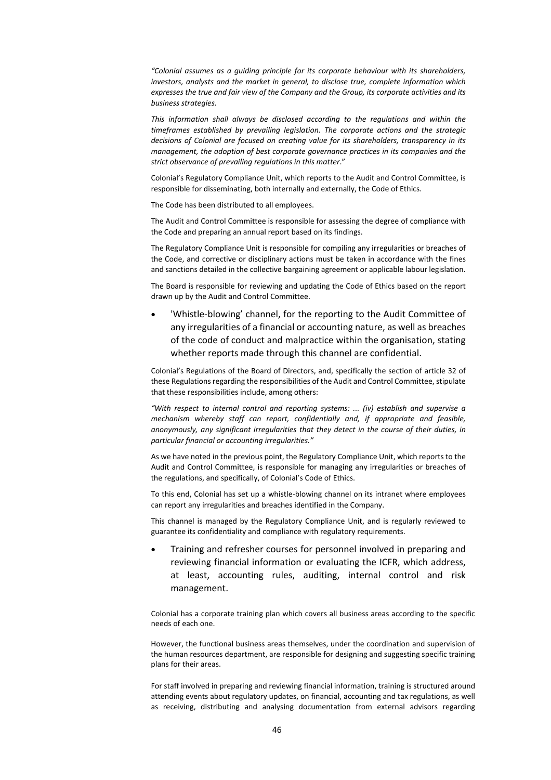*"Colonial assumes as a guiding principle for its corporate behaviour with its shareholders, investors, analysts and the market in general, to disclose true, complete information which expresses the true and fair view of the Company and the Group, its corporate activities and its business strategies.*

*This information shall always be disclosed according to the regulations and within the timeframes established by prevailing legislation. The corporate actions and the strategic decisions of Colonial are focused on creating value for its shareholders, transparency in its management, the adoption of best corporate governance practices in its companies and the strict observance of prevailing regulations in this matter*."

Colonial's Regulatory Compliance Unit, which reports to the Audit and Control Committee, is responsible for disseminating, both internally and externally, the Code of Ethics.

The Code has been distributed to all employees.

The Audit and Control Committee is responsible for assessing the degree of compliance with the Code and preparing an annual report based on its findings.

The Regulatory Compliance Unit is responsible for compiling any irregularities or breaches of the Code, and corrective or disciplinary actions must be taken in accordance with the fines and sanctions detailed in the collective bargaining agreement or applicable labour legislation.

The Board is responsible for reviewing and updating the Code of Ethics based on the report drawn up by the Audit and Control Committee.

 'Whistle‐blowing' channel, for the reporting to the Audit Committee of any irregularities of a financial or accounting nature, as well as breaches of the code of conduct and malpractice within the organisation, stating whether reports made through this channel are confidential.

Colonial's Regulations of the Board of Directors, and, specifically the section of article 32 of these Regulations regarding the responsibilities of the Audit and Control Committee, stipulate that these responsibilities include, among others:

*"With respect to internal control and reporting systems: ... (iv) establish and supervise a mechanism whereby staff can report, confidentially and, if appropriate and feasible, anonymously, any significant irregularities that they detect in the course of their duties, in particular financial or accounting irregularities."*

As we have noted in the previous point, the Regulatory Compliance Unit, which reports to the Audit and Control Committee, is responsible for managing any irregularities or breaches of the regulations, and specifically, of Colonial's Code of Ethics.

To this end, Colonial has set up a whistle‐blowing channel on its intranet where employees can report any irregularities and breaches identified in the Company.

This channel is managed by the Regulatory Compliance Unit, and is regularly reviewed to guarantee its confidentiality and compliance with regulatory requirements.

 Training and refresher courses for personnel involved in preparing and reviewing financial information or evaluating the ICFR, which address, at least, accounting rules, auditing, internal control and risk management.

Colonial has a corporate training plan which covers all business areas according to the specific needs of each one.

However, the functional business areas themselves, under the coordination and supervision of the human resources department, are responsible for designing and suggesting specific training plans for their areas.

For staff involved in preparing and reviewing financial information, training is structured around attending events about regulatory updates, on financial, accounting and tax regulations, as well as receiving, distributing and analysing documentation from external advisors regarding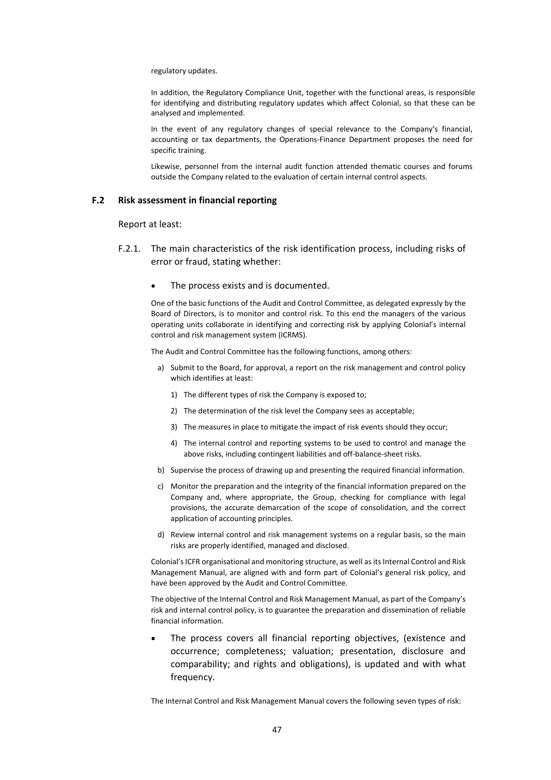regulatory updates.

In addition, the Regulatory Compliance Unit, together with the functional areas, is responsible for identifying and distributing regulatory updates which affect Colonial, so that these can be analysed and implemented.

In the event of any regulatory changes of special relevance to the Company's financial, accounting or tax departments, the Operations‐Finance Department proposes the need for specific training.

Likewise, personnel from the internal audit function attended thematic courses and forums outside the Company related to the evaluation of certain internal control aspects.

#### **F.2 Risk assessment in financial reporting**

#### Report at least:

- F.2.1. The main characteristics of the risk identification process, including risks of error or fraud, stating whether:
	- The process exists and is documented.

One of the basic functions of the Audit and Control Committee, as delegated expressly by the Board of Directors, is to monitor and control risk. To this end the managers of the various operating units collaborate in identifying and correcting risk by applying Colonial's internal control and risk management system (ICRMS).

The Audit and Control Committee has the following functions, among others:

- a) Submit to the Board, for approval, a report on the risk management and control policy which identifies at least:
	- 1) The different types of risk the Company is exposed to;
	- 2) The determination of the risk level the Company sees as acceptable;
	- 3) The measures in place to mitigate the impact of risk events should they occur;
	- 4) The internal control and reporting systems to be used to control and manage the above risks, including contingent liabilities and off-balance-sheet risks.
- b) Supervise the process of drawing up and presenting the required financial information.
- c) Monitor the preparation and the integrity of the financial information prepared on the Company and, where appropriate, the Group, checking for compliance with legal provisions, the accurate demarcation of the scope of consolidation, and the correct application of accounting principles.
- d) Review internal control and risk management systems on a regular basis, so the main risks are properly identified, managed and disclosed.

Colonial's ICFR organisational and monitoring structure, as well as its Internal Control and Risk Management Manual, are aligned with and form part of Colonial's general risk policy, and have been approved by the Audit and Control Committee.

The objective of the Internal Control and Risk Management Manual, as part of the Company's risk and internal control policy, is to guarantee the preparation and dissemination of reliable financial information.

 The process covers all financial reporting objectives, (existence and occurrence; completeness; valuation; presentation, disclosure and comparability; and rights and obligations), is updated and with what frequency.

The Internal Control and Risk Management Manual covers the following seven types of risk: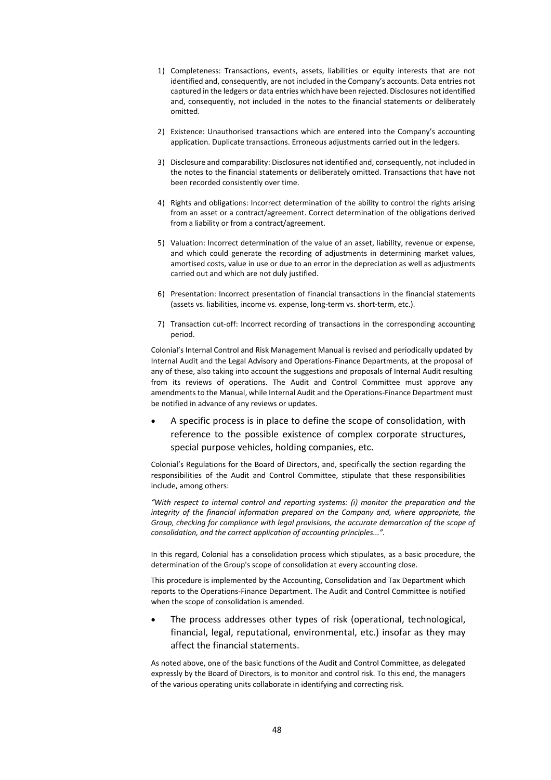- 1) Completeness: Transactions, events, assets, liabilities or equity interests that are not identified and, consequently, are not included in the Company's accounts. Data entries not captured in the ledgers or data entries which have been rejected. Disclosures not identified and, consequently, not included in the notes to the financial statements or deliberately omitted.
- 2) Existence: Unauthorised transactions which are entered into the Company's accounting application. Duplicate transactions. Erroneous adjustments carried out in the ledgers.
- 3) Disclosure and comparability: Disclosures not identified and, consequently, not included in the notes to the financial statements or deliberately omitted. Transactions that have not been recorded consistently over time.
- 4) Rights and obligations: Incorrect determination of the ability to control the rights arising from an asset or a contract/agreement. Correct determination of the obligations derived from a liability or from a contract/agreement.
- 5) Valuation: Incorrect determination of the value of an asset, liability, revenue or expense, and which could generate the recording of adjustments in determining market values, amortised costs, value in use or due to an error in the depreciation as well as adjustments carried out and which are not duly justified.
- 6) Presentation: Incorrect presentation of financial transactions in the financial statements (assets vs. liabilities, income vs. expense, long‐term vs. short‐term, etc.).
- 7) Transaction cut-off: Incorrect recording of transactions in the corresponding accounting period.

Colonial's Internal Control and Risk Management Manual is revised and periodically updated by Internal Audit and the Legal Advisory and Operations‐Finance Departments, at the proposal of any of these, also taking into account the suggestions and proposals of Internal Audit resulting from its reviews of operations. The Audit and Control Committee must approve any amendments to the Manual, while Internal Audit and the Operations‐Finance Department must be notified in advance of any reviews or updates.

 A specific process is in place to define the scope of consolidation, with reference to the possible existence of complex corporate structures, special purpose vehicles, holding companies, etc.

Colonial's Regulations for the Board of Directors, and, specifically the section regarding the responsibilities of the Audit and Control Committee, stipulate that these responsibilities include, among others:

*"With respect to internal control and reporting systems: (i) monitor the preparation and the integrity of the financial information prepared on the Company and, where appropriate, the Group, checking for compliance with legal provisions, the accurate demarcation of the scope of consolidation, and the correct application of accounting principles...".*

In this regard, Colonial has a consolidation process which stipulates, as a basic procedure, the determination of the Group's scope of consolidation at every accounting close.

This procedure is implemented by the Accounting, Consolidation and Tax Department which reports to the Operations‐Finance Department. The Audit and Control Committee is notified when the scope of consolidation is amended.

 The process addresses other types of risk (operational, technological, financial, legal, reputational, environmental, etc.) insofar as they may affect the financial statements.

As noted above, one of the basic functions of the Audit and Control Committee, as delegated expressly by the Board of Directors, is to monitor and control risk. To this end, the managers of the various operating units collaborate in identifying and correcting risk.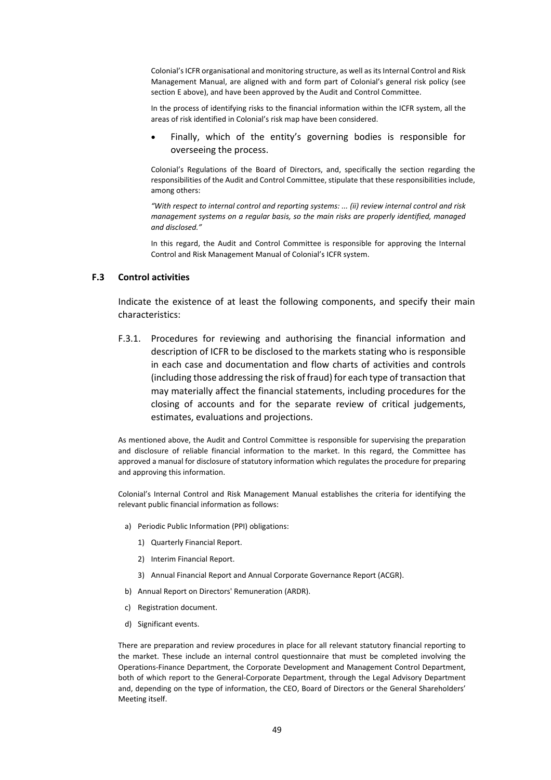Colonial's ICFR organisational and monitoring structure, as well as its Internal Control and Risk Management Manual, are aligned with and form part of Colonial's general risk policy (see section E above), and have been approved by the Audit and Control Committee.

In the process of identifying risks to the financial information within the ICFR system, all the areas of risk identified in Colonial's risk map have been considered.

 Finally, which of the entity's governing bodies is responsible for overseeing the process.

Colonial's Regulations of the Board of Directors, and, specifically the section regarding the responsibilities of the Audit and Control Committee, stipulate that these responsibilities include, among others:

*"With respect to internal control and reporting systems: ... (ii) review internal control and risk management systems on a regular basis, so the main risks are properly identified, managed and disclosed."*

In this regard, the Audit and Control Committee is responsible for approving the Internal Control and Risk Management Manual of Colonial's ICFR system.

#### **F.3 Control activities**

Indicate the existence of at least the following components, and specify their main characteristics:

F.3.1. Procedures for reviewing and authorising the financial information and description of ICFR to be disclosed to the markets stating who is responsible in each case and documentation and flow charts of activities and controls (including those addressing the risk of fraud) for each type of transaction that may materially affect the financial statements, including procedures for the closing of accounts and for the separate review of critical judgements, estimates, evaluations and projections.

As mentioned above, the Audit and Control Committee is responsible for supervising the preparation and disclosure of reliable financial information to the market. In this regard, the Committee has approved a manual for disclosure of statutory information which regulates the procedure for preparing and approving this information.

Colonial's Internal Control and Risk Management Manual establishes the criteria for identifying the relevant public financial information as follows:

- a) Periodic Public Information (PPI) obligations:
	- 1) Quarterly Financial Report.
	- 2) Interim Financial Report.
	- 3) Annual Financial Report and Annual Corporate Governance Report (ACGR).
- b) Annual Report on Directors' Remuneration (ARDR).
- c) Registration document.
- d) Significant events.

There are preparation and review procedures in place for all relevant statutory financial reporting to the market. These include an internal control questionnaire that must be completed involving the Operations‐Finance Department, the Corporate Development and Management Control Department, both of which report to the General‐Corporate Department, through the Legal Advisory Department and, depending on the type of information, the CEO, Board of Directors or the General Shareholders' Meeting itself.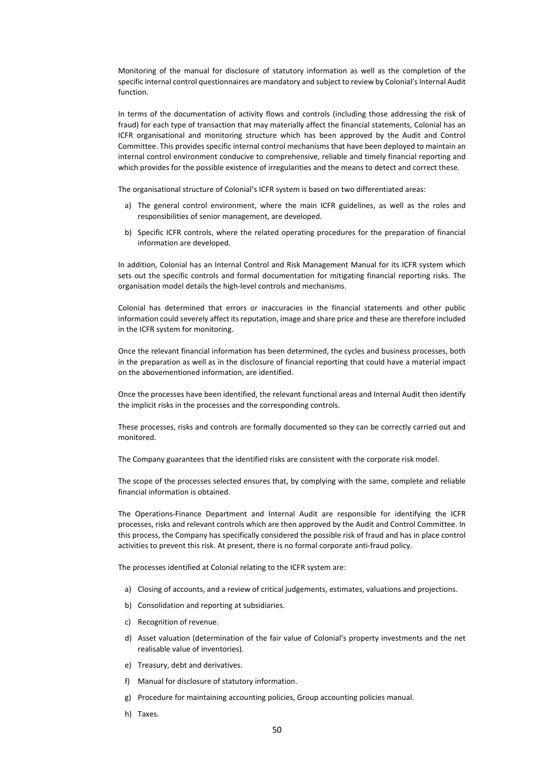Monitoring of the manual for disclosure of statutory information as well as the completion of the specific internal control questionnaires are mandatory and subject to review by Colonial's Internal Audit function.

In terms of the documentation of activity flows and controls (including those addressing the risk of fraud) for each type of transaction that may materially affect the financial statements, Colonial has an ICFR organisational and monitoring structure which has been approved by the Audit and Control Committee. This provides specific internal control mechanisms that have been deployed to maintain an internal control environment conducive to comprehensive, reliable and timely financial reporting and which provides for the possible existence of irregularities and the means to detect and correct these.

The organisational structure of Colonial's ICFR system is based on two differentiated areas:

- a) The general control environment, where the main ICFR guidelines, as well as the roles and responsibilities of senior management, are developed.
- b) Specific ICFR controls, where the related operating procedures for the preparation of financial information are developed.

In addition, Colonial has an Internal Control and Risk Management Manual for its ICFR system which sets out the specific controls and formal documentation for mitigating financial reporting risks. The organisation model details the high‐level controls and mechanisms.

Colonial has determined that errors or inaccuracies in the financial statements and other public information could severely affect its reputation, image and share price and these are therefore included in the ICFR system for monitoring.

Once the relevant financial information has been determined, the cycles and business processes, both in the preparation as well as in the disclosure of financial reporting that could have a material impact on the abovementioned information, are identified.

Once the processes have been identified, the relevant functional areas and Internal Audit then identify the implicit risks in the processes and the corresponding controls.

These processes, risks and controls are formally documented so they can be correctly carried out and monitored.

The Company guarantees that the identified risks are consistent with the corporate risk model.

The scope of the processes selected ensures that, by complying with the same, complete and reliable financial information is obtained.

The Operations‐Finance Department and Internal Audit are responsible for identifying the ICFR processes, risks and relevant controls which are then approved by the Audit and Control Committee. In this process, the Company has specifically considered the possible risk of fraud and has in place control activities to prevent this risk. At present, there is no formal corporate anti‐fraud policy.

The processes identified at Colonial relating to the ICFR system are:

- a) Closing of accounts, and a review of critical judgements, estimates, valuations and projections.
- b) Consolidation and reporting at subsidiaries.
- c) Recognition of revenue.
- d) Asset valuation (determination of the fair value of Colonial's property investments and the net realisable value of inventories).
- e) Treasury, debt and derivatives.
- f) Manual for disclosure of statutory information.
- g) Procedure for maintaining accounting policies, Group accounting policies manual.
- h) Taxes.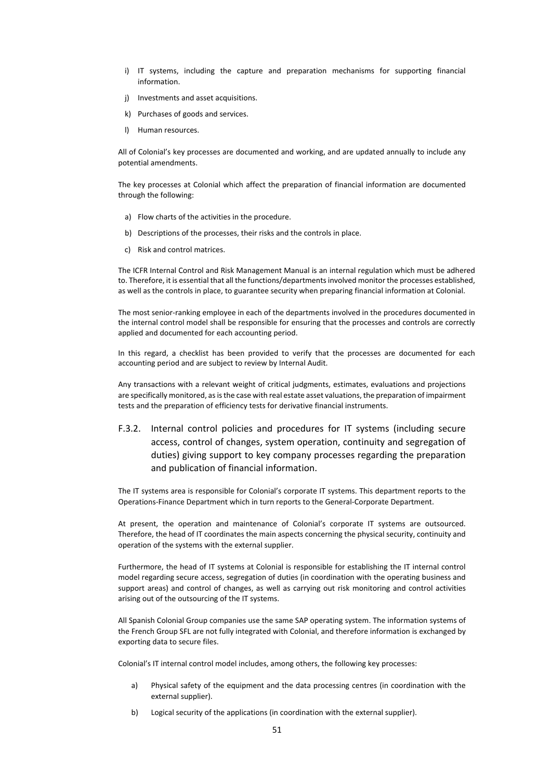- i) IT systems, including the capture and preparation mechanisms for supporting financial information.
- j) Investments and asset acquisitions.
- k) Purchases of goods and services.
- l) Human resources.

All of Colonial's key processes are documented and working, and are updated annually to include any potential amendments.

The key processes at Colonial which affect the preparation of financial information are documented through the following:

- a) Flow charts of the activities in the procedure.
- b) Descriptions of the processes, their risks and the controls in place.
- c) Risk and control matrices.

The ICFR Internal Control and Risk Management Manual is an internal regulation which must be adhered to. Therefore, it is essential that all the functions/departmentsinvolved monitor the processes established, as well as the controls in place, to guarantee security when preparing financial information at Colonial.

The most senior-ranking employee in each of the departments involved in the procedures documented in the internal control model shall be responsible for ensuring that the processes and controls are correctly applied and documented for each accounting period.

In this regard, a checklist has been provided to verify that the processes are documented for each accounting period and are subject to review by Internal Audit.

Any transactions with a relevant weight of critical judgments, estimates, evaluations and projections are specifically monitored, asisthe case with real estate asset valuations, the preparation of impairment tests and the preparation of efficiency tests for derivative financial instruments.

F.3.2. Internal control policies and procedures for IT systems (including secure access, control of changes, system operation, continuity and segregation of duties) giving support to key company processes regarding the preparation and publication of financial information.

The IT systems area is responsible for Colonial's corporate IT systems. This department reports to the Operations‐Finance Department which in turn reports to the General‐Corporate Department.

At present, the operation and maintenance of Colonial's corporate IT systems are outsourced. Therefore, the head of IT coordinates the main aspects concerning the physical security, continuity and operation of the systems with the external supplier.

Furthermore, the head of IT systems at Colonial is responsible for establishing the IT internal control model regarding secure access, segregation of duties (in coordination with the operating business and support areas) and control of changes, as well as carrying out risk monitoring and control activities arising out of the outsourcing of the IT systems.

All Spanish Colonial Group companies use the same SAP operating system. The information systems of the French Group SFL are not fully integrated with Colonial, and therefore information is exchanged by exporting data to secure files.

Colonial's IT internal control model includes, among others, the following key processes:

- a) Physical safety of the equipment and the data processing centres (in coordination with the external supplier).
- b) Logical security of the applications (in coordination with the external supplier).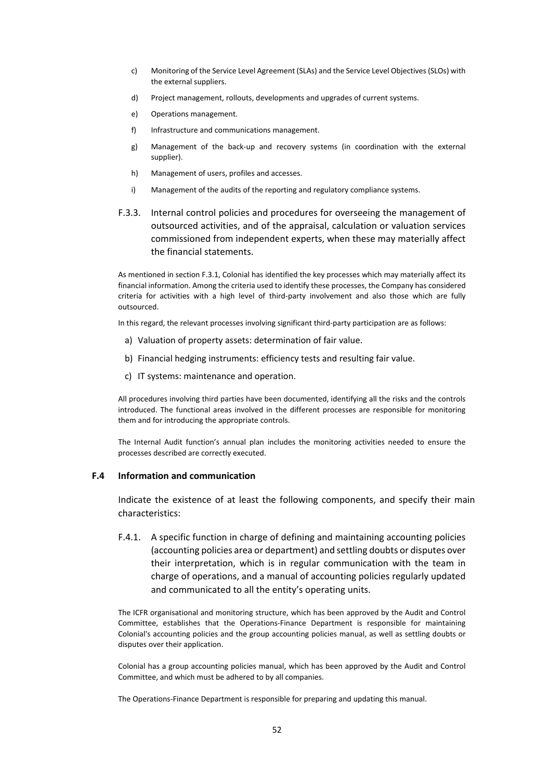- c) Monitoring of the Service Level Agreement (SLAs) and the Service Level Objectives(SLOs) with the external suppliers.
- d) Project management, rollouts, developments and upgrades of current systems.
- e) Operations management.
- f) Infrastructure and communications management.
- g) Management of the back‐up and recovery systems (in coordination with the external supplier).
- h) Management of users, profiles and accesses.
- i) Management of the audits of the reporting and regulatory compliance systems.
- F.3.3. Internal control policies and procedures for overseeing the management of outsourced activities, and of the appraisal, calculation or valuation services commissioned from independent experts, when these may materially affect the financial statements.

As mentioned in section F.3.1, Colonial has identified the key processes which may materially affect its financial information. Among the criteria used to identify these processes, the Company has considered criteria for activities with a high level of third‐party involvement and also those which are fully outsourced.

In this regard, the relevant processes involving significant third‐party participation are as follows:

- a) Valuation of property assets: determination of fair value.
- b) Financial hedging instruments: efficiency tests and resulting fair value.
- c) IT systems: maintenance and operation.

All procedures involving third parties have been documented, identifying all the risks and the controls introduced. The functional areas involved in the different processes are responsible for monitoring them and for introducing the appropriate controls.

The Internal Audit function's annual plan includes the monitoring activities needed to ensure the processes described are correctly executed.

#### **F.4 Information and communication**

Indicate the existence of at least the following components, and specify their main characteristics:

F.4.1. A specific function in charge of defining and maintaining accounting policies (accounting policies area or department) and settling doubts or disputes over their interpretation, which is in regular communication with the team in charge of operations, and a manual of accounting policies regularly updated and communicated to all the entity's operating units.

The ICFR organisational and monitoring structure, which has been approved by the Audit and Control Committee, establishes that the Operations‐Finance Department is responsible for maintaining Colonial's accounting policies and the group accounting policies manual, as well as settling doubts or disputes over their application.

Colonial has a group accounting policies manual, which has been approved by the Audit and Control Committee, and which must be adhered to by all companies.

The Operations‐Finance Department is responsible for preparing and updating this manual.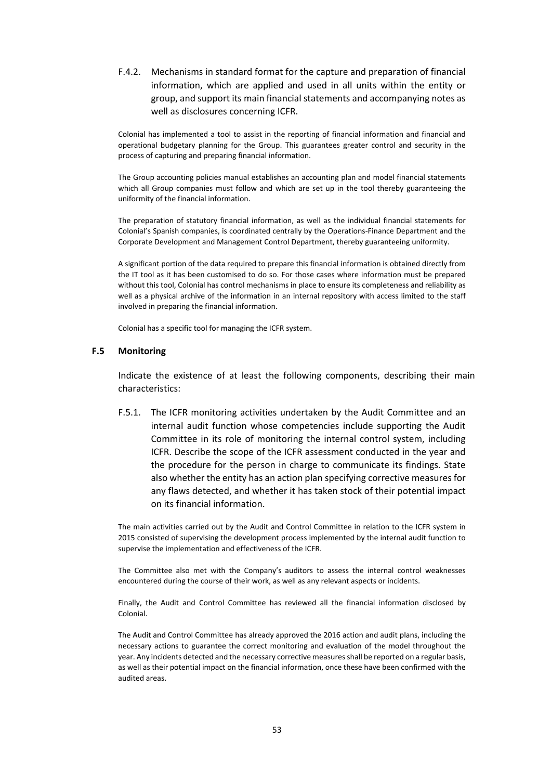F.4.2. Mechanisms in standard format for the capture and preparation of financial information, which are applied and used in all units within the entity or group, and support its main financial statements and accompanying notes as well as disclosures concerning ICFR.

Colonial has implemented a tool to assist in the reporting of financial information and financial and operational budgetary planning for the Group. This guarantees greater control and security in the process of capturing and preparing financial information.

The Group accounting policies manual establishes an accounting plan and model financial statements which all Group companies must follow and which are set up in the tool thereby guaranteeing the uniformity of the financial information.

The preparation of statutory financial information, as well as the individual financial statements for Colonial's Spanish companies, is coordinated centrally by the Operations‐Finance Department and the Corporate Development and Management Control Department, thereby guaranteeing uniformity.

A significant portion of the data required to prepare this financial information is obtained directly from the IT tool as it has been customised to do so. For those cases where information must be prepared without this tool, Colonial has control mechanisms in place to ensure its completeness and reliability as well as a physical archive of the information in an internal repository with access limited to the staff involved in preparing the financial information.

Colonial has a specific tool for managing the ICFR system.

#### **F.5 Monitoring**

Indicate the existence of at least the following components, describing their main characteristics:

F.5.1. The ICFR monitoring activities undertaken by the Audit Committee and an internal audit function whose competencies include supporting the Audit Committee in its role of monitoring the internal control system, including ICFR. Describe the scope of the ICFR assessment conducted in the year and the procedure for the person in charge to communicate its findings. State also whether the entity has an action plan specifying corrective measures for any flaws detected, and whether it has taken stock of their potential impact on its financial information.

The main activities carried out by the Audit and Control Committee in relation to the ICFR system in 2015 consisted of supervising the development process implemented by the internal audit function to supervise the implementation and effectiveness of the ICFR.

The Committee also met with the Company's auditors to assess the internal control weaknesses encountered during the course of their work, as well as any relevant aspects or incidents.

Finally, the Audit and Control Committee has reviewed all the financial information disclosed by Colonial.

The Audit and Control Committee has already approved the 2016 action and audit plans, including the necessary actions to guarantee the correct monitoring and evaluation of the model throughout the year. Any incidents detected and the necessary corrective measuresshall be reported on a regular basis, as well as their potential impact on the financial information, once these have been confirmed with the audited areas.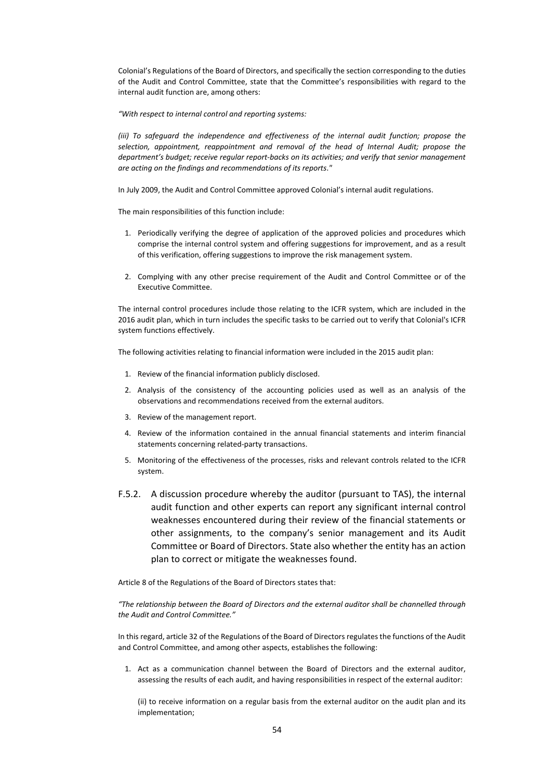Colonial's Regulations of the Board of Directors, and specifically the section corresponding to the duties of the Audit and Control Committee, state that the Committee's responsibilities with regard to the internal audit function are, among others:

*"With respect to internal control and reporting systems:*

*(iii) To safeguard the independence and effectiveness of the internal audit function; propose the selection, appointment, reappointment and removal of the head of Internal Audit; propose the department's budget; receive regular report‐backs on its activities; and verify that senior management are acting on the findings and recommendations of its reports*.*"*

In July 2009, the Audit and Control Committee approved Colonial's internal audit regulations.

The main responsibilities of this function include:

- 1. Periodically verifying the degree of application of the approved policies and procedures which comprise the internal control system and offering suggestions for improvement, and as a result of this verification, offering suggestions to improve the risk management system.
- 2. Complying with any other precise requirement of the Audit and Control Committee or of the Executive Committee.

The internal control procedures include those relating to the ICFR system, which are included in the 2016 audit plan, which in turn includes the specific tasks to be carried out to verify that Colonial's ICFR system functions effectively.

The following activities relating to financial information were included in the 2015 audit plan:

- 1. Review of the financial information publicly disclosed.
- 2. Analysis of the consistency of the accounting policies used as well as an analysis of the observations and recommendations received from the external auditors.
- 3. Review of the management report.
- 4. Review of the information contained in the annual financial statements and interim financial statements concerning related‐party transactions.
- 5. Monitoring of the effectiveness of the processes, risks and relevant controls related to the ICFR system.
- F.5.2. A discussion procedure whereby the auditor (pursuant to TAS), the internal audit function and other experts can report any significant internal control weaknesses encountered during their review of the financial statements or other assignments, to the company's senior management and its Audit Committee or Board of Directors. State also whether the entity has an action plan to correct or mitigate the weaknesses found.

Article 8 of the Regulations of the Board of Directors states that:

*"The relationship between the Board of Directors and the external auditor shall be channelled through the Audit and Control Committee."*

In this regard, article 32 of the Regulations of the Board of Directors regulates the functions of the Audit and Control Committee, and among other aspects, establishes the following:

1. Act as a communication channel between the Board of Directors and the external auditor, assessing the results of each audit, and having responsibilities in respect of the external auditor:

(ii) to receive information on a regular basis from the external auditor on the audit plan and its implementation;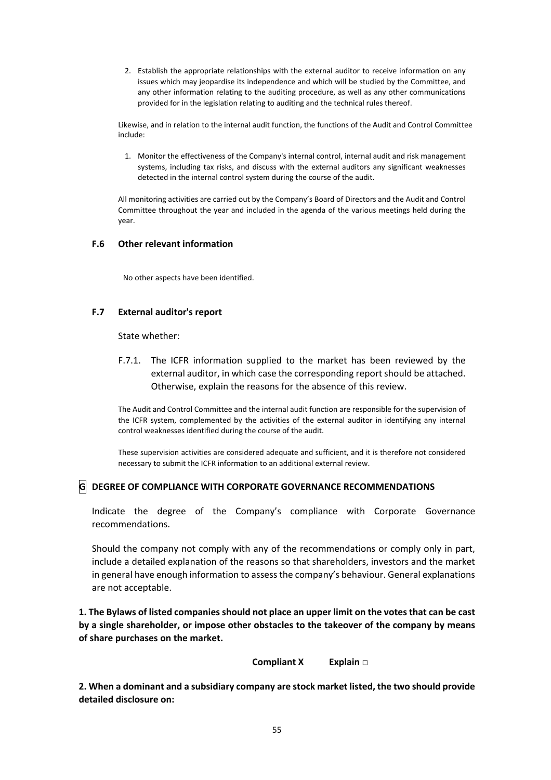2. Establish the appropriate relationships with the external auditor to receive information on any issues which may jeopardise its independence and which will be studied by the Committee, and any other information relating to the auditing procedure, as well as any other communications provided for in the legislation relating to auditing and the technical rules thereof.

Likewise, and in relation to the internal audit function, the functions of the Audit and Control Committee include:

1. Monitor the effectiveness of the Company's internal control, internal audit and risk management systems, including tax risks, and discuss with the external auditors any significant weaknesses detected in the internal control system during the course of the audit.

All monitoring activities are carried out by the Company's Board of Directors and the Audit and Control Committee throughout the year and included in the agenda of the various meetings held during the year.

## **F.6 Other relevant information**

No other aspects have been identified.

## **F.7 External auditor's report**

State whether:

F.7.1. The ICFR information supplied to the market has been reviewed by the external auditor, in which case the corresponding report should be attached. Otherwise, explain the reasons for the absence of this review.

The Audit and Control Committee and the internal audit function are responsible for the supervision of the ICFR system, complemented by the activities of the external auditor in identifying any internal control weaknesses identified during the course of the audit.

These supervision activities are considered adequate and sufficient, and it is therefore not considered necessary to submit the ICFR information to an additional external review.

# **G DEGREE OF COMPLIANCE WITH CORPORATE GOVERNANCE RECOMMENDATIONS**

Indicate the degree of the Company's compliance with Corporate Governance recommendations.

Should the company not comply with any of the recommendations or comply only in part, include a detailed explanation of the reasons so that shareholders, investors and the market in general have enough information to assess the company's behaviour. General explanations are not acceptable.

1. The Bylaws of listed companies should not place an upper limit on the votes that can be cast **by a single shareholder, or impose other obstacles to the takeover of the company by means of share purchases on the market.** 

**Compliant X Explain □** 

**2. When a dominant and a subsidiary company are stock market listed, the two should provide detailed disclosure on:**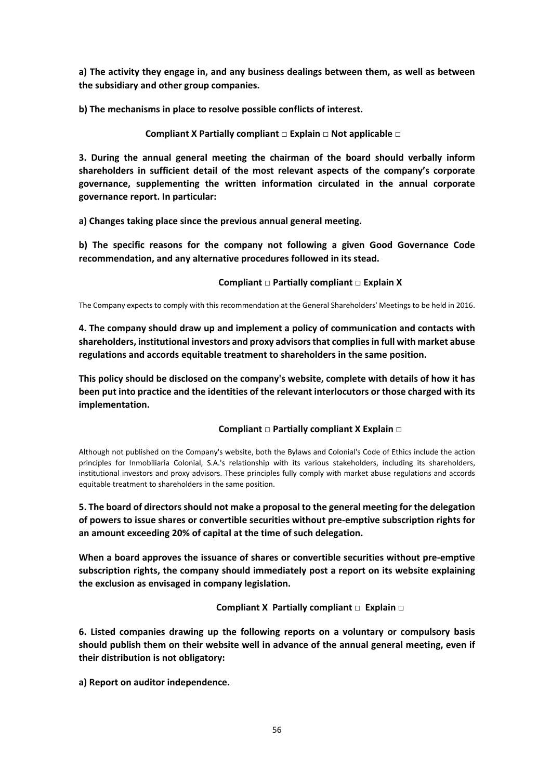**a) The activity they engage in, and any business dealings between them, as well as between the subsidiary and other group companies.** 

**b) The mechanisms in place to resolve possible conflicts of interest.** 

# **Compliant X Partially compliant □ Explain □ Not applicable □**

**3. During the annual general meeting the chairman of the board should verbally inform shareholders in sufficient detail of the most relevant aspects of the company's corporate governance, supplementing the written information circulated in the annual corporate governance report. In particular:** 

**a) Changes taking place since the previous annual general meeting.** 

**b) The specific reasons for the company not following a given Good Governance Code recommendation, and any alternative procedures followed in its stead.**

## **Compliant □ ParƟally compliant □ Explain X**

The Company expects to comply with this recommendation at the General Shareholders' Meetings to be held in 2016.

**4. The company should draw up and implement a policy of communication and contacts with shareholders, institutional investors and proxy advisorsthat compliesin full with market abuse regulations and accords equitable treatment to shareholders in the same position.** 

**This policy should be disclosed on the company's website, complete with details of how it has been put into practice and the identities of the relevant interlocutors or those charged with its implementation.** 

**Compliant □ ParƟally compliant X Explain □** 

Although not published on the Company's website, both the Bylaws and Colonial's Code of Ethics include the action principles for Inmobiliaria Colonial, S.A.'s relationship with its various stakeholders, including its shareholders, institutional investors and proxy advisors. These principles fully comply with market abuse regulations and accords equitable treatment to shareholders in the same position.

**5. The board of directorsshould not make a proposal to the general meeting for the delegation of powers to issue shares or convertible securities without pre‐emptive subscription rights for an amount exceeding 20% of capital at the time of such delegation.** 

**When a board approves the issuance of shares or convertible securities without pre‐emptive subscription rights, the company should immediately post a report on its website explaining the exclusion as envisaged in company legislation.** 

**Compliant X Partially compliant □ Explain □** 

**6. Listed companies drawing up the following reports on a voluntary or compulsory basis should publish them on their website well in advance of the annual general meeting, even if their distribution is not obligatory:** 

**a) Report on auditor independence.**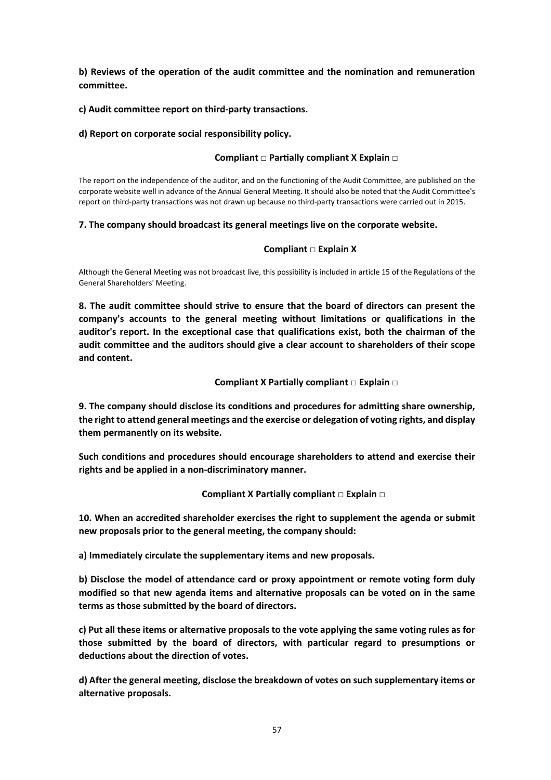**b) Reviews of the operation of the audit committee and the nomination and remuneration committee.**

**c) Audit committee report on third‐party transactions.** 

**d) Report on corporate social responsibility policy.** 

## **Compliant □ ParƟally compliant X Explain □**

The report on the independence of the auditor, and on the functioning of the Audit Committee, are published on the corporate website well in advance of the Annual General Meeting. It should also be noted that the Audit Committee's report on third‐party transactions was not drawn up because no third‐party transactions were carried out in 2015.

# **7. The company should broadcast its general meetings live on the corporate website.**

# **Compliant □ Explain X**

Although the General Meeting was not broadcast live, this possibility is included in article 15 of the Regulations of the General Shareholders' Meeting.

**8. The audit committee should strive to ensure that the board of directors can present the company's accounts to the general meeting without limitations or qualifications in the auditor's report. In the exceptional case that qualifications exist, both the chairman of the audit committee and the auditors should give a clear account to shareholders of their scope and content.** 

**Compliant X Partially compliant □ Explain □** 

**9. The company should disclose its conditions and procedures for admitting share ownership, the right to attend general meetings and the exercise or delegation of voting rights, and display them permanently on its website.** 

**Such conditions and procedures should encourage shareholders to attend and exercise their rights and be applied in a non‐discriminatory manner.** 

**Compliant X Partially compliant □ Explain □** 

**10. When an accredited shareholder exercises the right to supplement the agenda or submit new proposals prior to the general meeting, the company should:**

**a) Immediately circulate the supplementary items and new proposals.** 

**b) Disclose the model of attendance card or proxy appointment or remote voting form duly modified so that new agenda items and alternative proposals can be voted on in the same terms as those submitted by the board of directors.** 

**c) Put all these items or alternative proposals to the vote applying the same voting rules as for those submitted by the board of directors, with particular regard to presumptions or deductions about the direction of votes.** 

**d) After the general meeting, disclose the breakdown of votes on such supplementary items or alternative proposals.**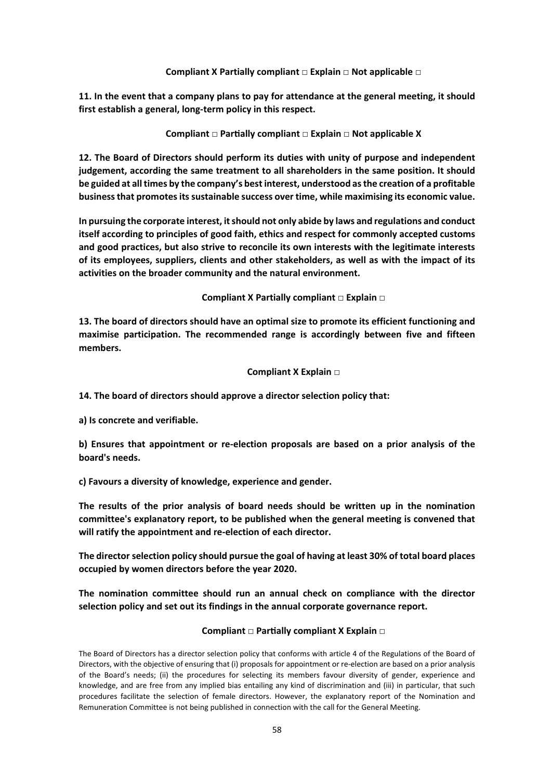## **Compliant X Partially compliant □ Explain □ Not applicable □**

**11. In the event that a company plans to pay for attendance at the general meeting, it should first establish a general, long‐term policy in this respect.** 

## **Compliant □ ParƟally compliant □ Explain □ Not applicable X**

**12. The Board of Directors should perform its duties with unity of purpose and independent judgement, according the same treatment to all shareholders in the same position. It should be guided at all times by the company's bestinterest, understood asthe creation of a profitable businessthat promotesitssustainable success over time, while maximising its economic value.** 

**In pursuing the corporate interest, itshould not only abide by laws and regulations and conduct itself according to principles of good faith, ethics and respect for commonly accepted customs and good practices, but also strive to reconcile its own interests with the legitimate interests of its employees, suppliers, clients and other stakeholders, as well as with the impact of its activities on the broader community and the natural environment.**

**Compliant X Partially compliant □ Explain □** 

**13. The board of directors should have an optimal size to promote its efficient functioning and maximise participation. The recommended range is accordingly between five and fifteen members.** 

### **Compliant X Explain □**

**14. The board of directors should approve a director selection policy that:** 

**a) Is concrete and verifiable.** 

**b) Ensures that appointment or re‐election proposals are based on a prior analysis of the board's needs.** 

**c) Favours a diversity of knowledge, experience and gender.** 

**The results of the prior analysis of board needs should be written up in the nomination committee's explanatory report, to be published when the general meeting is convened that will ratify the appointment and re‐election of each director.** 

**The director selection policy should pursue the goal of having at least 30% of total board places occupied by women directors before the year 2020.** 

**The nomination committee should run an annual check on compliance with the director selection policy and set out its findings in the annual corporate governance report.** 

## **Compliant □ ParƟally compliant X Explain □**

The Board of Directors has a director selection policy that conforms with article 4 of the Regulations of the Board of Directors, with the objective of ensuring that (i) proposals for appointment or re‐election are based on a prior analysis of the Board's needs; (ii) the procedures for selecting its members favour diversity of gender, experience and knowledge, and are free from any implied bias entailing any kind of discrimination and (iii) in particular, that such procedures facilitate the selection of female directors. However, the explanatory report of the Nomination and Remuneration Committee is not being published in connection with the call for the General Meeting.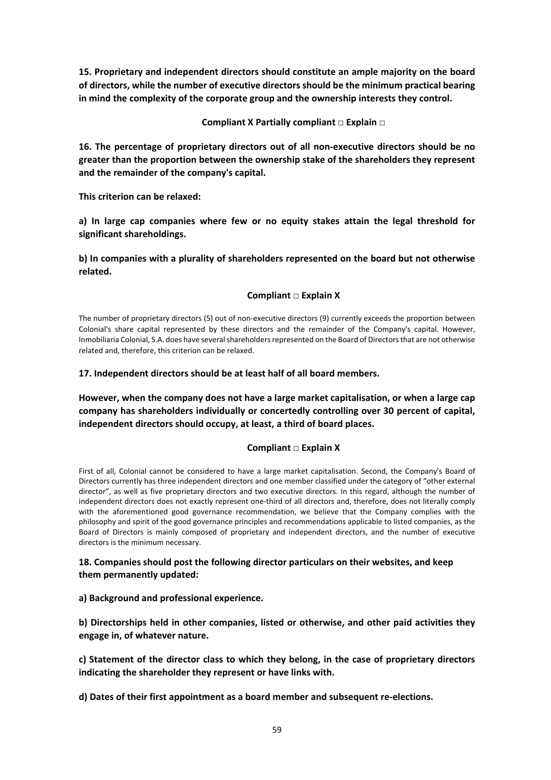**15. Proprietary and independent directors should constitute an ample majority on the board of directors, while the number of executive directors should be the minimum practical bearing in mind the complexity of the corporate group and the ownership interests they control.** 

**Compliant X Partially compliant □ Explain □** 

**16. The percentage of proprietary directors out of all non‐executive directors should be no greater than the proportion between the ownership stake of the shareholders they represent and the remainder of the company's capital.** 

**This criterion can be relaxed:** 

**a) In large cap companies where few or no equity stakes attain the legal threshold for significant shareholdings.** 

**b) In companies with a plurality of shareholders represented on the board but not otherwise related.** 

# **Compliant □ Explain X**

The number of proprietary directors (5) out of non-executive directors (9) currently exceeds the proportion between Colonial's share capital represented by these directors and the remainder of the Company's capital. However, Inmobiliaria Colonial, S.A. does have several shareholders represented on the Board of Directors that are not otherwise related and, therefore, this criterion can be relaxed.

**17. Independent directors should be at least half of all board members.** 

**However, when the company does not have a large market capitalisation, or when a large cap company has shareholders individually or concertedly controlling over 30 percent of capital, independent directors should occupy, at least, a third of board places.** 

# **Compliant □ Explain X**

First of all, Colonial cannot be considered to have a large market capitalisation. Second, the Company's Board of Directors currently has three independent directors and one member classified under the category of "other external director", as well as five proprietary directors and two executive directors. In this regard, although the number of independent directors does not exactly represent one‐third of all directors and, therefore, does not literally comply with the aforementioned good governance recommendation, we believe that the Company complies with the philosophy and spirit of the good governance principles and recommendations applicable to listed companies, as the Board of Directors is mainly composed of proprietary and independent directors, and the number of executive directors is the minimum necessary.

# **18. Companies should post the following director particulars on their websites, and keep them permanently updated:**

**a) Background and professional experience.** 

**b) Directorships held in other companies, listed or otherwise, and other paid activities they engage in, of whatever nature.** 

**c) Statement of the director class to which they belong, in the case of proprietary directors indicating the shareholder they represent or have links with.** 

**d) Dates of their first appointment as a board member and subsequent re‐elections.**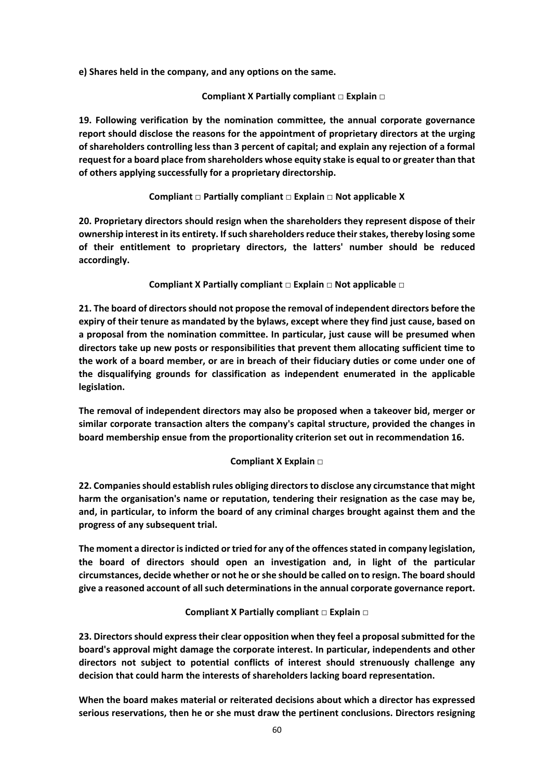**e) Shares held in the company, and any options on the same.** 

**Compliant X Partially compliant □ Explain □** 

**19. Following verification by the nomination committee, the annual corporate governance report should disclose the reasons for the appointment of proprietary directors at the urging of shareholders controlling less than 3 percent of capital; and explain any rejection of a formal request for a board place from shareholders whose equity stake is equal to or greater than that of others applying successfully for a proprietary directorship.** 

**Compliant □ ParƟally compliant □ Explain □ Not applicable X**

**20. Proprietary directors should resign when the shareholders they represent dispose of their ownership interest in its entirety. Ifsuch shareholdersreduce theirstakes, thereby losing some of their entitlement to proprietary directors, the latters' number should be reduced accordingly.** 

**Compliant X Partially compliant □ Explain □ Not applicable □** 

**21. The board of directorsshould not propose the removal of independent directors before the expiry of their tenure as mandated by the bylaws, except where they find just cause, based on a proposal from the nomination committee. In particular, just cause will be presumed when directors take up new posts or responsibilities that prevent them allocating sufficient time to the work of a board member, or are in breach of their fiduciary duties or come under one of the disqualifying grounds for classification as independent enumerated in the applicable legislation.** 

**The removal of independent directors may also be proposed when a takeover bid, merger or similar corporate transaction alters the company's capital structure, provided the changes in board membership ensue from the proportionality criterion set out in recommendation 16.**

# **Compliant X Explain □**

**22. Companiesshould establish rules obliging directorsto disclose any circumstance that might harm the organisation's name or reputation, tendering their resignation as the case may be, and, in particular, to inform the board of any criminal charges brought against them and the progress of any subsequent trial.** 

**The moment a director isindicted or tried for any of the offencesstated in company legislation, the board of directors should open an investigation and, in light of the particular circumstances, decide whether or not he orshe should be called on to resign. The board should give a reasoned account of all such determinations in the annual corporate governance report.**

# **Compliant X Partially compliant □ Explain □**

**23. Directorsshould expresstheir clear opposition when they feel a proposalsubmitted for the board's approval might damage the corporate interest. In particular, independents and other directors not subject to potential conflicts of interest should strenuously challenge any decision that could harm the interests of shareholders lacking board representation.**

**When the board makes material or reiterated decisions about which a director has expressed serious reservations, then he or she must draw the pertinent conclusions. Directors resigning**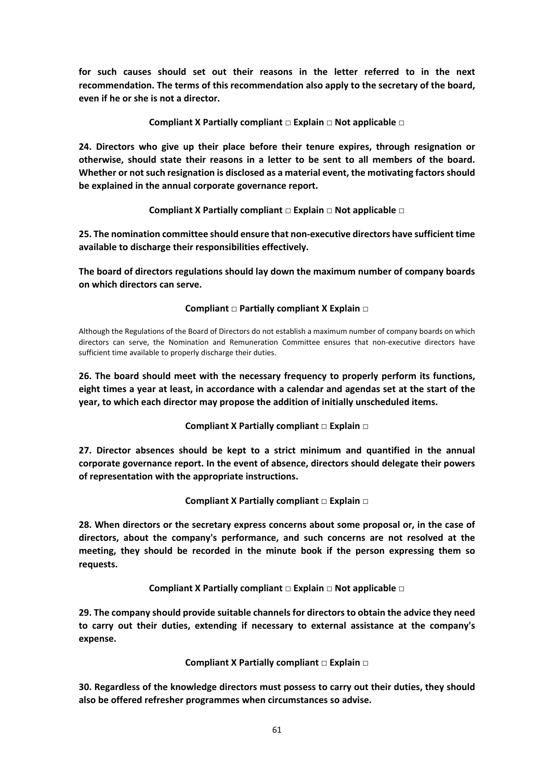**for such causes should set out their reasons in the letter referred to in the next recommendation. The terms of this recommendation also apply to the secretary of the board, even if he or she is not a director.** 

# **Compliant X Partially compliant □ Explain □ Not applicable □**

**24. Directors who give up their place before their tenure expires, through resignation or otherwise, should state their reasons in a letter to be sent to all members of the board. Whether or notsuch resignation is disclosed as a material event, the motivating factors should be explained in the annual corporate governance report.** 

**Compliant X Partially compliant □ Explain □ Not applicable □** 

**25. The nomination committee should ensure that non‐executive directors have sufficient time available to discharge their responsibilities effectively.** 

**The board of directors regulations should lay down the maximum number of company boards on which directors can serve.** 

## **Compliant □ ParƟally compliant X Explain □**

Although the Regulations of the Board of Directors do not establish a maximum number of company boards on which directors can serve, the Nomination and Remuneration Committee ensures that non‐executive directors have sufficient time available to properly discharge their duties.

**26. The board should meet with the necessary frequency to properly perform its functions,** eight times a year at least, in accordance with a calendar and agendas set at the start of the **year, to which each director may propose the addition of initially unscheduled items.** 

**Compliant X Partially compliant □ Explain □** 

**27. Director absences should be kept to a strict minimum and quantified in the annual corporate governance report. In the event of absence, directors should delegate their powers of representation with the appropriate instructions.** 

**Compliant X Partially compliant □ Explain □** 

**28. When directors or the secretary express concerns about some proposal or, in the case of directors, about the company's performance, and such concerns are not resolved at the meeting, they should be recorded in the minute book if the person expressing them so requests.** 

**Compliant X Partially compliant □ Explain □ Not applicable □** 

**29. The company should provide suitable channels for directors to obtain the advice they need to carry out their duties, extending if necessary to external assistance at the company's expense.** 

**Compliant X Partially compliant □ Explain □** 

**30. Regardless of the knowledge directors must possess to carry out their duties, they should also be offered refresher programmes when circumstances so advise.**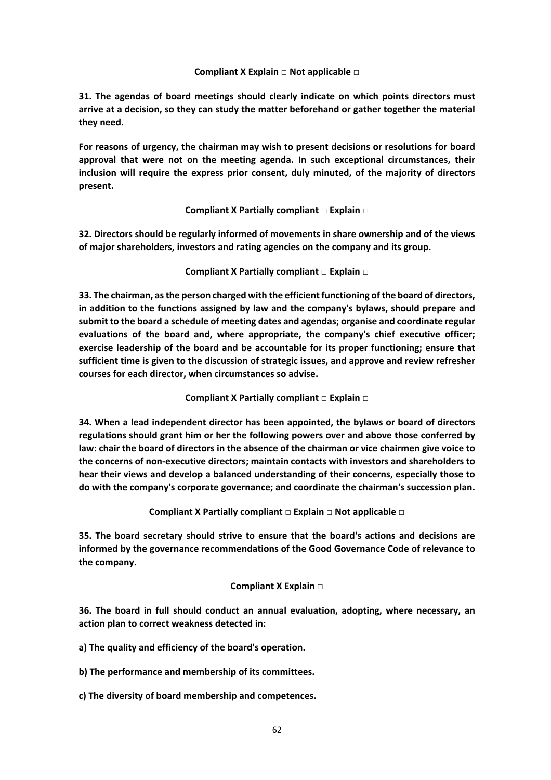## **Compliant X Explain □ Not applicable □**

**31. The agendas of board meetings should clearly indicate on which points directors must arrive at a decision, so they can study the matter beforehand or gather together the material they need.** 

**For reasons of urgency, the chairman may wish to present decisions or resolutions for board approval that were not on the meeting agenda. In such exceptional circumstances, their inclusion will require the express prior consent, duly minuted, of the majority of directors present.** 

**Compliant X Partially compliant □ Explain □** 

**32. Directors should be regularly informed of movements in share ownership and of the views of major shareholders, investors and rating agencies on the company and its group.** 

**Compliant X Partially compliant □ Explain □** 

**33. The chairman, asthe person charged with the efficientfunctioning of the board of directors, in addition to the functions assigned by law and the company's bylaws, should prepare and submit to the board a schedule of meeting dates and agendas; organise and coordinate regular evaluations of the board and, where appropriate, the company's chief executive officer; exercise leadership of the board and be accountable for its proper functioning; ensure that sufficient time is given to the discussion of strategic issues, and approve and review refresher courses for each director, when circumstances so advise.** 

**Compliant X Partially compliant □ Explain □** 

**34. When a lead independent director has been appointed, the bylaws or board of directors regulations should grant him or her the following powers over and above those conferred by law: chair the board of directors in the absence of the chairman or vice chairmen give voice to the concerns of non‐executive directors; maintain contacts with investors and shareholders to hear their views and develop a balanced understanding of their concerns, especially those to do with the company's corporate governance; and coordinate the chairman's succession plan.** 

**Compliant X Partially compliant □ Explain □ Not applicable □** 

**35. The board secretary should strive to ensure that the board's actions and decisions are informed by the governance recommendations of the Good Governance Code of relevance to the company.** 

# **Compliant X Explain □**

**36. The board in full should conduct an annual evaluation, adopting, where necessary, an action plan to correct weakness detected in:** 

**a) The quality and efficiency of the board's operation.** 

**b) The performance and membership of its committees.** 

**c) The diversity of board membership and competences.**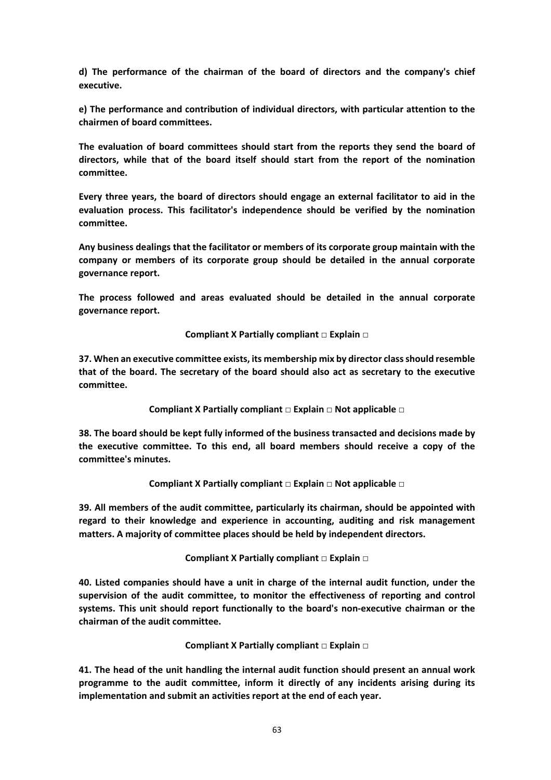**d) The performance of the chairman of the board of directors and the company's chief executive.** 

**e) The performance and contribution of individual directors, with particular attention to the chairmen of board committees.** 

**The evaluation of board committees should start from the reports they send the board of directors, while that of the board itself should start from the report of the nomination committee.** 

**Every three years, the board of directors should engage an external facilitator to aid in the evaluation process. This facilitator's independence should be verified by the nomination committee.** 

**Any business dealings that the facilitator or members of its corporate group maintain with the company or members of its corporate group should be detailed in the annual corporate governance report.** 

**The process followed and areas evaluated should be detailed in the annual corporate governance report.** 

**Compliant X Partially compliant □ Explain □** 

**37. When an executive committee exists, its membership mix by director classshould resemble that of the board. The secretary of the board should also act as secretary to the executive committee.** 

**Compliant X Partially compliant □ Explain □ Not applicable □** 

**38. The board should be kept fully informed of the business transacted and decisions made by the executive committee. To this end, all board members should receive a copy of the committee's minutes.** 

**Compliant X Partially compliant □ Explain □ Not applicable □** 

**39. All members of the audit committee, particularly its chairman, should be appointed with regard to their knowledge and experience in accounting, auditing and risk management matters. A majority of committee places should be held by independent directors.** 

**Compliant X Partially compliant □ Explain □** 

**40. Listed companies should have a unit in charge of the internal audit function, under the supervision of the audit committee, to monitor the effectiveness of reporting and control systems. This unit should report functionally to the board's non‐executive chairman or the chairman of the audit committee.** 

**Compliant X Partially compliant □ Explain □** 

**41. The head of the unit handling the internal audit function should present an annual work programme to the audit committee, inform it directly of any incidents arising during its implementation and submit an activities report at the end of each year.**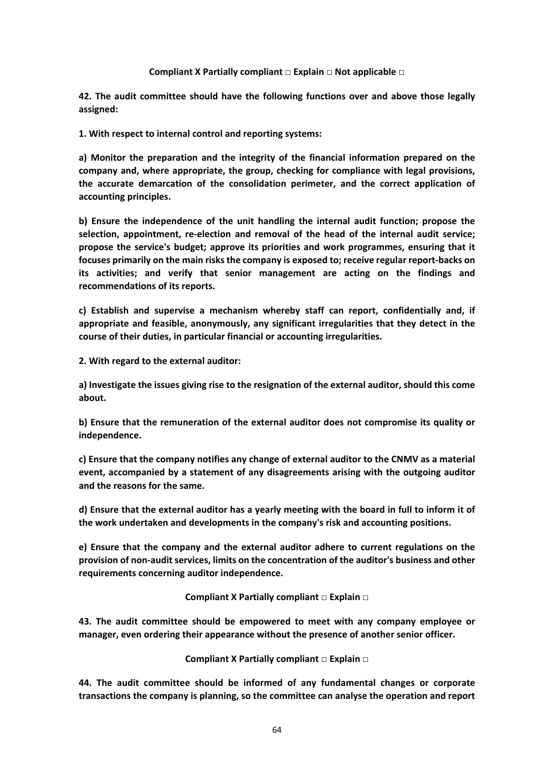#### **Compliant X Partially compliant □ Explain □ Not applicable □**

**42. The audit committee should have the following functions over and above those legally assigned:** 

**1. With respect to internal control and reporting systems:** 

**a) Monitor the preparation and the integrity of the financial information prepared on the company and, where appropriate, the group, checking for compliance with legal provisions, the accurate demarcation of the consolidation perimeter, and the correct application of accounting principles.** 

**b) Ensure the independence of the unit handling the internal audit function; propose the selection, appointment, re‐election and removal of the head of the internal audit service; propose the service's budget; approve its priorities and work programmes, ensuring that it focuses primarily on the main risks the company is exposed to; receive regular report‐backs on its activities; and verify that senior management are acting on the findings and recommendations of its reports.** 

**c) Establish and supervise a mechanism whereby staff can report, confidentially and, if appropriate and feasible, anonymously, any significant irregularities that they detect in the course of their duties, in particular financial or accounting irregularities.** 

**2. With regard to the external auditor:** 

**a) Investigate the issues giving rise to the resignation of the external auditor, should this come about.** 

**b) Ensure that the remuneration of the external auditor does not compromise its quality or independence.** 

**c) Ensure that the company notifies any change of external auditor to the CNMV as a material event, accompanied by a statement of any disagreements arising with the outgoing auditor and the reasons for the same.** 

d) Ensure that the external auditor has a yearly meeting with the board in full to inform it of **the work undertaken and developments in the company's risk and accounting positions.** 

**e) Ensure that the company and the external auditor adhere to current regulations on the provision of non‐audit services, limits on the concentration of the auditor's business and other requirements concerning auditor independence.** 

**Compliant X Partially compliant □ Explain □** 

**43. The audit committee should be empowered to meet with any company employee or manager, even ordering their appearance without the presence of another senior officer.** 

**Compliant X Partially compliant □ Explain □** 

**44. The audit committee should be informed of any fundamental changes or corporate transactions the company is planning, so the committee can analyse the operation and report**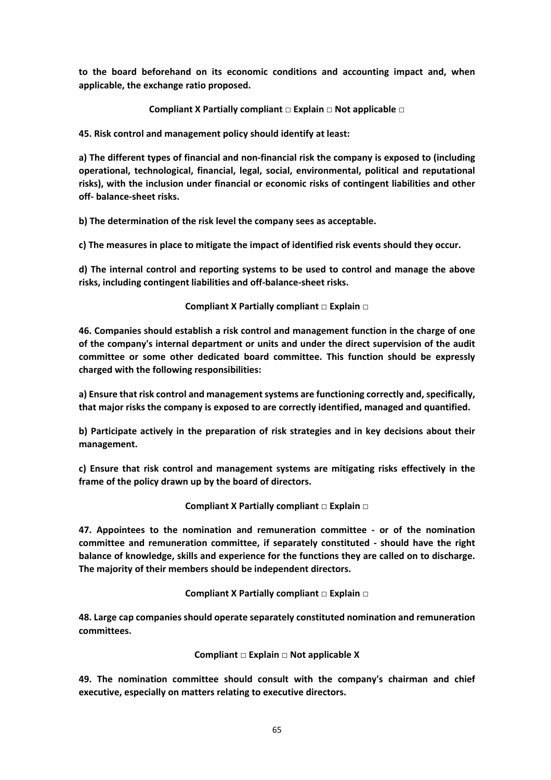**to the board beforehand on its economic conditions and accounting impact and, when applicable, the exchange ratio proposed.** 

**Compliant X Partially compliant □ Explain □ Not applicable □** 

**45. Risk control and management policy should identify at least:** 

**a) The different types of financial and non‐financial risk the company is exposed to (including operational, technological, financial, legal, social, environmental, political and reputational risks), with the inclusion under financial or economic risks of contingent liabilities and other off‐ balance‐sheet risks.** 

**b) The determination of the risk level the company sees as acceptable.** 

**c) The measures in place to mitigate the impact of identified risk events should they occur.** 

**d) The internal control and reporting systems to be used to control and manage the above risks, including contingent liabilities and off‐balance‐sheet risks.** 

**Compliant X Partially compliant □ Explain □** 

**46. Companies should establish a risk control and management function in the charge of one of the company's internal department or units and under the direct supervision of the audit committee or some other dedicated board committee. This function should be expressly charged with the following responsibilities:** 

**a) Ensure that risk control and managementsystems are functioning correctly and,specifically, that major risks the company is exposed to are correctly identified, managed and quantified.** 

**b) Participate actively in the preparation of risk strategies and in key decisions about their management.** 

**c) Ensure that risk control and management systems are mitigating risks effectively in the frame of the policy drawn up by the board of directors.** 

**Compliant X Partially compliant □ Explain □** 

**47. Appointees to the nomination and remuneration committee ‐ or of the nomination committee and remuneration committee, if separately constituted ‐ should have the right balance of knowledge, skills and experience for the functions they are called on to discharge. The majority of their members should be independent directors.** 

**Compliant X Partially compliant □ Explain □** 

**48. Large cap companies should operate separately constituted nomination and remuneration committees.** 

**Compliant □ Explain □ Not applicable X**

**49. The nomination committee should consult with the company's chairman and chief executive, especially on matters relating to executive directors.**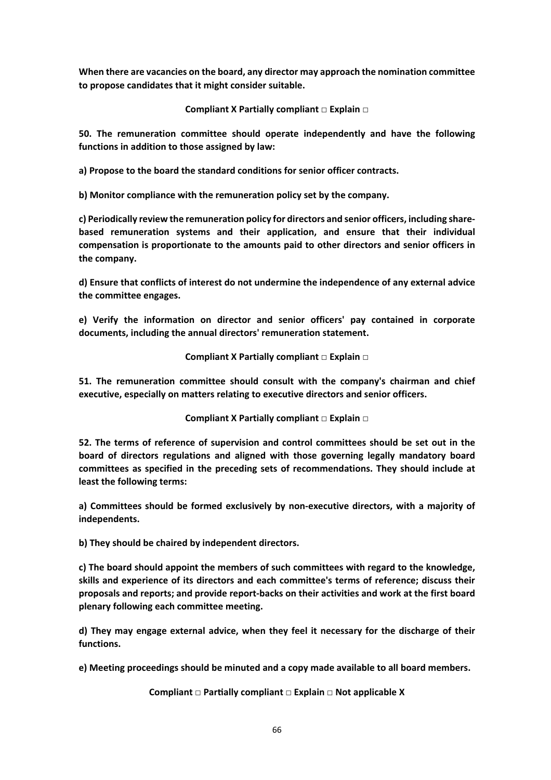**When there are vacancies on the board, any director may approach the nomination committee to propose candidates that it might consider suitable.** 

**Compliant X Partially compliant □ Explain □** 

**50. The remuneration committee should operate independently and have the following functions in addition to those assigned by law:** 

**a) Propose to the board the standard conditions for senior officer contracts.** 

**b) Monitor compliance with the remuneration policy set by the company.** 

**c) Periodically review the remuneration policy for directors and senior officers, including share‐ based remuneration systems and their application, and ensure that their individual compensation is proportionate to the amounts paid to other directors and senior officers in the company.** 

**d) Ensure that conflicts of interest do not undermine the independence of any external advice the committee engages.** 

**e) Verify the information on director and senior officers' pay contained in corporate documents, including the annual directors' remuneration statement.** 

**Compliant X Partially compliant □ Explain □** 

**51. The remuneration committee should consult with the company's chairman and chief executive, especially on matters relating to executive directors and senior officers.** 

**Compliant X Partially compliant □ Explain □** 

**52. The terms of reference of supervision and control committees should be set out in the board of directors regulations and aligned with those governing legally mandatory board committees as specified in the preceding sets of recommendations. They should include at least the following terms:** 

**a) Committees should be formed exclusively by non‐executive directors, with a majority of independents.** 

**b) They should be chaired by independent directors.**

**c) The board should appoint the members of such committees with regard to the knowledge, skills and experience of its directors and each committee's terms of reference; discuss their proposals and reports; and provide report‐backs on their activities and work at the first board plenary following each committee meeting.** 

**d) They may engage external advice, when they feel it necessary for the discharge of their functions.** 

**e) Meeting proceedings should be minuted and a copy made available to all board members.**

**Compliant □ ParƟally compliant □ Explain □ Not applicable X**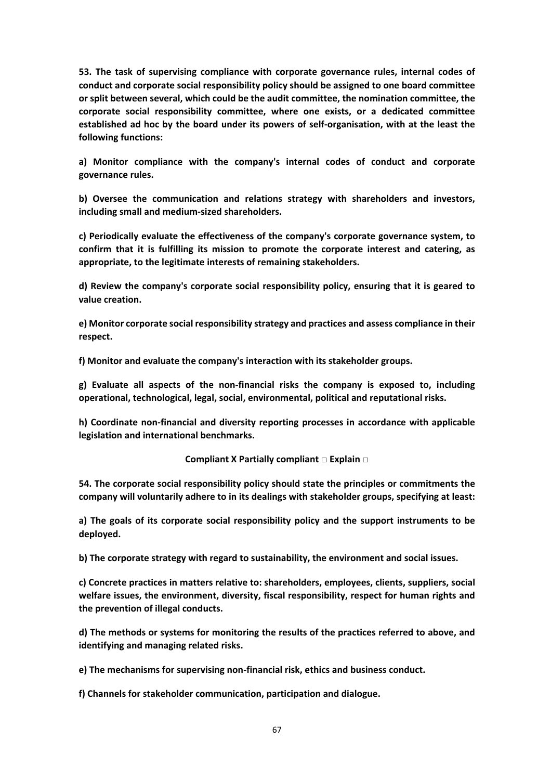**53. The task of supervising compliance with corporate governance rules, internal codes of conduct and corporate social responsibility policy should be assigned to one board committee or split between several, which could be the audit committee, the nomination committee, the corporate social responsibility committee, where one exists, or a dedicated committee established ad hoc by the board under its powers of self‐organisation, with at the least the following functions:** 

**a) Monitor compliance with the company's internal codes of conduct and corporate governance rules.** 

**b) Oversee the communication and relations strategy with shareholders and investors, including small and medium‐sized shareholders.** 

**c) Periodically evaluate the effectiveness of the company's corporate governance system, to confirm that it is fulfilling its mission to promote the corporate interest and catering, as appropriate, to the legitimate interests of remaining stakeholders.** 

**d) Review the company's corporate social responsibility policy, ensuring that it is geared to value creation.** 

**e) Monitor corporate social responsibility strategy and practices and assess compliance in their respect.** 

**f) Monitor and evaluate the company's interaction with its stakeholder groups.** 

**g) Evaluate all aspects of the non‐financial risks the company is exposed to, including operational, technological, legal, social, environmental, political and reputational risks.** 

**h) Coordinate non‐financial and diversity reporting processes in accordance with applicable legislation and international benchmarks.** 

**Compliant X Partially compliant □ Explain □** 

**54. The corporate social responsibility policy should state the principles or commitments the company will voluntarily adhere to in its dealings with stakeholder groups, specifying at least:** 

**a) The goals of its corporate social responsibility policy and the support instruments to be deployed.** 

**b) The corporate strategy with regard to sustainability, the environment and social issues.** 

**c) Concrete practices in matters relative to: shareholders, employees, clients, suppliers, social welfare issues, the environment, diversity, fiscal responsibility, respect for human rights and the prevention of illegal conducts.** 

**d) The methods or systems for monitoring the results of the practices referred to above, and identifying and managing related risks.** 

**e) The mechanisms for supervising non‐financial risk, ethics and business conduct.** 

**f) Channels for stakeholder communication, participation and dialogue.**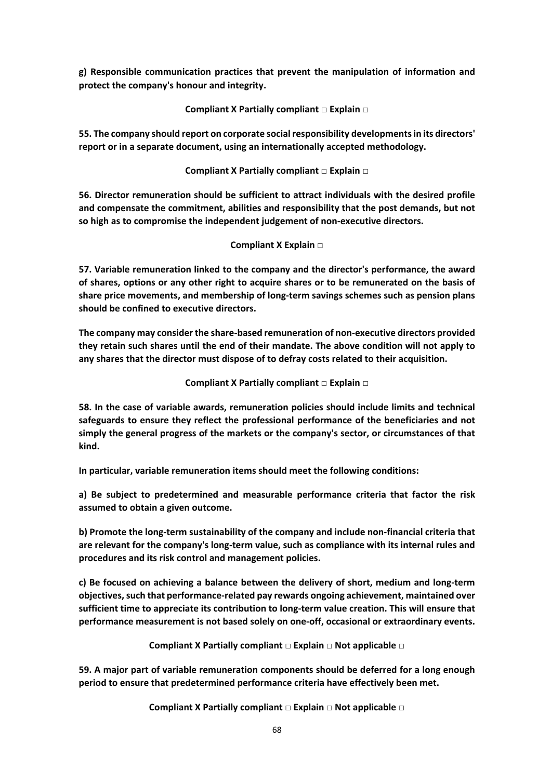**g) Responsible communication practices that prevent the manipulation of information and protect the company's honour and integrity.** 

**Compliant X Partially compliant □ Explain □** 

**55. The company should report on corporate social responsibility developmentsin its directors' report or in a separate document, using an internationally accepted methodology.** 

# **Compliant X Partially compliant □ Explain □**

**56. Director remuneration should be sufficient to attract individuals with the desired profile and compensate the commitment, abilities and responsibility that the post demands, but not so high as to compromise the independent judgement of non‐executive directors.** 

## **Compliant X Explain □**

**57. Variable remuneration linked to the company and the director's performance, the award of shares, options or any other right to acquire shares or to be remunerated on the basis of share price movements, and membership of long‐term savings schemes such as pension plans should be confined to executive directors.** 

**The company may consider the share‐based remuneration of non‐executive directors provided they retain such shares until the end of their mandate. The above condition will not apply to any shares that the director must dispose of to defray costs related to their acquisition.** 

**Compliant X Partially compliant □ Explain □** 

**58. In the case of variable awards, remuneration policies should include limits and technical safeguards to ensure they reflect the professional performance of the beneficiaries and not simply the general progress of the markets or the company's sector, or circumstances of that kind.** 

**In particular, variable remuneration items should meet the following conditions:** 

**a) Be subject to predetermined and measurable performance criteria that factor the risk assumed to obtain a given outcome.** 

**b) Promote the long‐term sustainability of the company and include non‐financial criteria that are relevant for the company's long‐term value, such as compliance with its internal rules and procedures and its risk control and management policies.** 

**c) Be focused on achieving a balance between the delivery of short, medium and long‐term objectives,such that performance‐related pay rewards ongoing achievement, maintained over sufficient time to appreciate its contribution to long‐term value creation. This will ensure that performance measurement is not based solely on one‐off, occasional or extraordinary events.** 

**Compliant X Partially compliant □ Explain □ Not applicable □** 

**59. A major part of variable remuneration components should be deferred for a long enough period to ensure that predetermined performance criteria have effectively been met.** 

**Compliant X Partially compliant □ Explain □ Not applicable □**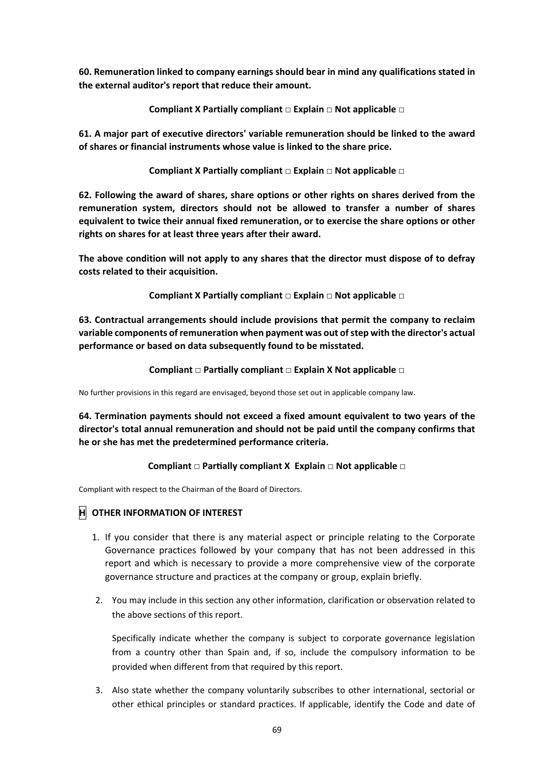**60. Remuneration linked to company earnings should bear in mind any qualifications stated in the external auditor's report that reduce their amount.** 

**Compliant X Partially compliant □ Explain □ Not applicable □** 

**61. A major part of executive directors' variable remuneration should be linked to the award of shares or financial instruments whose value is linked to the share price.** 

**Compliant X Partially compliant □ Explain □ Not applicable □** 

**62. Following the award of shares, share options or other rights on shares derived from the remuneration system, directors should not be allowed to transfer a number of shares equivalent to twice their annual fixed remuneration, or to exercise the share options or other rights on shares for at least three years after their award.** 

**The above condition will not apply to any shares that the director must dispose of to defray costs related to their acquisition.** 

**Compliant X Partially compliant □ Explain □ Not applicable □** 

**63. Contractual arrangements should include provisions that permit the company to reclaim variable components of remuneration when payment was out ofstep with the director's actual performance or based on data subsequently found to be misstated.** 

**Compliant □ ParƟally compliant □ Explain X Not applicable □** 

No further provisions in this regard are envisaged, beyond those set out in applicable company law.

**64. Termination payments should not exceed a fixed amount equivalent to two years of the director's total annual remuneration and should not be paid until the company confirms that he or she has met the predetermined performance criteria.** 

**Compliant □ ParƟally compliant X Explain □ Not applicable □** 

Compliant with respect to the Chairman of the Board of Directors.

# **H OTHER INFORMATION OF INTEREST**

- 1. If you consider that there is any material aspect or principle relating to the Corporate Governance practices followed by your company that has not been addressed in this report and which is necessary to provide a more comprehensive view of the corporate governance structure and practices at the company or group, explain briefly.
- 2. You may include in this section any other information, clarification or observation related to the above sections of this report.

Specifically indicate whether the company is subject to corporate governance legislation from a country other than Spain and, if so, include the compulsory information to be provided when different from that required by this report.

3. Also state whether the company voluntarily subscribes to other international, sectorial or other ethical principles or standard practices. If applicable, identify the Code and date of